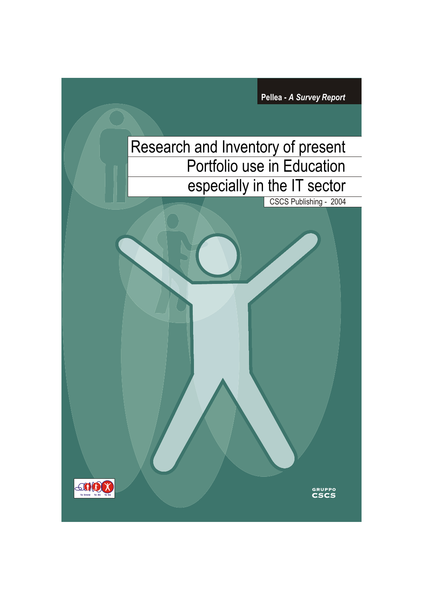**Pellea -** *A Survey Report*

# Research and Inventory of present Portfolio use in Education especially in the IT sector

CSCS Publishing - 2004



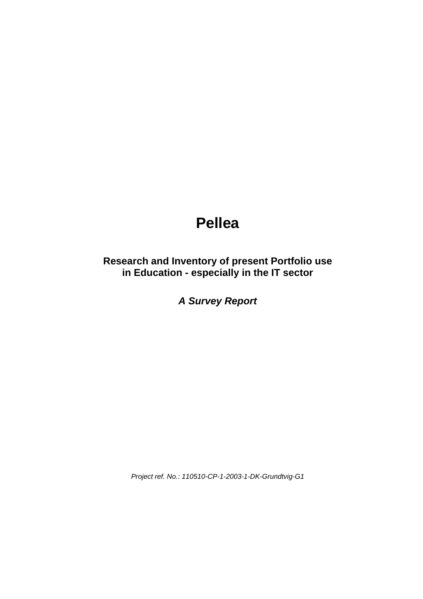# **Pellea**

## **Research and Inventory of present Portfolio use in Education - especially in the IT sector**

**A Survey Report**

Project ref. No.: 110510-CP-1-2003-1-DK-Grundtvig-G1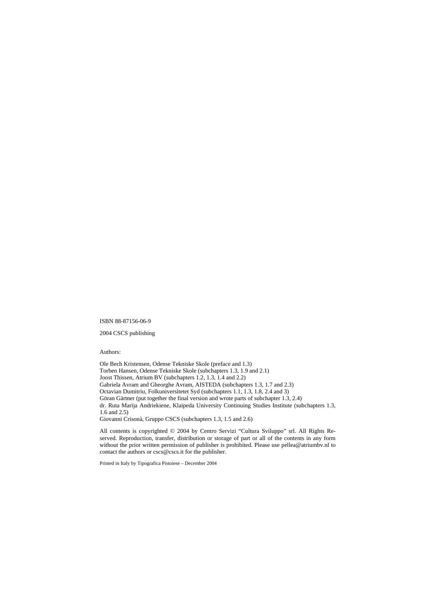ISBN 88-87156-06-9

2004 CSCS publishing

Authors:

Ole Bech Kristensen, Odense Tekniske Skole (preface and 1.3) Torben Hansen, Odense Tekniske Skole (subchapters 1.3, 1.9 and 2.1) Joost Thissen, Atrium BV (subchapters 1.2, 1.3, 1.4 and 2.2) Gabriela Avram and Gheorghe Avram, AISTEDA (subchapters 1.3, 1.7 and 2.3) Octavian Dumitriu, Folkuniversitetet Syd (subchapters 1.1, 1.3, 1.8, 2.4 and 3) Göran Gärtner (put together the final version and wrote parts of subchapter 1.3, 2.4) dr. Ruta Marija Andriekiene, Klaipeda University Continuing Studies Institute (subchapters 1.3, 1.6 and 2.5) Giovanni Crisonà, Gruppo CSCS (subchapters 1.3, 1.5 and 2.6)

All contents is copyrighted © 2004 by Centro Servizi "Cultura Sviluppo" srl. All Rights Reserved. Reproduction, transfer, distribution or storage of part or all of the contents in any form without the prior written permission of publisher is prohibited. Please use pellea@atriumbv.nl to contact the authors or cscs@cscs.it for the publisher.

Printed in Italy by Tipografica Pistoiese – December 2004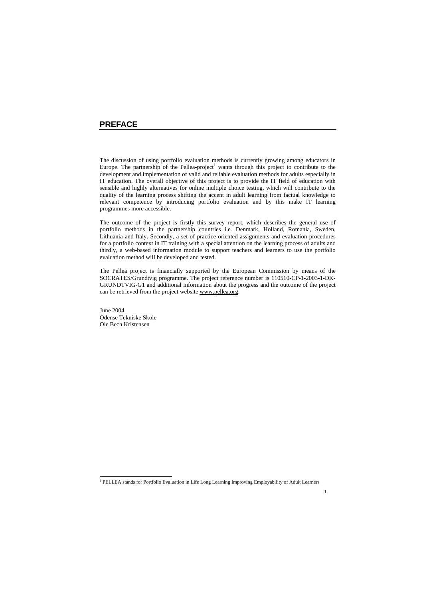## **PREFACE**

The discussion of using portfolio evaluation methods is currently growing among educators in Europe. The partnership of the Pellea-project<sup>1</sup> wants through this project to contribute to the development and implementation of valid and reliable evaluation methods for adults especially in IT education. The overall objective of this project is to provide the IT field of education with sensible and highly alternatives for online multiple choice testing, which will contribute to the quality of the learning process shifting the accent in adult learning from factual knowledge to relevant competence by introducing portfolio evaluation and by this make IT learning programmes more accessible.

The outcome of the project is firstly this survey report, which describes the general use of portfolio methods in the partnership countries i.e. Denmark, Holland, Romania, Sweden, Lithuania and Italy. Secondly, a set of practice oriented assignments and evaluation procedures for a portfolio context in IT training with a special attention on the learning process of adults and thirdly, a web-based information module to support teachers and learners to use the portfolio evaluation method will be developed and tested.

The Pellea project is financially supported by the European Commission by means of the SOCRATES/Grundtvig programme. The project reference number is 110510-CP-1-2003-1-DK-GRUNDTVIG-G1 and additional information about the progress and the outcome of the project can be retrieved from the project website www.pellea.org.

June 2004 Odense Tekniske Skole Ole Bech Kristensen

<sup>1&</sup>lt;br><sup>1</sup> PELLEA stands for Portfolio Evaluation in Life Long Learning Improving Employability of Adult Learners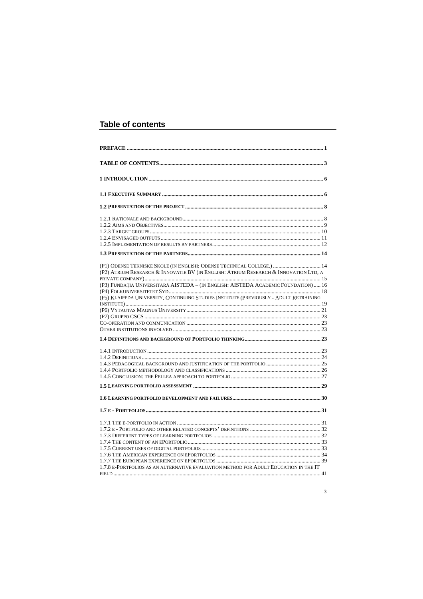## **Table of contents**

| (P1) ODENSE TEKNISKE SKOLE (IN ENGLISH: ODENSE TECHNICAL COLLEGE.)  14<br>(P2) ATRIUM RESEARCH & INNOVATIE BV (IN ENGLISH: ATRIUM RESEARCH & INNOVATION LTD, A<br>(P3) FUNDAȚIA UNIVERSITARĂ AISTEDA - (IN ENGLISH: AISTEDA ACADEMIC FOUNDATION)  16 |  |
|------------------------------------------------------------------------------------------------------------------------------------------------------------------------------------------------------------------------------------------------------|--|
| (P5) KLAIPEDA UNIVERSITY, CONTINUING STUDIES INSTITUTE (PREVIOUSLY - ADULT RETRAINING                                                                                                                                                                |  |
|                                                                                                                                                                                                                                                      |  |
|                                                                                                                                                                                                                                                      |  |
|                                                                                                                                                                                                                                                      |  |
|                                                                                                                                                                                                                                                      |  |
|                                                                                                                                                                                                                                                      |  |
|                                                                                                                                                                                                                                                      |  |
|                                                                                                                                                                                                                                                      |  |
|                                                                                                                                                                                                                                                      |  |
|                                                                                                                                                                                                                                                      |  |
|                                                                                                                                                                                                                                                      |  |
|                                                                                                                                                                                                                                                      |  |
| 1.7.8 E-PORTFOLIOS AS AN ALTERNATIVE EVALUATION METHOD FOR ADULT EDUCATION IN THE IT                                                                                                                                                                 |  |
|                                                                                                                                                                                                                                                      |  |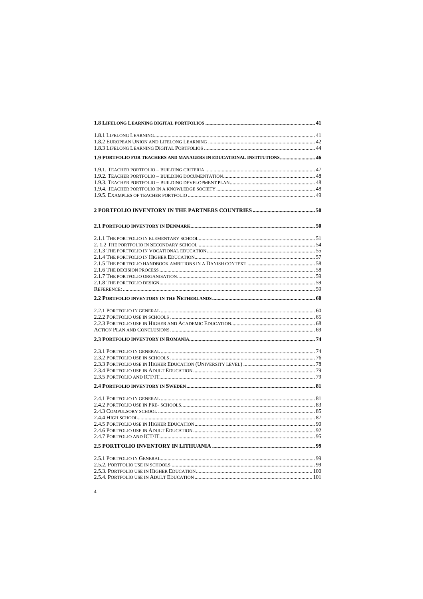| 1.9 PORTFOLIO FOR TEACHERS AND MANAGERS IN EDUCATIONAL INSTITUTIONS 46 |  |
|------------------------------------------------------------------------|--|
|                                                                        |  |
|                                                                        |  |
|                                                                        |  |
|                                                                        |  |
|                                                                        |  |
|                                                                        |  |
|                                                                        |  |
|                                                                        |  |
|                                                                        |  |
|                                                                        |  |
|                                                                        |  |
|                                                                        |  |
|                                                                        |  |
|                                                                        |  |
|                                                                        |  |
|                                                                        |  |
|                                                                        |  |
|                                                                        |  |
|                                                                        |  |
|                                                                        |  |
|                                                                        |  |
|                                                                        |  |
|                                                                        |  |
|                                                                        |  |
|                                                                        |  |
|                                                                        |  |
|                                                                        |  |
|                                                                        |  |
|                                                                        |  |
|                                                                        |  |
|                                                                        |  |
|                                                                        |  |
|                                                                        |  |
|                                                                        |  |
|                                                                        |  |
|                                                                        |  |
|                                                                        |  |
|                                                                        |  |
|                                                                        |  |
|                                                                        |  |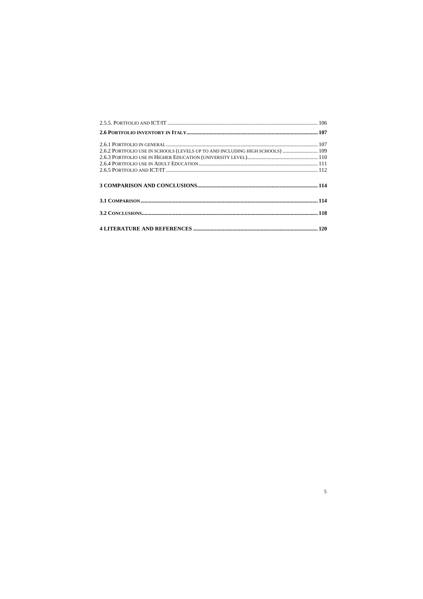| 2.6.2 PORTFOLIO USE IN SCHOOLS (LEVELS UP TO AND INCLUDING HIGH SCHOOLS)  109 |  |
|-------------------------------------------------------------------------------|--|
|                                                                               |  |
|                                                                               |  |
|                                                                               |  |
|                                                                               |  |
|                                                                               |  |
|                                                                               |  |
|                                                                               |  |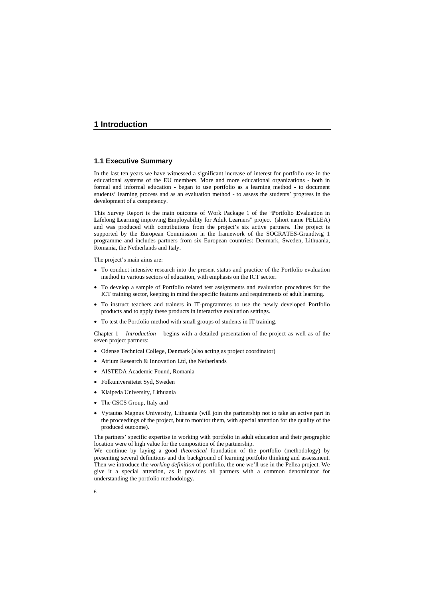## **1 Introduction**

## **1.1 Executive Summary**

In the last ten years we have witnessed a significant increase of interest for portfolio use in the educational systems of the EU members. More and more educational organizations - both in formal and informal education - began to use portfolio as a learning method - to document students' learning process and as an evaluation method - to assess the students' progress in the development of a competency.

This Survey Report is the main outcome of Work Package 1 of the "**P**ortfolio **E**valuation in **L**ifelong **L**earning improving **E**mployability for **A**dult Learners" project (short name PELLEA) and was produced with contributions from the project's six active partners. The project is supported by the European Commission in the framework of the SOCRATES-Grundtvig 1 programme and includes partners from six European countries: Denmark, Sweden, Lithuania, Romania, the Netherlands and Italy.

The project's main aims are:

- To conduct intensive research into the present status and practice of the Portfolio evaluation method in various sectors of education, with emphasis on the ICT sector.
- To develop a sample of Portfolio related test assignments and evaluation procedures for the ICT training sector, keeping in mind the specific features and requirements of adult learning.
- To instruct teachers and trainers in IT-programmes to use the newly developed Portfolio products and to apply these products in interactive evaluation settings.
- To test the Portfolio method with small groups of students in IT training.

Chapter 1 – *Introduction –* begins with a detailed presentation of the project as well as of the seven project partners:

- Odense Technical College, Denmark (also acting as project coordinator)
- Atrium Research  $\&$  Innovation Ltd, the Netherlands
- AISTEDA Academic Found, Romania
- Folkuniversitetet Syd, Sweden
- Klaipeda University, Lithuania
- The CSCS Group, Italy and
- Vytautas Magnus University, Lithuania (will join the partnership not to take an active part in the proceedings of the project, but to monitor them, with special attention for the quality of the produced outcome).

The partners' specific expertise in working with portfolio in adult education and their geographic location were of high value for the composition of the partnership.

We continue by laying a good *theoretical* foundation of the portfolio (methodology) by presenting several definitions and the background of learning portfolio thinking and assessment. Then we introduce the *working definition* of portfolio, the one we'll use in the Pellea project. We give it a special attention, as it provides all partners with a common denominator for understanding the portfolio methodology.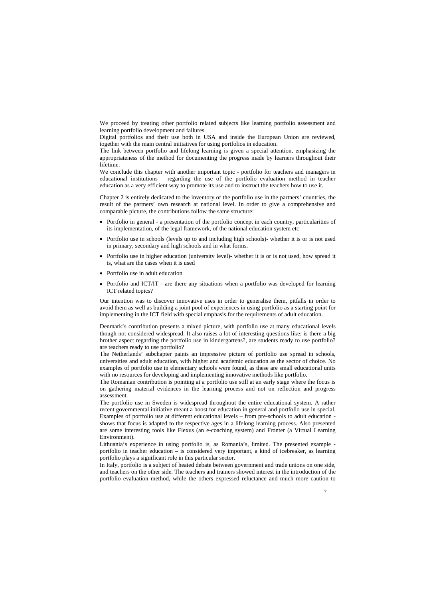We proceed by treating other portfolio related subjects like learning portfolio assessment and learning portfolio development and failures.

Digital portfolios and their use both in USA and inside the European Union are reviewed, together with the main central initiatives for using portfolios in education.

The link between portfolio and lifelong learning is given a special attention, emphasizing the appropriateness of the method for documenting the progress made by learners throughout their lifetime.

We conclude this chapter with another important topic - portfolio for teachers and managers in educational institutions – regarding the use of the portfolio evaluation method in teacher education as a very efficient way to promote its use and to instruct the teachers how to use it.

Chapter 2 is entirely dedicated to the inventory of the portfolio use in the partners' countries, the result of the partners' own research at national level. In order to give a comprehensive and comparable picture, the contributions follow the same structure:

- Portfolio in general a presentation of the portfolio concept in each country, particularities of its implementation, of the legal framework, of the national education system etc
- Portfolio use in schools (levels up to and including high schools)- whether it is or is not used in primary, secondary and high schools and in what forms.
- Portfolio use in higher education (university level)- whether it is or is not used, how spread it is, what are the cases when it is used
- Portfolio use in adult education
- Portfolio and ICT/IT are there any situations when a portfolio was developed for learning ICT related topics?

Our intention was to discover innovative uses in order to generalise them, pitfalls in order to avoid them as well as building a joint pool of experiences in using portfolio as a starting point for implementing in the ICT field with special emphasis for the requirements of adult education.

Denmark's contribution presents a mixed picture, with portfolio use at many educational levels though not considered widespread. It also raises a lot of interesting questions like: is there a big brother aspect regarding the portfolio use in kindergartens?, are students ready to use portfolio? are teachers ready to use portfolio?

The Netherlands' subchapter paints an impressive picture of portfolio use spread in schools, universities and adult education, with higher and academic education as the sector of choice. No examples of portfolio use in elementary schools were found, as these are small educational units with no resources for developing and implementing innovative methods like portfolio.

The Romanian contribution is pointing at a portfolio use still at an early stage where the focus is on gathering material evidences in the learning process and not on reflection and progress assessment.

The portfolio use in Sweden is widespread throughout the entire educational system. A rather recent governmental initiative meant a boost for education in general and portfolio use in special. Examples of portfolio use at different educational levels – from pre-schools to adult education shows that focus is adapted to the respective ages in a lifelong learning process. Also presented are some interesting tools like Flexus (an e-coaching system) and Fronter (a Virtual Learning Environment).

Lithuania's experience in using portfolio is, as Romania's, limited. The presented example portfolio in teacher education – is considered very important, a kind of icebreaker, as learning portfolio plays a significant role in this particular sector.

In Italy, portfolio is a subject of heated debate between government and trade unions on one side, and teachers on the other side. The teachers and trainers showed interest in the introduction of the portfolio evaluation method, while the others expressed reluctance and much more caution to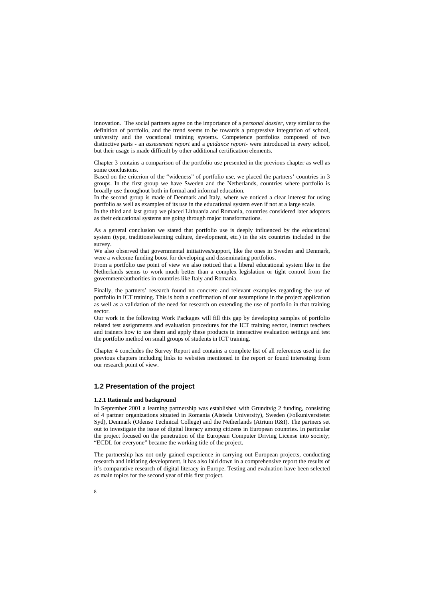innovation. The social partners agree on the importance of a *personal dossier*, very similar to the definition of portfolio, and the trend seems to be towards a progressive integration of school, university and the vocational training systems. Competence portfolios composed of two distinctive parts - an *assessment report* and a *guidance report*- were introduced in every school, but their usage is made difficult by other additional certification elements.

Chapter 3 contains a comparison of the portfolio use presented in the previous chapter as well as some conclusions.

Based on the criterion of the "wideness" of portfolio use, we placed the partners' countries in 3 groups. In the first group we have Sweden and the Netherlands, countries where portfolio is broadly use throughout both in formal and informal education.

In the second group is made of Denmark and Italy, where we noticed a clear interest for using portfolio as well as examples of its use in the educational system even if not at a large scale.

In the third and last group we placed Lithuania and Romania, countries considered later adopters as their educational systems are going through major transformations.

As a general conclusion we stated that portfolio use is deeply influenced by the educational system (type, traditions/learning culture, development, etc.) in the six countries included in the survey.

We also observed that governmental initiatives/support, like the ones in Sweden and Denmark, were a welcome funding boost for developing and disseminating portfolios.

From a portfolio use point of view we also noticed that a liberal educational system like in the Netherlands seems to work much better than a complex legislation or tight control from the government/authorities in countries like Italy and Romania.

Finally, the partners' research found no concrete and relevant examples regarding the use of portfolio in ICT training. This is both a confirmation of our assumptions in the project application as well as a validation of the need for research on extending the use of portfolio in that training sector.

Our work in the following Work Packages will fill this gap by developing samples of portfolio related test assignments and evaluation procedures for the ICT training sector, instruct teachers and trainers how to use them and apply these products in interactive evaluation settings and test the portfolio method on small groups of students in ICT training.

Chapter 4 concludes the Survey Report and contains a complete list of all references used in the previous chapters including links to websites mentioned in the report or found interesting from our research point of view.

### **1.2 Presentation of the project**

#### **1.2.1 Rationale and background**

In September 2001 a learning partnership was established with Grundtvig 2 funding, consisting of 4 partner organizations situated in Romania (Aisteda University), Sweden (Folkuniversitetet Syd), Denmark (Odense Technical College) and the Netherlands (Atrium R&I). The partners set out to investigate the issue of digital literacy among citizens in European countries. In particular the project focused on the penetration of the European Computer Driving License into society; "ECDL for everyone" became the working title of the project.

The partnership has not only gained experience in carrying out European projects, conducting research and initiating development, it has also laid down in a comprehensive report the results of it's comparative research of digital literacy in Europe. Testing and evaluation have been selected as main topics for the second year of this first project.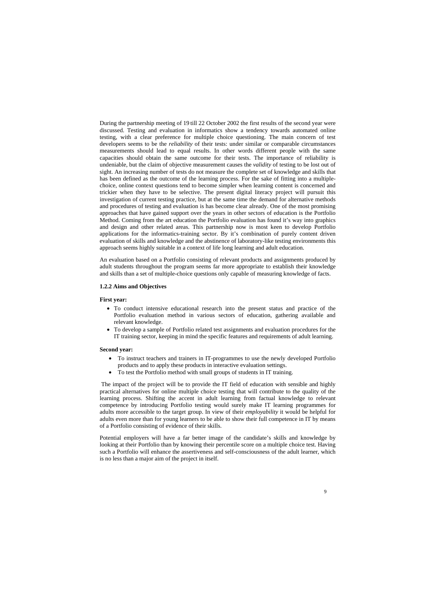During the partnership meeting of 19 till 22 October 2002 the first results of the second year were discussed. Testing and evaluation in informatics show a tendency towards automated online testing, with a clear preference for multiple choice questioning. The main concern of test developers seems to be the *reliability* of their tests: under similar or comparable circumstances measurements should lead to equal results. In other words different people with the same capacities should obtain the same outcome for their tests. The importance of reliability is undeniable, but the claim of objective measurement causes the *validity* of testing to be lost out of sight. An increasing number of tests do not measure the complete set of knowledge and skills that has been defined as the outcome of the learning process. For the sake of fitting into a multiplechoice, online context questions tend to become simpler when learning content is concerned and trickier when they have to be selective. The present digital literacy project will pursuit this investigation of current testing practice, but at the same time the demand for alternative methods and procedures of testing and evaluation is has become clear already. One of the most promising approaches that have gained support over the years in other sectors of education is the Portfolio Method. Coming from the art education the Portfolio evaluation has found it's way into graphics and design and other related areas. This partnership now is most keen to develop Portfolio applications for the informatics-training sector. By it's combination of purely content driven evaluation of skills and knowledge and the abstinence of laboratory-like testing environments this approach seems highly suitable in a context of life long learning and adult education.

An evaluation based on a Portfolio consisting of relevant products and assignments produced by adult students throughout the program seems far more appropriate to establish their knowledge and skills than a set of multiple-choice questions only capable of measuring knowledge of facts.

#### **1.2.2 Aims and Objectives**

#### **First year:**

- To conduct intensive educational research into the present status and practice of the Portfolio evaluation method in various sectors of education, gathering available and relevant knowledge.
- To develop a sample of Portfolio related test assignments and evaluation procedures for the IT training sector, keeping in mind the specific features and requirements of adult learning.

#### **Second year:**

- To instruct teachers and trainers in IT-programmes to use the newly developed Portfolio products and to apply these products in interactive evaluation settings.
- To test the Portfolio method with small groups of students in IT training.

 The impact of the project will be to provide the IT field of education with sensible and highly practical alternatives for online multiple choice testing that will contribute to the quality of the learning process. Shifting the accent in adult learning from factual knowledge to relevant competence by introducing Portfolio testing would surely make IT learning programmes for adults more accessible to the target group. In view of their *employability* it would be helpful for adults even more than for young learners to be able to show their full competence in IT by means of a Portfolio consisting of evidence of their skills.

Potential employers will have a far better image of the candidate's skills and knowledge by looking at their Portfolio than by knowing their percentile score on a multiple choice test. Having such a Portfolio will enhance the assertiveness and self-consciousness of the adult learner, which is no less than a major aim of the project in itself.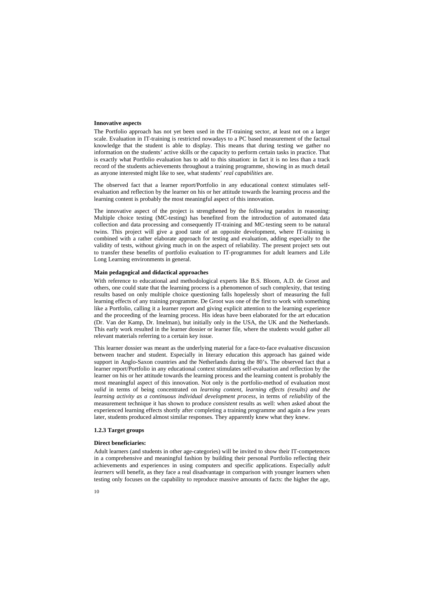#### **Innovative aspects**

The Portfolio approach has not yet been used in the IT-training sector, at least not on a larger scale. Evaluation in IT-training is restricted nowadays to a PC based measurement of the factual knowledge that the student is able to display. This means that during testing we gather no information on the students' active skills or the capacity to perform certain tasks in practice. That is exactly what Portfolio evaluation has to add to this situation: in fact it is no less than a track record of the students achievements throughout a training programme, showing in as much detail as anyone interested might like to see, what students' *real capabilities* are.

The observed fact that a learner report/Portfolio in any educational context stimulates selfevaluation and reflection by the learner on his or her attitude towards the learning process and the learning content is probably the most meaningful aspect of this innovation.

The innovative aspect of the project is strengthened by the following paradox in reasoning: Multiple choice testing (MC-testing) has benefited from the introduction of automated data collection and data processing and consequently IT-training and MC-testing seem to be natural twins. This project will give a good taste of an opposite development, where IT-training is combined with a rather elaborate approach for testing and evaluation, adding especially to the validity of tests, without giving much in on the aspect of reliability. The present project sets out to transfer these benefits of portfolio evaluation to IT-programmes for adult learners and Life Long Learning environments in general.

#### **Main pedagogical and didactical approaches**

With reference to educational and methodological experts like B.S. Bloom, A.D. de Groot and others, one could state that the learning process is a phenomenon of such complexity, that testing results based on only multiple choice questioning falls hopelessly short of measuring the full learning effects of any training programme. De Groot was one of the first to work with something like a Portfolio, calling it a learner report and giving explicit attention to the learning experience and the proceeding of the learning process. His ideas have been elaborated for the art education (Dr. Van der Kamp, Dr. Imelman), but initially only in the USA, the UK and the Netherlands. This early work resulted in the learner dossier or learner file, where the students would gather all relevant materials referring to a certain key issue.

This learner dossier was meant as the underlying material for a face-to-face evaluative discussion between teacher and student. Especially in literary education this approach has gained wide support in Anglo-Saxon countries and the Netherlands during the 80's. The observed fact that a learner report/Portfolio in any educational context stimulates self-evaluation and reflection by the learner on his or her attitude towards the learning process and the learning content is probably the most meaningful aspect of this innovation. Not only is the portfolio-method of evaluation most *valid* in terms of being concentrated on *learning content, learning effects (results) and the learning activity as a continuous individual development process*, in terms of *reliability* of the measurement technique it has shown to produce *consistent* results as well: when asked about the experienced learning effects shortly after completing a training programme and again a few years later, students produced almost similar responses. They apparently knew what they knew.

#### **1.2.3 Target groups**

#### **Direct beneficiaries:**

Adult learners (and students in other age-categories) will be invited to show their IT-competences in a comprehensive and meaningful fashion by building their personal Portfolio reflecting their achievements and experiences in using computers and specific applications. Especially *adult learners* will benefit, as they face a real disadvantage in comparison with younger learners when testing only focuses on the capability to reproduce massive amounts of facts: the higher the age,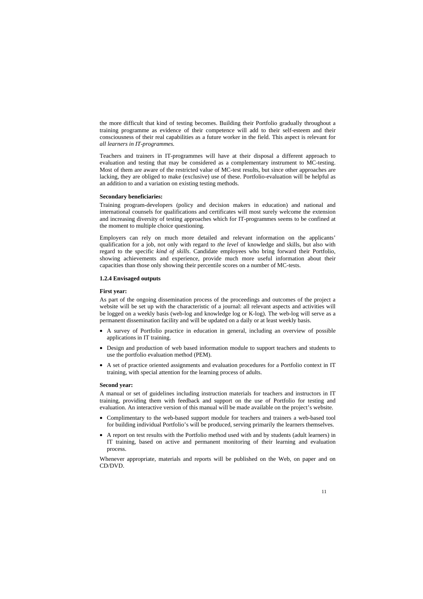the more difficult that kind of testing becomes. Building their Portfolio gradually throughout a training programme as evidence of their competence will add to their self-esteem and their consciousness of their real capabilities as a future worker in the field. This aspect is relevant for *all learners in IT-programmes.* 

Teachers and trainers in IT-programmes will have at their disposal a different approach to evaluation and testing that may be considered as a complementary instrument to MC-testing. Most of them are aware of the restricted value of MC-test results, but since other approaches are lacking, they are obliged to make (exclusive) use of these. Portfolio-evaluation will be helpful as an addition to and a variation on existing testing methods.

#### **Secondary beneficiaries:**

Training program-developers (policy and decision makers in education) and national and international counsels for qualifications and certificates will most surely welcome the extension and increasing diversity of testing approaches which for IT-programmes seems to be confined at the moment to multiple choice questioning.

Employers can rely on much more detailed and relevant information on the applicants' qualification for a job, not only with regard to *the level* of knowledge and skills, but also with regard to the specific *kind of skills*. Candidate employees who bring forward their Portfolio, showing achievements and experience, provide much more useful information about their capacities than those only showing their percentile scores on a number of MC-tests.

#### **1.2.4 Envisaged outputs**

#### **First year:**

As part of the ongoing dissemination process of the proceedings and outcomes of the project a website will be set up with the characteristic of a journal: all relevant aspects and activities will be logged on a weekly basis (web-log and knowledge log or K-log). The web-log will serve as a permanent dissemination facility and will be updated on a daily or at least weekly basis.

- A survey of Portfolio practice in education in general, including an overview of possible applications in IT training.
- Design and production of web based information module to support teachers and students to use the portfolio evaluation method (PEM).
- A set of practice oriented assignments and evaluation procedures for a Portfolio context in IT training, with special attention for the learning process of adults.

#### **Second year:**

A manual or set of guidelines including instruction materials for teachers and instructors in IT training, providing them with feedback and support on the use of Portfolio for testing and evaluation. An interactive version of this manual will be made available on the project's website.

- Complimentary to the web-based support module for teachers and trainers a web-based tool for building individual Portfolio's will be produced, serving primarily the learners themselves.
- A report on test results with the Portfolio method used with and by students (adult learners) in IT training, based on active and permanent monitoring of their learning and evaluation process.

Whenever appropriate, materials and reports will be published on the Web, on paper and on CD/DVD.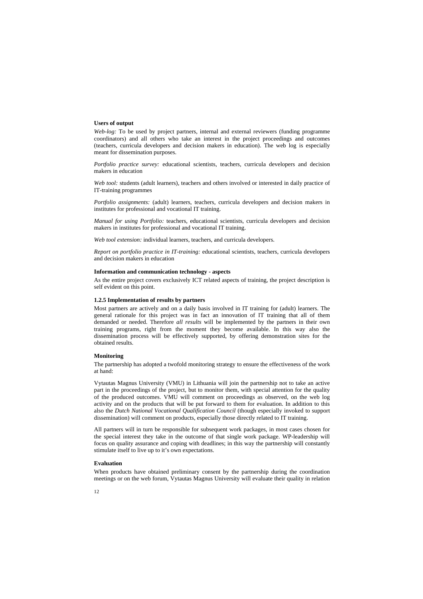#### **Users of output**

*Web-log:* To be used by project partners, internal and external reviewers (funding programme coordinators) and all others who take an interest in the project proceedings and outcomes (teachers, curricula developers and decision makers in education). The web log is especially meant for dissemination purposes.

*Portfolio practice survey:* educational scientists, teachers, curricula developers and decision makers in education

*Web tool:* students (adult learners), teachers and others involved or interested in daily practice of IT-training programmes

*Portfolio assignments:* (adult) learners, teachers, curricula developers and decision makers in institutes for professional and vocational IT training.

*Manual for using Portfolio:* teachers, educational scientists, curricula developers and decision makers in institutes for professional and vocational IT training.

*Web tool extension:* individual learners, teachers, and curricula developers.

*Report on portfolio practice in IT-training:* educational scientists, teachers, curricula developers and decision makers in education

#### **Information and communication technology - aspects**

As the entire project covers exclusively ICT related aspects of training, the project description is self evident on this point.

#### **1.2.5 Implementation of results by partners**

Most partners are actively and on a daily basis involved in IT training for (adult) learners. The general rationale for this project was in fact an innovation of IT training that all of them demanded or needed. Therefore *all results* will be implemented by the partners in their own training programs, right from the moment they become available. In this way also the dissemination process will be effectively supported, by offering demonstration sites for the obtained results.

#### **Monitoring**

The partnership has adopted a twofold monitoring strategy to ensure the effectiveness of the work at hand:

Vytautas Magnus University (VMU) in Lithuania will join the partnership not to take an active part in the proceedings of the project, but to monitor them, with special attention for the quality of the produced outcomes. VMU will comment on proceedings as observed, on the web log activity and on the products that will be put forward to them for evaluation. In addition to this also the *Dutch National Vocational Qualification Council* (though especially invoked to support dissemination) will comment on products, especially those directly related to IT training.

All partners will in turn be responsible for subsequent work packages, in most cases chosen for the special interest they take in the outcome of that single work package. WP-leadership will focus on quality assurance and coping with deadlines; in this way the partnership will constantly stimulate itself to live up to it's own expectations.

#### **Evaluation**

When products have obtained preliminary consent by the partnership during the coordination meetings or on the web forum, Vytautas Magnus University will evaluate their quality in relation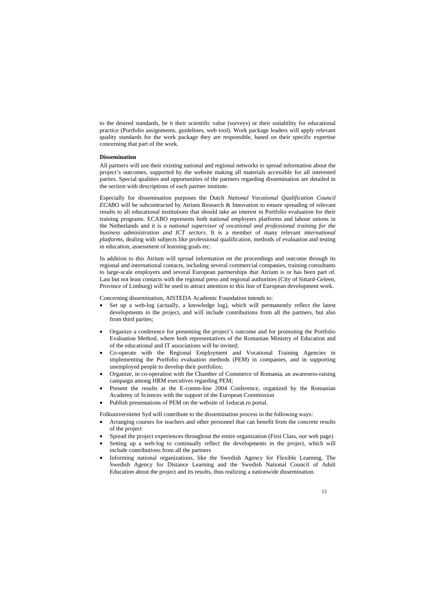to the desired standards, be it their scientific value (surveys) or their suitability for educational practice (Portfolio assignments, guidelines, web tool). Work package leaders will apply relevant quality standards for the work package they are responsible, based on their specific expertise concerning that part of the work.

#### **Dissemination**

All partners will use their existing national and regional networks to spread information about the project's outcomes, supported by the website making all materials accessible for all interested parties. Special qualities and opportunities of the partners regarding dissemination are detailed in the section with descriptions of each partner institute.

Especially for dissemination purposes the Dutch *National Vocational Qualification Council ECABO* will be subcontracted by Atrium Research & Innovation to ensure spreading of relevant results to all educational institutions that should take an interest in Portfolio evaluation for their training programs. ECABO represents both national employers platforms and labour unions in the Netherlands and it is *a national supervisor of vocational and professional training for the business administration and ICT sectors*. It is a member of many relevant *international platforms*, dealing with subjects like professional qualification, methods of evaluation and testing in education, assessment of learning goals etc.

In addition to this Atrium will spread information on the proceedings and outcome through its regional and international contacts, including several commercial companies, training consultants to large-scale employers and several European partnerships that Atrium is or has been part of. Last but not least contacts with the regional press and regional authorities (City of Sittard-Geleen, Province of Limburg) will be used to attract attention to this line of European development work.

Concerning dissemination, AISTEDA Academic Foundation intends to:

- Set up a web-log (actually, a knowledge log), which will permanently reflect the latest developments in the project, and will include contributions from all the partners, but also from third parties;
- Organize a conference for presenting the project's outcome and for promoting the Portfolio Evaluation Method, where both representatives of the Romanian Ministry of Education and of the educational and IT associations will be invited;
- Co-operate with the Regional Employment and Vocational Training Agencies in implementing the Portfolio evaluation methods (PEM) in companies, and in supporting unemployed people to develop their portfolios;
- Organize, in co-operation with the Chamber of Commerce of Romania, an awareness-raising campaign among HRM executives regarding PEM;
- Present the results at the E-comm-line 2004 Conference, organized by the Romanian Academy of Sciences with the support of the European Commission
- Publish presentations of PEM on the website of 1educat.ro portal.

Folkuniversitetet Syd will contribute to the dissemination process in the following ways:

- Arranging courses for teachers and other personnel that can benefit from the concrete results of the project
- Spread the project experiences throughout the entire organization (First Class, our web page)
- Setting up a web-log to continually reflect the developments in the project, which will include contributions from all the partners
- Informing national organizations, like the Swedish Agency for Flexible Learning, The Swedish Agency for Distance Learning and the Swedish National Council of Adult Education about the project and its results, thus realizing a nationwide dissemination.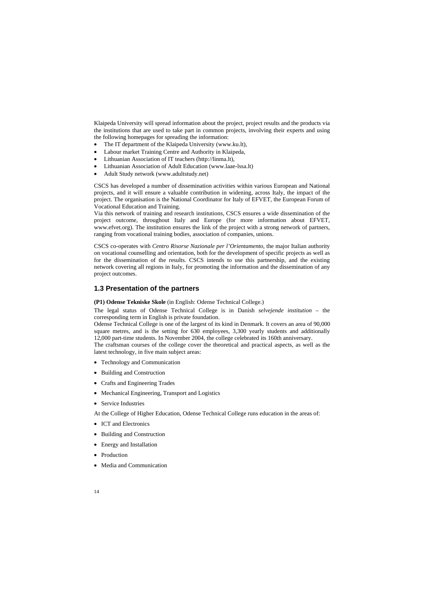Klaipeda University will spread information about the project, project results and the products via the institutions that are used to take part in common projects, involving their experts and using the following homepages for spreading the information:

- The IT department of the Klaipeda University (www.ku.lt),
- Labour market Training Centre and Authority in Klaipeda,
- Lithuanian Association of IT teachers (http://linma.lt),
- Lithuanian Association of Adult Education (www.laae-lssa.lt)
- Adult Study network (www.adultstudy.net)

CSCS has developed a number of dissemination activities within various European and National projects, and it will ensure a valuable contribution in widening, across Italy, the impact of the project. The organisation is the National Coordinator for Italy of EFVET, the European Forum of Vocational Education and Training.

Via this network of training and research institutions, CSCS ensures a wide dissemination of the project outcome, throughout Italy and Europe (for more information about EFVET, www.efvet.org). The institution ensures the link of the project with a strong network of partners, ranging from vocational training bodies, association of companies, unions.

CSCS co-operates with *Centro Risorse Nazionale per l'Orientamento*, the major Italian authority on vocational counselling and orientation, both for the development of specific projects as well as for the dissemination of the results. CSCS intends to use this partnership, and the existing network covering all regions in Italy, for promoting the information and the dissemination of any project outcomes.

## **1.3 Presentation of the partners**

**(P1) Odense Tekniske Skole** (in English: Odense Technical College.)

The legal status of Odense Technical College is in Danish *selvejende institution* – the corresponding term in English is private foundation.

Odense Technical College is one of the largest of its kind in Denmark. It covers an area of 90,000 square metres, and is the setting for  $630$  employees, 3,300 yearly students and additionally 12,000 part-time students. In November 2004, the college celebrated its 160th anniversary.

The craftsman courses of the college cover the theoretical and practical aspects, as well as the latest technology, in five main subject areas:

- Technology and Communication
- Building and Construction
- Crafts and Engineering Trades
- Mechanical Engineering, Transport and Logistics
- Service Industries

At the College of Higher Education, Odense Technical College runs education in the areas of:

- ICT and Electronics
- Building and Construction
- Energy and Installation
- Production
- Media and Communication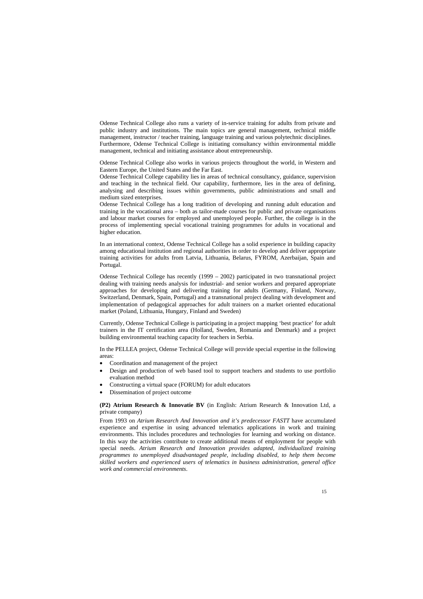Odense Technical College also runs a variety of in-service training for adults from private and public industry and institutions. The main topics are general management, technical middle management, instructor / teacher training, language training and various polytechnic disciplines. Furthermore, Odense Technical College is initiating consultancy within environmental middle management, technical and initiating assistance about entrepreneurship.

Odense Technical College also works in various projects throughout the world, in Western and Eastern Europe, the United States and the Far East.

Odense Technical College capability lies in areas of technical consultancy, guidance, supervision and teaching in the technical field. Our capability, furthermore, lies in the area of defining, analysing and describing issues within governments, public administrations and small and medium sized enterprises.

Odense Technical College has a long tradition of developing and running adult education and training in the vocational area – both as tailor-made courses for public and private organisations and labour market courses for employed and unemployed people. Further, the college is in the process of implementing special vocational training programmes for adults in vocational and higher education.

In an international context, Odense Technical College has a solid experience in building capacity among educational institution and regional authorities in order to develop and deliver appropriate training activities for adults from Latvia, Lithuania, Belarus, FYROM, Azerbaijan, Spain and Portugal.

Odense Technical College has recently  $(1999 - 2002)$  participated in two transnational project dealing with training needs analysis for industrial- and senior workers and prepared appropriate approaches for developing and delivering training for adults (Germany, Finland, Norway, Switzerland, Denmark, Spain, Portugal) and a transnational project dealing with development and implementation of pedagogical approaches for adult trainers on a market oriented educational market (Poland, Lithuania, Hungary, Finland and Sweden)

Currently, Odense Technical College is participating in a project mapping 'best practice' for adult trainers in the IT certification area (Holland, Sweden, Romania and Denmark) and a project building environmental teaching capacity for teachers in Serbia.

In the PELLEA project, Odense Technical College will provide special expertise in the following areas:

- Coordination and management of the project
- Design and production of web based tool to support teachers and students to use portfolio evaluation method
- Constructing a virtual space (FORUM) for adult educators
- Dissemination of project outcome

**(P2) Atrium Research & Innovatie BV** (in English: Atrium Research & Innovation Ltd, a private company)

From 1993 on *Atrium Research And Innovation and it's predecessor FASTT* have accumulated experience and expertise in using advanced telematics applications in work and training environments. This includes procedures and technologies for learning and working on distance. In this way the activities contribute to create additional means of employment for people with special needs. *Atrium Research and Innovation provides adapted, individualized training programmes to unemployed disadvantaged people, including disabled, to help them become skilled workers and experienced users of telematics in business administration, general office work and commercial environments*.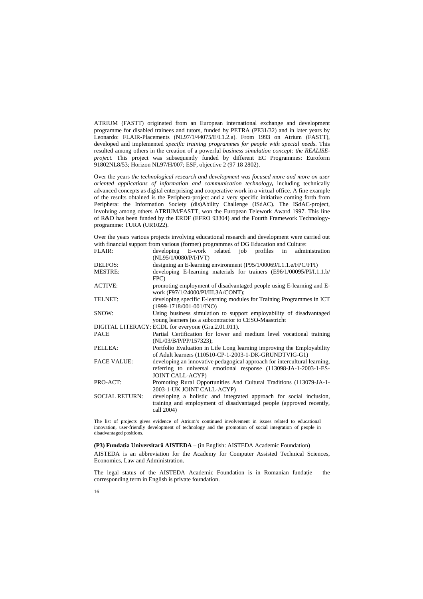ATRIUM (FASTT) originated from an European international exchange and development programme for disabled trainees and tutors, funded by PETRA (PE31/32) and in later years by Leonardo: FLAIR-Placements (NL97/1/44075/E/I.1.2.a). From 1993 on Atrium (FASTT), developed and implemented *specific training programmes for people with special needs*. This resulted among others in the creation of a powerful *business simulation concept: the REALISEproject*. This project was subsequently funded by different EC Programmes: Euroform 91802NL8/53; Horizon NL97/H/007; ESF, objective 2 (97 18 2802).

Over the years *the technological research and development was focused more and more on user oriented applications of information and communication technology***,** including technically advanced concepts as digital enterprising and cooperative work in a virtual office. A fine example of the results obtained is the Periphera-project and a very specific initiative coming forth from Periphera: the Information Society (dis)Ability Challenge (ISdAC). The ISdAC-project, involving among others ATRIUM/FASTT, won the European Telework Award 1997. This line of R&D has been funded by the ERDF (EFRO 93304) and the Fourth Framework Technologyprogramme: TURA (UR1022).

Over the years various projects involving educational research and development were carried out with financial support from various (former) programmes of DG Education and Culture:

| FLAIR:                | administration<br>developing E-work related job profiles in<br>(NL95/1/0080/P/I/IVT)                                                                                      |
|-----------------------|---------------------------------------------------------------------------------------------------------------------------------------------------------------------------|
| <b>DELFOS:</b>        | designing an E-learning environment (P95/1/00069/I.1.1.e/FPC/FPI)                                                                                                         |
| <b>MESTRE:</b>        | developing E-learning materials for trainers (E96/1/00095/PI/I.1.1.b/<br>FPC)                                                                                             |
| <b>ACTIVE:</b>        | promoting employment of disadvantaged people using E-learning and E-<br>work (F97/1/24000/PI/III.3A/CONT);                                                                |
| TELNET:               | developing specific E-learning modules for Training Programmes in ICT<br>$(1999-1718/001-001/INO)$                                                                        |
| SNOW:                 | Using business simulation to support employability of disadvantaged<br>young learners (as a subcontractor to CESO-Maastricht                                              |
|                       | DIGITAL LITERACY: ECDL for everyone (Gru.2.01.011).                                                                                                                       |
| <b>PACE</b>           | Partial Certification for lower and medium level vocational training<br>(NL/03/B/P/PP/157323);                                                                            |
| PELLEA:               | Portfolio Evaluation in Life Long learning improving the Employability<br>of Adult learners (110510-CP-1-2003-1-DK-GRUNDTVIG-G1)                                          |
| <b>FACE VALUE:</b>    | developing an innovative pedagogical approach for intercultural learning,<br>referring to universal emotional response (113098-JA-1-2003-1-ES-<br><b>JOINT CALL-ACYP)</b> |
| PRO-ACT:              | Promoting Rural Opportunities And Cultural Traditions (113079-JA-1-<br>2003-1-UK JOINT CALL-ACYP)                                                                         |
| <b>SOCIAL RETURN:</b> | developing a holistic and integrated approach for social inclusion,<br>training and employment of disadvantaged people (approved recently,<br>call 2004)                  |

The list of projects gives evidence of Atrium's continued involvement in issues related to educational innovation, user-friendly development of technology and the promotion of social integration of people in disadvantaged positions.

**(P3) Funda!ia Universitar" AISTEDA –** (in English: AISTEDA Academic Foundation) AISTEDA is an abbreviation for the Academy for Computer Assisted Technical Sciences, Economics, Law and Administration.

The legal status of the AISTEDA Academic Foundation is in Romanian fundatie  $-$  the corresponding term in English is private foundation.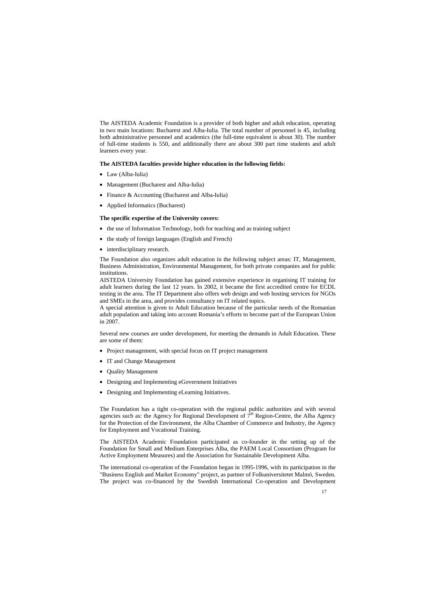The AISTEDA Academic Foundation is a provider of both higher and adult education, operating in two main locations: Bucharest and Alba-Iulia. The total number of personnel is 45, including both administrative personnel and academics (the full-time equivalent is about 30). The number of full-time students is 550, and additionally there are about 300 part time students and adult learners every year.

#### **The AISTEDA faculties provide higher education in the following fields:**

- Law (Alba-Iulia)
- Management (Bucharest and Alba-Iulia)
- Finance & Accounting (Bucharest and Alba-Iulia)
- Applied Informatics (Bucharest)

#### **The specific expertise of the University covers:**

- the use of Information Technology, both for teaching and as training subject
- the study of foreign languages (English and French)
- interdisciplinary research.

The Foundation also organizes adult education in the following subject areas: IT, Management, Business Administration, Environmental Management, for both private companies and for public institutions.

AISTEDA University Foundation has gained extensive experience in organising IT training for adult learners during the last 12 years. In 2002, it became the first accredited centre for ECDL testing in the area. The IT Department also offers web design and web hosting services for NGOs and SMEs in the area, and provides consultancy on IT related topics.

A special attention is given to Adult Education because of the particular needs of the Romanian adult population and taking into account Romania's efforts to become part of the European Union in 2007.

Several new courses are under development, for meeting the demands in Adult Education. These are some of them:

- Project management, with special focus on IT project management
- IT and Change Management
- Quality Management
- Designing and Implementing eGovernment Initiatives
- Designing and Implementing eLearning Initiatives.

The Foundation has a tight co-operation with the regional public authorities and with several agencies such as: the Agency for Regional Development of  $7<sup>th</sup>$  Region-Centre, the Alba Agency for the Protection of the Environment, the Alba Chamber of Commerce and Industry, the Agency for Employment and Vocational Training.

The AISTEDA Academic Foundation participated as co-founder in the setting up of the Foundation for Small and Medium Enterprises Alba, the PAEM Local Consortium (Program for Active Employment Measures) and the Association for Sustainable Development Alba.

The international co-operation of the Foundation began in 1995-1996, with its participation in the "Business English and Market Economy" project, as partner of Folkuniversitetet Malmö, Sweden. The project was co-financed by the Swedish International Co-operation and Development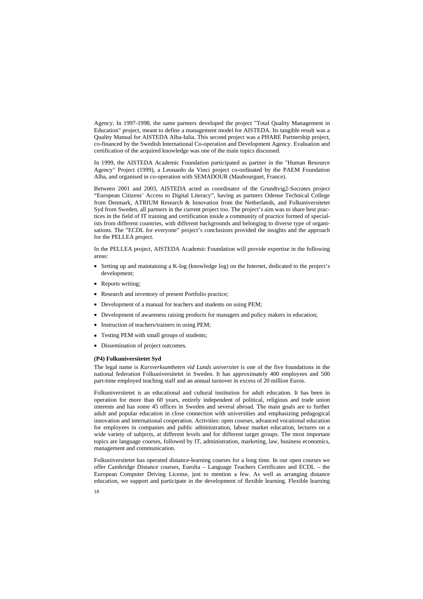Agency. In 1997-1998, the same partners developed the project "Total Quality Management in Education" project, meant to define a management model for AISTEDA. Its tangible result was a Quality Manual for AISTEDA Alba-Iulia. This second project was a PHARE Partnership project, co-financed by the Swedish International Co-operation and Development Agency. Evaluation and certification of the acquired knowledge was one of the main topics discussed.

In 1999, the AISTEDA Academic Foundation participated as partner in the "Human Resource Agency" Project (1999), a Leonardo da Vinci project co-ordinated by the PAEM Foundation Alba, and organised in co-operation with SEMADOUR (Maubourguet, France).

Between 2001 and 2003, AISTEDA acted as coordinator of the Grundtvig2-Socrates project "European Citizens' Access to Digital Literacy", having as partners Odense Technical College from Denmark, ATRIUM Research & Innovation from the Netherlands, and Folkuniversitetet Syd from Sweden, all partners in the current project too. The project's aim was to share best practices in the field of IT training and certification inside a community of practice formed of specialists from different countries, with different backgrounds and belonging to diverse type of organisations. The "ECDL for everyone" project's conclusions provided the insights and the approach for the PELLEA project.

In the PELLEA project, AISTEDA Academic Foundation will provide expertise in the following areas:

- Setting up and maintaining a K-log (knowledge log) on the Internet, dedicated to the project's development;
- Reports writing;
- Research and inventory of present Portfolio practice;
- Development of a manual for teachers and students on using PEM;
- Development of awareness raising products for managers and policy makers in education;
- Instruction of teachers/trainers in using PEM;
- Testing PEM with small groups of students;
- Dissemination of project outcomes.

#### **(P4) Folkuniversitetet Syd**

The legal name is *Kursverksamheten vid Lunds universitet* is one of the five foundations in the national federation Folkuniversitetet in Sweden. It has approximately 400 employees and 500 part-time employed teaching staff and an annual turnover in excess of 20 million Euros.

Folkuniversitetet is an educational and cultural institution for adult education. It has been in operation for more than 60 years, entirely independent of political, religious and trade union interests and has some 45 offices in Sweden and several abroad. The main goals are to further adult and popular education in close connection with universities and emphasizing pedagogical innovation and international cooperation. Activities: open courses, advanced vocational education for employees in companies and public administration, labour market education, lectures on a wide variety of subjects, at different levels and for different target groups. The most important topics are language courses, followed by IT, administration, marketing, law, business economics, management and communication.

Folkuniversitetet has operated distance-learning courses for a long time. In our open courses we offer Cambridge Distance courses, Eurolta – Language Teachers Certificates and ECDL – the European Computer Driving License, just to mention a few. As well as arranging distance education, we support and participate in the development of flexible learning. Flexible learning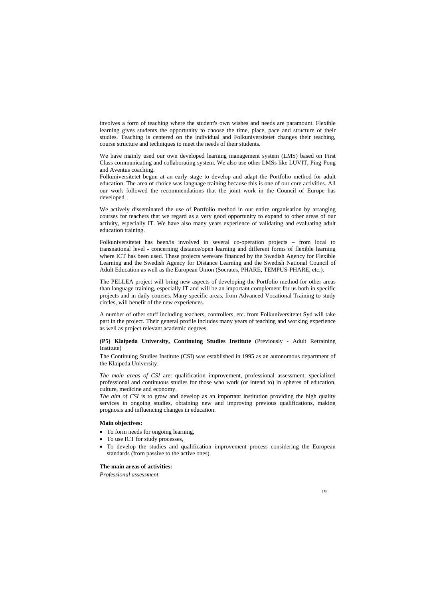involves a form of teaching where the student's own wishes and needs are paramount. Flexible learning gives students the opportunity to choose the time, place, pace and structure of their studies. Teaching is centered on the individual and Folkuniversitetet changes their teaching, course structure and techniques to meet the needs of their students.

We have mainly used our own developed learning management system (LMS) based on First Class communicating and collaborating system. We also use other LMSs like LUVIT, Ping-Pong and Aventus coaching.

Folkuniversitetet begun at an early stage to develop and adapt the Portfolio method for adult education. The area of choice was language training because this is one of our core activities. All our work followed the recommendations that the joint work in the Council of Europe has developed.

We actively disseminated the use of Portfolio method in our entire organisation by arranging courses for teachers that we regard as a very good opportunity to expand to other areas of our activity, especially IT. We have also many years experience of validating and evaluating adult education training.

Folkuniversitetet has been/is involved in several co-operation projects – from local to transnational level - concerning distance/open learning and different forms of flexible learning where ICT has been used. These projects were/are financed by the Swedish Agency for Flexible Learning and the Swedish Agency for Distance Learning and the Swedish National Council of Adult Education as well as the European Union (Socrates, PHARE, TEMPUS-PHARE, etc.).

The PELLEA project will bring new aspects of developing the Portfolio method for other areas than language training, especially IT and will be an important complement for us both in specific projects and in daily courses. Many specific areas, from Advanced Vocational Training to study circles, will benefit of the new experiences.

A number of other stuff including teachers, controllers, etc. from Folkuniversitetet Syd will take part in the project. Their general profile includes many years of teaching and working experience as well as project relevant academic degrees.

#### **(P5) Klaipeda University, Continuing Studies Institute** (Previously - Adult Retraining Institute)

The Continuing Studies Institute (CSI) was established in 1995 as an autonomous department of the Klaipeda University.

*The main areas of CSI* are: qualification improvement, professional assessment, specialized professional and continuous studies for those who work (or intend to) in spheres of education, culture, medicine and economy.

*The aim of CSI* is to grow and develop as an important institution providing the high quality services in ongoing studies, obtaining new and improving previous qualifications, making prognosis and influencing changes in education.

#### **Main objectives:**

- To form needs for ongoing learning,
- To use ICT for study processes,
- To develop the studies and qualification improvement process considering the European standards (from passive to the active ones).

#### **The main areas of activities:**

*Professional assessment.*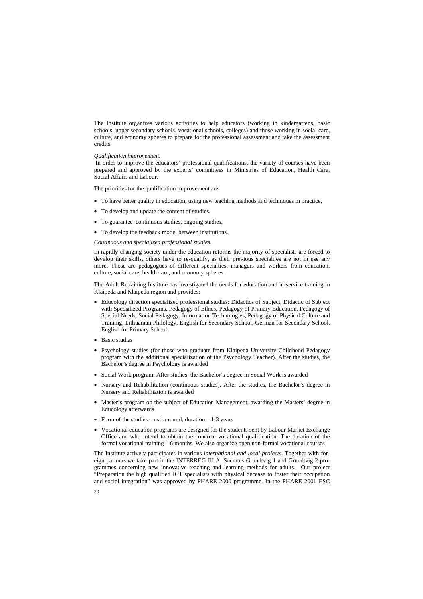The Institute organizes various activities to help educators (working in kindergartens, basic schools, upper secondary schools, vocational schools, colleges) and those working in social care, culture, and economy spheres to prepare for the professional assessment and take the assessment credits.

#### *Qualification improvement.*

 In order to improve the educators' professional qualifications, the variety of courses have been prepared and approved by the experts' committees in Ministries of Education, Health Care, Social Affairs and Labour.

The priorities for the qualification improvement are:

- To have better quality in education, using new teaching methods and techniques in practice,
- To develop and update the content of studies,
- To guarantee continuous studies, ongoing studies,
- To develop the feedback model between institutions.

#### *Continuous and specialized professional studies.*

In rapidly changing society under the education reforms the majority of specialists are forced to develop their skills, others have to re-qualify, as their previous specialties are not in use any more. Those are pedagogues of different specialties, managers and workers from education, culture, social care, health care, and economy spheres.

The Adult Retraining Institute has investigated the needs for education and in-service training in Klaipeda and Klaipeda region and provides:

- Educology direction specialized professional studies: Didactics of Subject, Didactic of Subject with Specialized Programs, Pedagogy of Ethics, Pedagogy of Primary Education, Pedagogy of Special Needs, Social Pedagogy, Information Technologies, Pedagogy of Physical Culture and Training, Lithuanian Philology, English for Secondary School, German for Secondary School, English for Primary School,
- Basic studies
- Psychology studies (for those who graduate from Klaipeda University Childhood Pedagogy program with the additional specialization of the Psychology Teacher). After the studies, the Bachelor's degree in Psychology is awarded
- Social Work program. After studies, the Bachelor's degree in Social Work is awarded
- Nursery and Rehabilitation (continuous studies). After the studies, the Bachelor's degree in Nursery and Rehabilitation is awarded
- Master's program on the subject of Education Management, awarding the Masters' degree in Educology afterwards
- Form of the studies extra-mural, duration  $1-3$  years
- Vocational education programs are designed for the students sent by Labour Market Exchange Office and who intend to obtain the concrete vocational qualification. The duration of the formal vocational training – 6 months. We also organize open non-formal vocational courses

The Institute actively participates in various *international and local projects*. Together with foreign partners we take part in the INTERREG III A, Socrates Grundtvig 1 and Grundtvig 2 programmes concerning new innovative teaching and learning methods for adults. Our project "Preparation the high qualified ICT specialists with physical decease to foster their occupation and social integration" was approved by PHARE 2000 programme. In the PHARE 2001 ESC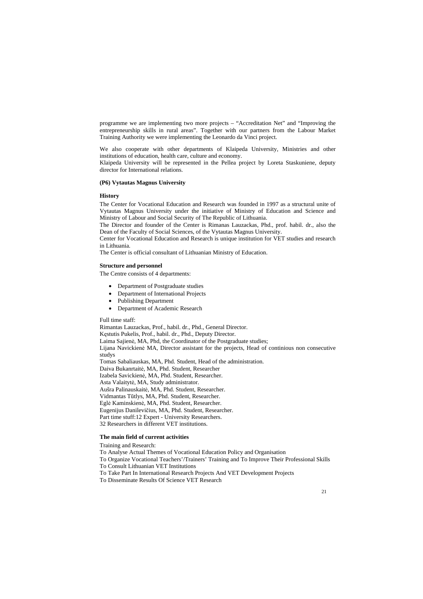programme we are implementing two more projects – "Accreditation Net" and "Improving the entrepreneurship skills in rural areas". Together with our partners from the Labour Market Training Authority we were implementing the Leonardo da Vinci project.

We also cooperate with other departments of Klaipeda University, Ministries and other institutions of education, health care, culture and economy.

Klaipeda University will be represented in the Pellea project by Loreta Staskuniene, deputy director for International relations.

#### **(P6) Vytautas Magnus University**

#### **History**

The Center for Vocational Education and Research was founded in 1997 as a structural unite of Vytautas Magnus University under the initiative of Ministry of Education and Science and Ministry of Labour and Social Security of The Republic of Lithuania.

The Director and founder of the Center is Rimanas Lauzackas, Phd., prof. habil. dr., also the Dean of the Faculty of Social Sciences, of the Vytautas Magnus University.

Center for Vocational Education and Research is unique institution for VET studies and research in Lithuania.

The Center is official consultant of Lithuanian Ministry of Education.

#### **Structure and personnel**

The Centre consists of 4 departments:

- Department of Postgraduate studies
- Department of International Projects
- Publishing Department
- Department of Academic Research

Full time staff:

Rimantas Lauzackas, Prof., habil. dr., Phd., General Director.

Kestutis Pukelis, Prof., habil. dr., Phd., Deputy Director.

Laima Sajienė, MA, Phd, the Coordinator of the Postgraduate studies;

Lijana Navickienė MA, Director assistant for the projects, Head of continious non consecutive studys

Tomas Sabaliauskas, MA, Phd. Student, Head of the administration.

Daiva Bukanrtaitė, MA, Phd. Student, Researcher

Izabela Savickienė, MA, Phd. Student, Researcher.

Asta Valaitytė, MA, Study administrator.

Aušra Palinauskaitė, MA, Phd. Student, Researcher.

Vidmantas Tūtlys, MA, Phd. Student, Researcher.

Eglė Kaminskienė, MA, Phd. Student, Researcher.

Eugenijus Danilevičius, MA, Phd. Student, Researcher.

Part time stuff:12 Expert - University Researchers.

32 Researchers in different VET institutions.

#### **The main field of current activities**

Training and Research:

To Analyse Actual Themes of Vocational Education Policy and Organisation

To Organize Vocational Teachers'/Trainers' Training and To Improve Their Professional Skills To Consult Lithuanian VET Institutions

To Take Part In International Research Projects And VET Development Projects

To Disseminate Results Of Science VET Research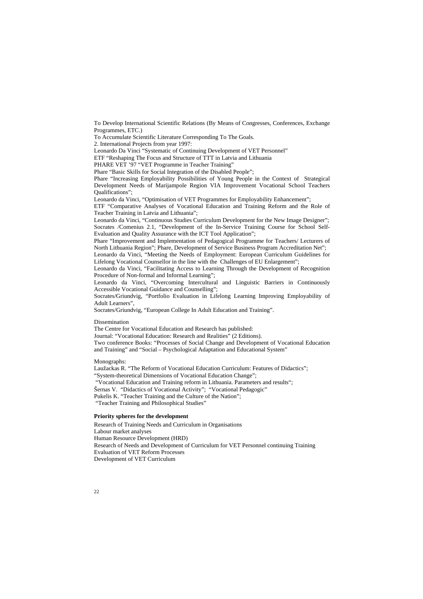To Develop International Scientific Relations (By Means of Congresses, Conferences, Exchange Programmes, ETC.)

To Accumulate Scientific Literature Corresponding To The Goals.

2. International Projects from year 1997:

Leonardo Da Vinci "Systematic of Continuing Development of VET Personnel"

ETF "Reshaping The Focus and Structure of TTT in Latvia and Lithuania

PHARE VET '97 "VET Programme in Teacher Training"

Phare "Basic Skills for Social Integration of the Disabled People";

Phare "Increasing Employability Possibilities of Young People in the Context of Strategical Development Needs of Marijampole Region VIA Improvement Vocational School Teachers Qualifications";

Leonardo da Vinci, "Optimisation of VET Programmes for Employability Enhancement";

ETF "Comparative Analyses of Vocational Education and Training Reform and the Role of Teacher Training in Latvia and Lithuania";

Leonardo da Vinci, "Continuous Studies Curriculum Development for the New Image Designer"; Socrates /Comenius 2.1, "Development of the In-Service Training Course for School Self-Evaluation and Quality Assurance with the ICT Tool Application";

Phare "Improvement and Implementation of Pedagogical Programme for Teachers/ Lecturers of North Lithuania Region"; Phare, Development of Service Business Program Accreditation Net";

Leonardo da Vinci, "Meeting the Needs of Employment: European Curriculum Guidelines for Lifelong Vocational Counsellor in the line with the Challenges of EU Enlargement";

Leonardo da Vinci, "Facilitating Access to Learning Through the Development of Recognition Procedure of Non-formal and Informal Learning";

Leonardo da Vinci, "Overcoming Intercultural and Linguistic Barriers in Continuously Accessible Vocational Guidance and Counselling";

Socrates/Griundvig, "Portfolio Evaluation in Lifelong Learning Improving Employability of Adult Learners",

Socrates/Griundvig, "European College In Adult Education and Training".

Dissemination

The Centre for Vocational Education and Research has published:

Journal: "Vocational Education: Research and Realities" (2 Editions).

Two conference Books: "Processes of Social Change and Development of Vocational Education and Training" and "Social – Psychological Adaptation and Educational System"

Monographs:

Laužackas R. "The Reform of Vocational Education Curriculum: Features of Didactics";

"System-theoretical Dimensions of Vocational Education Change";

"Vocational Education and Training reform in Lithuania. Parameters and results";

Šernas V. "Didactics of Vocational Activity"; "Vocational Pedagogic"

Pukelis K. "Teacher Training and the Culture of the Nation";

"Teacher Training and Philosophical Studies"

#### **Priority spheres for the development**

Research of Training Needs and Curriculum in Organisations Labour market analyses Human Resource Development (HRD) Research of Needs and Development of Curriculum for VET Personnel continuing Training Evaluation of VET Reform Processes Development of VET Curriculum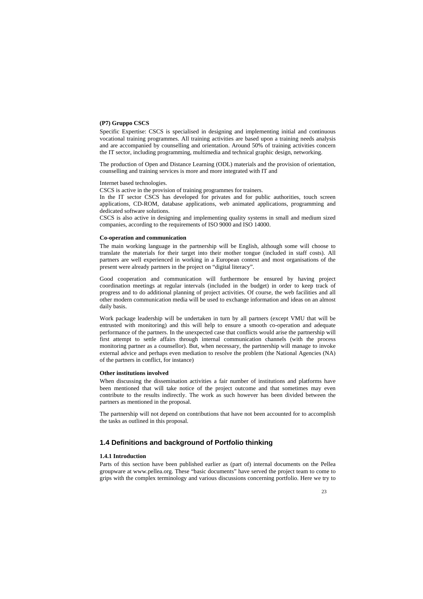#### **(P7) Gruppo CSCS**

Specific Expertise: CSCS is specialised in designing and implementing initial and continuous vocational training programmes. All training activities are based upon a training needs analysis and are accompanied by counselling and orientation. Around 50% of training activities concern the IT sector, including programming, multimedia and technical graphic design, networking.

The production of Open and Distance Learning (ODL) materials and the provision of orientation, counselling and training services is more and more integrated with IT and

Internet based technologies.

CSCS is active in the provision of training programmes for trainers.

In the IT sector CSCS has developed for privates and for public authorities, touch screen applications, CD-ROM, database applications, web animated applications, programming and dedicated software solutions.

CSCS is also active in designing and implementing quality systems in small and medium sized companies, according to the requirements of ISO 9000 and ISO 14000.

#### **Co-operation and communication**

The main working language in the partnership will be English, although some will choose to translate the materials for their target into their mother tongue (included in staff costs). All partners are well experienced in working in a European context and most organisations of the present were already partners in the project on "digital literacy".

Good cooperation and communication will furthermore be ensured by having project coordination meetings at regular intervals (included in the budget) in order to keep track of progress and to do additional planning of project activities. Of course, the web facilities and all other modern communication media will be used to exchange information and ideas on an almost daily basis.

Work package leadership will be undertaken in turn by all partners (except VMU that will be entrusted with monitoring) and this will help to ensure a smooth co-operation and adequate performance of the partners. In the unexpected case that conflicts would arise the partnership will first attempt to settle affairs through internal communication channels (with the process monitoring partner as a counsellor). But, when necessary, the partnership will manage to invoke external advice and perhaps even mediation to resolve the problem (the National Agencies (NA) of the partners in conflict, for instance)

#### **Other institutions involved**

When discussing the dissemination activities a fair number of institutions and platforms have been mentioned that will take notice of the project outcome and that sometimes may even contribute to the results indirectly. The work as such however has been divided between the partners as mentioned in the proposal.

The partnership will not depend on contributions that have not been accounted for to accomplish the tasks as outlined in this proposal.

## **1.4 Definitions and background of Portfolio thinking**

#### **1.4.1 Introduction**

Parts of this section have been published earlier as (part of) internal documents on the Pellea groupware at www.pellea.org. These "basic documents" have served the project team to come to grips with the complex terminology and various discussions concerning portfolio. Here we try to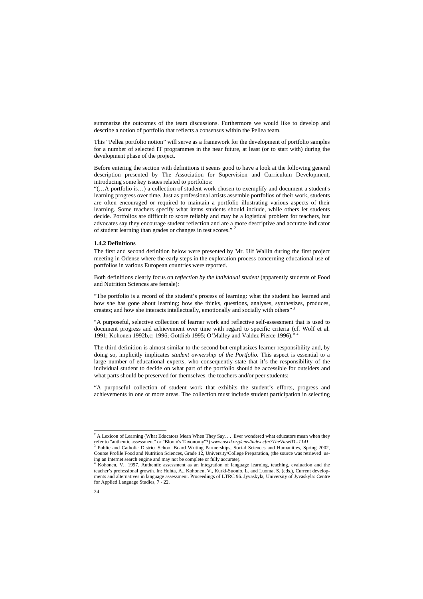summarize the outcomes of the team discussions. Furthermore we would like to develop and describe a notion of portfolio that reflects a consensus within the Pellea team.

This "Pellea portfolio notion" will serve as a framework for the development of portfolio samples for a number of selected IT programmes in the near future, at least (or to start with) during the development phase of the project.

Before entering the section with definitions it seems good to have a look at the following general description presented by The Association for Supervision and Curriculum Development, introducing some key issues related to portfolios:

"(…A portfolio is…) a collection of student work chosen to exemplify and document a student's learning progress over time. Just as professional artists assemble portfolios of their work, students are often encouraged or required to maintain a portfolio illustrating various aspects of their learning. Some teachers specify what items students should include, while others let students decide. Portfolios are difficult to score reliably and may be a logistical problem for teachers, but advocates say they encourage student reflection and are a more descriptive and accurate indicator of student learning than grades or changes in test scores." *<sup>2</sup>*

#### **1.4.2 Definitions**

The first and second definition below were presented by Mr. Ulf Wallin during the first project meeting in Odense where the early steps in the exploration process concerning educational use of portfolios in various European countries were reported.

Both definitions clearly focus on *reflection by the individual student* (apparently students of Food and Nutrition Sciences are female):

"The portfolio is a record of the student's process of learning: what the student has learned and how she has gone about learning; how she thinks, questions, analyses, synthesizes, produces, creates; and how she interacts intellectually, emotionally and socially with others" *<sup>3</sup>*

"A purposeful, selective collection of learner work and reflective self-assessment that is used to document progress and achievement over time with regard to specific criteria (cf. Wolf et al. 1991; Kohonen 1992b,c; 1996; Gottlieb 1995; O'Malley and Valdez Pierce 1996)." *<sup>4</sup>*

The third definition is almost similar to the second but emphasizes learner responsibility and, by doing so, implicitly implicates *student ownership of the Portfolio*. This aspect is essential to a large number of educational experts, who consequently state that it's the responsibility of the individual student to decide on what part of the portfolio should be accessible for outsiders and what parts should be preserved for themselves, the teachers and/or peer students:

"A purposeful collection of student work that exhibits the student's efforts, progress and achievements in one or more areas. The collection must include student participation in selecting

-

<sup>&</sup>lt;sup>2</sup> A Lexicon of Learning (What Educators Mean When They Say. . . Ever wondered what educators mean when they refer to "authentic assessment" or "Bloom's Taxonomy"?) *www.ascd.org/cms/index.cfm?TheViewID=1141* <sup>3</sup>

Public and Catholic District School Board Writing Partnerships*,* Social Sciences and Humanities, Spring 2002, Course Profile Food and Nutrition Sciences, Grade 12, University/College Preparation, (the source was retrieved using an Internet search engine and may not be complete or fully accurate).

<sup>4</sup> Kohonen, V., 1997. Authentic assessment as an integration of language learning, teaching, evaluation and the teacher's professional growth. In: Huhta, A., Kohonen, V., Kurki-Suonio, L. and Luoma, S. (eds.), Current developments and alternatives in language assessment. Proceedings of LTRC 96. Jyväskylä, University of Jyväskylä: Centre for Applied Language Studies, 7 - 22.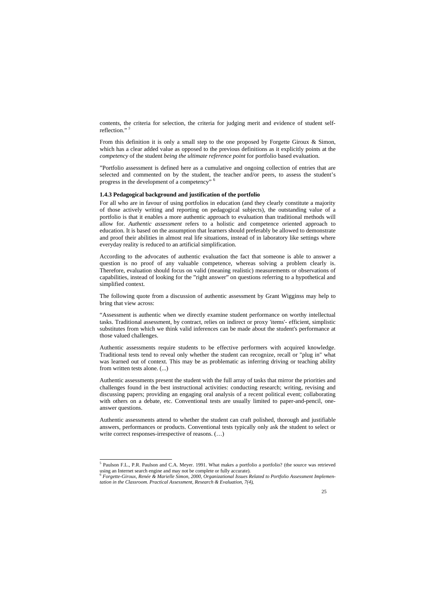contents, the criteria for selection, the criteria for judging merit and evidence of student selfreflection."<sup>5</sup>

From this definition it is only a small step to the one proposed by Forgette Giroux & Simon, which has a clear added value as opposed to the previous definitions as it explicitly points at the *competency* of the student *being the ultimate reference point* for portfolio based evaluation.

"Portfolio assessment is defined here as a cumulative and ongoing collection of entries that are selected and commented on by the student, the teacher and/or peers, to assess the student's progress in the development of a competency" <sup>6</sup>

#### **1.4.3 Pedagogical background and justification of the portfolio**

For all who are in favour of using portfolios in education (and they clearly constitute a majority of those actively writing and reporting on pedagogical subjects), the outstanding value of a portfolio is that it enables a more authentic approach to evaluation than traditional methods will allow for. *Authentic assessment* refers to a holistic and competence oriented approach to education. It is based on the assumption that learners should preferably be allowed to demonstrate and proof their abilities in almost real life situations, instead of in laboratory like settings where everyday reality is reduced to an artificial simplification.

According to the advocates of authentic evaluation the fact that someone is able to answer a question is no proof of any valuable competence, whereas solving a problem clearly is. Therefore, evaluation should focus on valid (meaning realistic) measurements or observations of capabilities, instead of looking for the "right answer" on questions referring to a hypothetical and simplified context.

The following quote from a discussion of authentic assessment by Grant Wigginss may help to bring that view across:

"Assessment is authentic when we directly examine student performance on worthy intellectual tasks. Traditional assessment, by contract, relies on indirect or proxy 'items'- efficient, simplistic substitutes from which we think valid inferences can be made about the student's performance at those valued challenges.

Authentic assessments require students to be effective performers with acquired knowledge. Traditional tests tend to reveal only whether the student can recognize, recall or "plug in" what was learned out of context. This may be as problematic as inferring driving or teaching ability from written tests alone. (...)

Authentic assessments present the student with the full array of tasks that mirror the priorities and challenges found in the best instructional activities: conducting research; writing, revising and discussing papers; providing an engaging oral analysis of a recent political event; collaborating with others on a debate, etc. Conventional tests are usually limited to paper-and-pencil, oneanswer questions.

Authentic assessments attend to whether the student can craft polished, thorough and justifiable answers, performances or products. Conventional tests typically only ask the student to select or write correct responses-irrespective of reasons. (…)

 $\overline{a}$ 

<sup>&</sup>lt;sup>5</sup> Paulson F.L., P.R. Paulson and C.A. Meyer. 1991. What makes a portfolio a portfolio? (the source was retrieved using an Internet search engine and may not be complete or fully accurate).

<sup>6</sup> *Forgette-Giroux, Renée & Marielle Simon, 2000, Organizational Issues Related to Portfolio Assessment Implementation in the Classroom. Practical Assessment, Research & Evaluation, 7(4).*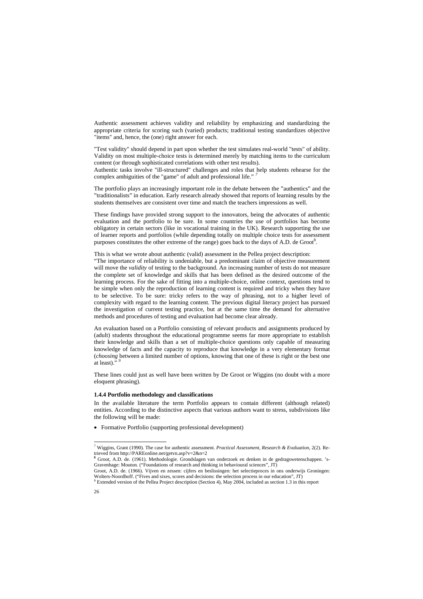Authentic assessment achieves validity and reliability by emphasizing and standardizing the appropriate criteria for scoring such (varied) products; traditional testing standardizes objective "items" and, hence, the (one) right answer for each.

"Test validity" should depend in part upon whether the test simulates real-world "tests" of ability. Validity on most multiple-choice tests is determined merely by matching items to the curriculum content (or through sophisticated correlations with other test results).

Authentic tasks involve "ill-structured" challenges and roles that help students rehearse for the complex ambiguities of the "game" of adult and professional life." *<sup>7</sup>*

The portfolio plays an increasingly important role in the debate between the "authentics" and the "traditionalists" in education. Early research already showed that reports of learning results by the students themselves are consistent over time and match the teachers impressions as well.

These findings have provided strong support to the innovators, being the advocates of authentic evaluation and the portfolio to be sure. In some countries the use of portfolios has become obligatory in certain sectors (like in vocational training in the UK). Research supporting the use of learner reports and portfolios (while depending totally on multiple choice tests for assessment purposes constitutes the other extreme of the range) goes back to the days of A.D. de Groot<sup>8</sup>.

This is what we wrote about authentic (valid) assessment in the Pellea project description:

"The importance of reliability is undeniable, but a predominant claim of objective measurement will move the *validity* of testing to the background. An increasing number of tests do not measure the complete set of knowledge and skills that has been defined as the desired outcome of the learning process. For the sake of fitting into a multiple-choice, online context, questions tend to be simple when only the reproduction of learning content is required and tricky when they have to be selective. To be sure: tricky refers to the way of phrasing, not to a higher level of complexity with regard to the learning content. The previous digital literacy project has pursued the investigation of current testing practice, but at the same time the demand for alternative methods and procedures of testing and evaluation had become clear already.

An evaluation based on a Portfolio consisting of relevant products and assignments produced by (adult) students throughout the educational programme seems far more appropriate to establish their knowledge and skills than a set of multiple-choice questions only capable of measuring knowledge of facts and the capacity to reproduce that knowledge in a very elementary format (*choosing* between a limited number of options, knowing that one of these is right or the best one at least)." *<sup>9</sup>*

These lines could just as well have been written by De Groot or Wiggins (no doubt with a more eloquent phrasing).

#### **1.4.4 Portfolio methodology and classifications**

In the available literature the term Portfolio appears to contain different (although related) entities. According to the distinctive aspects that various authors want to stress, subdivisions like the following will be made:

• Formative Portfolio (supporting professional development)

-

<sup>7</sup> Wiggins, Grant (1990). The case for authentic assessment. *Practical Assessment, Research & Evaluation*, 2(2). Retrieved from http://PAREonline.net/getvn.asp?v=2&n=2

**<sup>8</sup>** Groot, A.D. de. (1961). Methodologie. Grondslagen van onderzoek en denken in de gedragswetenschappen. 's-Gravenhage: Mouton. ("Foundations of research and thinking in behavioural sciences", JT)

Groot, A.D. de. (1966). Vijven en zessen: cijfers en beslissingen: het selectieproces in ons onderwijs Groningen: Wolters-Noordhoff. ("Fives and sixes, scores and decisions: the selection process in our education", JT)

<sup>&</sup>lt;sup>9</sup> Extended version of the Pellea Project description (Section 4), May 2004, included as section 1.3 in this report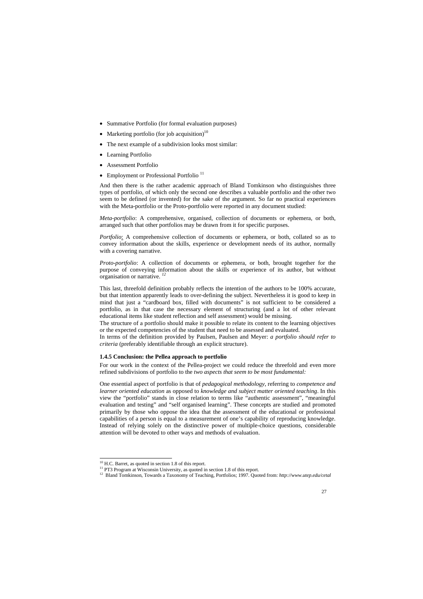- Summative Portfolio (for formal evaluation purposes)
- Marketing portfolio (for job acquisition)<sup>10</sup>
- The next example of a subdivision looks most similar:
- Learning Portfolio
- Assessment Portfolio
- Employment or Professional Portfolio<sup>11</sup>

And then there is the rather academic approach of Bland Tomkinson who distinguishes three types of portfolio, of which only the second one describes a valuable portfolio and the other two seem to be defined (or invented) for the sake of the argument. So far no practical experiences with the Meta-portfolio or the Proto-portfolio were reported in any document studied:

*Meta-portfolio*: A comprehensive, organised, collection of documents or ephemera, or both, arranged such that other portfolios may be drawn from it for specific purposes.

*Portfolio*: A comprehensive collection of documents or ephemera, or both, collated so as to convey information about the skills, experience or development needs of its author, normally with a covering narrative.

*Proto-portfolio*: A collection of documents or ephemera, or both, brought together for the purpose of conveying information about the skills or experience of its author, but without organisation or narrative. *<sup>12</sup>*

This last, threefold definition probably reflects the intention of the authors to be 100% accurate, but that intention apparently leads to over-defining the subject. Nevertheless it is good to keep in mind that just a "cardboard box, filled with documents" is not sufficient to be considered a portfolio, as in that case the necessary element of structuring (and a lot of other relevant educational items like student reflection and self assessment) would be missing.

The structure of a portfolio should make it possible to relate its content to the learning objectives or the expected competencies of the student that need to be assessed and evaluated.

In terms of the definition provided by Paulsen, Paulsen and Meyer: *a portfolio should refer to criteria* (preferably identifiable through an explicit structure).

#### **1.4.5 Conclusion: the Pellea approach to portfolio**

For our work in the context of the Pellea-project we could reduce the threefold and even more refined subdivisions of portfolio to the *two aspects that seem to be most fundamental:* 

One essential aspect of portfolio is that of *pedagogical methodology*, referring to *competence and learner oriented education* as opposed to *knowledge and subject matter oriented teaching*. In this view the "portfolio" stands in close relation to terms like "authentic assessment", "meaningful evaluation and testing" and "self organised learning". These concepts are studied and promoted primarily by those who oppose the idea that the assessment of the educational or professional capabilities of a person is equal to a measurement of one's capability of reproducing knowledge. Instead of relying solely on the distinctive power of multiple-choice questions, considerable attention will be devoted to other ways and methods of evaluation.

 $\overline{a}$ 

<sup>&</sup>lt;sup>10</sup> H.C. Barret, as quoted in section 1.8 of this report.

<sup>&</sup>lt;sup>11</sup> PT3 Program at Wisconsin University, as quoted in section 1.8 of this report.

<sup>12</sup> Bland Tomkinson, Towards a Taxonomy of Teaching, Portfolios; 1997. Quoted from: *http://www.utep.edu/cetal*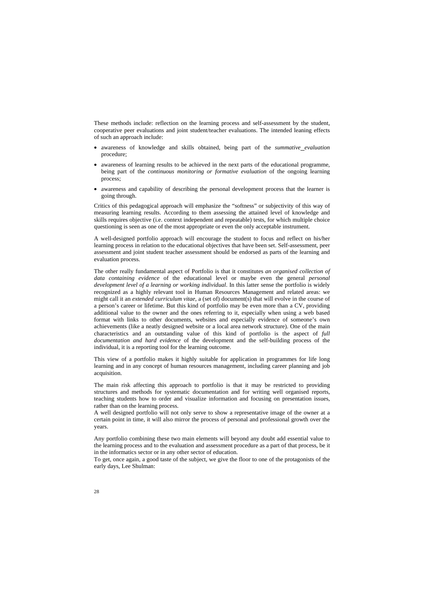These methods include: reflection on the learning process and self-assessment by the student, cooperative peer evaluations and joint student/teacher evaluations. The intended leaning effects of such an approach include:

- awareness of knowledge and skills obtained, being part of the *summative evaluation* procedure;
- awareness of learning results to be achieved in the next parts of the educational programme, being part of the *continuous monitoring or formative evaluation* of the ongoing learning process;
- awareness and capability of describing the personal development process that the learner is going through.

Critics of this pedagogical approach will emphasize the "softness" or subjectivity of this way of measuring learning results. According to them assessing the attained level of knowledge and skills requires objective (i.e. context independent and repeatable) tests, for which multiple choice questioning is seen as one of the most appropriate or even the only acceptable instrument.

A well-designed portfolio approach will encourage the student to focus and reflect on his/her learning process in relation to the educational objectives that have been set. Self-assessment, peer assessment and joint student teacher assessment should be endorsed as parts of the learning and evaluation process.

The other really fundamental aspect of Portfolio is that it constitutes *an organised collection of data containing evidence* of the educational level or maybe even the general *personal development level of a learning or working individual*. In this latter sense the portfolio is widely recognized as a highly relevant tool in Human Resources Management and related areas: we might call it an *extended curriculum vitae*, a (set of) document(s) that will evolve in the course of a person's career or lifetime. But this kind of portfolio may be even more than a CV, providing additional value to the owner and the ones referring to it, especially when using a web based format with links to other documents, websites and especially evidence of someone's own achievements (like a neatly designed website or a local area network structure). One of the main characteristics and an outstanding value of this kind of portfolio is the aspect of *full documentation and hard evidence* of the development and the self-building process of the individual, it is a reporting tool for the learning outcome.

This view of a portfolio makes it highly suitable for application in programmes for life long learning and in any concept of human resources management, including career planning and job acquisition.

The main risk affecting this approach to portfolio is that it may be restricted to providing structures and methods for systematic documentation and for writing well organised reports, teaching students how to order and visualize information and focusing on presentation issues, rather than on the learning process.

A well designed portfolio will not only serve to show a representative image of the owner at a certain point in time, it will also mirror the process of personal and professional growth over the years.

Any portfolio combining these two main elements will beyond any doubt add essential value to the learning process and to the evaluation and assessment procedure as a part of that process, be it in the informatics sector or in any other sector of education.

To get, once again, a good taste of the subject, we give the floor to one of the protagonists of the early days, Lee Shulman: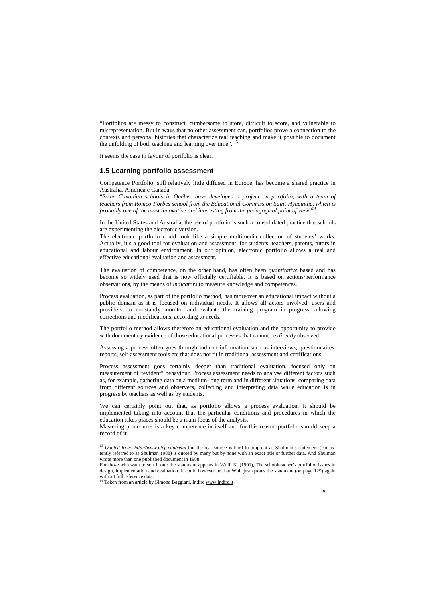"Portfolios are messy to construct, cumbersome to store, difficult to score, and vulnerable to misrepresentation. But in ways that no other assessment can, portfolios prove a connection to the contexts and personal histories that characterize real teaching and make it possible to document the unfolding of both teaching and learning over time". <sup>13</sup>

It seems the case in favour of portfolio is clear.

### **1.5 Learning portfolio assessment**

Competence Portfolio, still relatively little diffused in Europe, has become a shared practice in Australia, America e Canada.

"*Some Canadian schools in Québec have developed a project on portfolio, with a team of teachers from Roméo-Forbes school from the Educational Commission Saint-Hyacinthe, which is probably one of the most innovative and interesting from the pedagogical point of view*" *14*

In the United States and Australia, the use of portfolio is such a consolidated practice that schools are experimenting the electronic version.

The electronic portfolio could look like a simple multimedia collection of students' works. Actually, it's a good tool for evaluation and assessment, for students, teachers, parents, tutors in educational and labour environment. In our opinion, electronic portfolio allows a real and effective educational evaluation and assessment.

The evaluation of competence, on the other hand, has often been *quantitative* based and has become so widely used that is now officially certifiable. It is based on actions/performance observations, by the means of *indicators* to measure knowledge and competences.

Process evaluation, as part of the portfolio method, has moreover an educational impact without a public domain as it is focused on individual needs. It allows all actors involved, users and providers, to constantly monitor and evaluate the training program in progress, allowing corrections and modifications, according to needs.

The portfolio method allows therefore an educational evaluation and the opportunity to provide with documentary evidence of those educational processes that cannot be *directly* observed.

Assessing a process often goes through indirect information such as interviews, questionnaires, reports, self-assessment tools etc that does not fit in traditional assessment and certifications.

Process assessment goes certainly deeper than traditional evaluation, focused only on measurement of "evident" behaviour. Process assessment needs to analyse different factors such as, for example, gathering data on a medium-long term and in different situations, comparing data from different sources and observers, collecting and interpreting data while education is in progress by teachers as well as by students.

We can certainly point out that, as portfolio allows a process evaluation, it should be implemented taking into account that the particular conditions and procedures in which the education takes places should be a main focus of the analysis.

Mastering procedures is a key competence in itself and for this reason portfolio should keep a record of it.

 $\overline{a}$ 

<sup>&</sup>lt;sup>13</sup> *Quoted from: http://www.utep.edu/cetal* but the real source is hard to pinpoint as Shulman's statement (consistently referred to as Shulman 1988) is quoted by many but by none with an exact title or further data. And Shulman wrote more than one published document in 1988.

For those who want to sort it out: the statement appears in Wolf, K. (1991), The schoolteacher's portfolio: issues in design, implementation and evaluation. It could however be that Wolf just quotes the statement (on page 129) again without full reference data.

<sup>&</sup>lt;sup>14</sup> Taken from an article by Simona Baggiani, Indire www.indire.it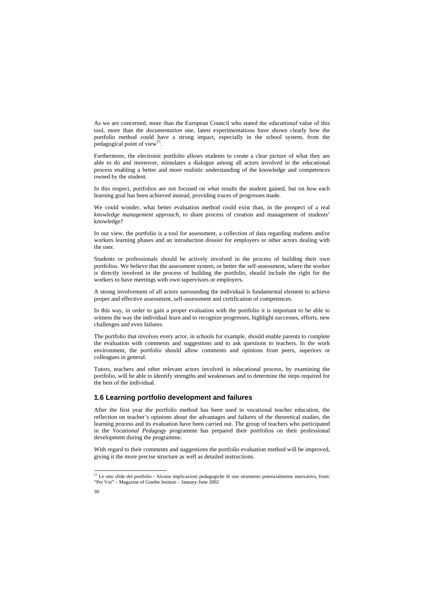As we are concerned, more than the European Council who stated the *educational* value of this tool, more than the *documentation* one, latest experimentations have shown clearly how the portfolio method could have a strong impact, especially in the school system, from the pedagogical point of view<sup>15</sup>.

Furthermore, the electronic portfolio allows students to create a clear picture of what they are able to do and moreover, stimulates a dialogue among all actors involved in the educational process enabling a better and more realistic understanding of the knowledge and competences owned by the student.

In this respect, portfolios are not focused on *what* results the student gained, but on *how* each learning goal has been achieved instead, providing traces of progresses made.

We could wonder, what better evaluation method could exist than, in the prospect of a real *knowledge management approach*, to share process of creation and management of students' knowledge?

In our view, the portfolio is a tool for assessment, a collection of data regarding students and/or workers learning phases and an introduction dossier for employers or other actors dealing with the user.

Students or professionals should be actively involved in the process of building their own portfolios. We believe that the assessment system, or better the self-assessment, where the worker is directly involved in the process of building the portfolio, should include the right for the workers to have meetings with own supervisors or employers.

A strong involvement of all actors surrounding the individual is fundamental element to achieve proper and effective assessment, self-assessment and certification of competences.

In this way, in order to gain a proper evaluation with the portfolio it is important to be able to witness the way the individual learn and to recognize progresses, highlight successes, efforts, new challenges and even failures.

The portfolio that involves every actor, in schools for example, should enable parents to complete the evaluation with comments and suggestions and to ask questions to teachers. In the work environment, the portfolio should allow comments and opinions from peers, superiors or colleagues in general.

Tutors, teachers and other relevant actors involved in educational process, by examining the portfolio, will be able to identify strengths and weaknesses and to determine the steps required for the best of the individual.

## **1.6 Learning portfolio development and failures**

After the first year the portfolio method has been used in vocational teacher education, the reflection on teacher's opinions about the advantages and failures of the theoretical studies, the learning process and its evaluation have been carried out. The group of teachers who participated in the *Vocational Pedagogy* programme has prepared their portfolios on their professional development during the programme.

With regard to their comments and suggestions the portfolio evaluation method will be improved, giving it the more precise structure as well as detailed instructions.

<sup>-</sup><sup>15</sup> Le otto sfide del portfolio - Alcune implicazioni pedagogiche di uno strumento potenzialmente innovativo, from: "Per Voi" – Magazine of Goethe Insitute – January-June 2002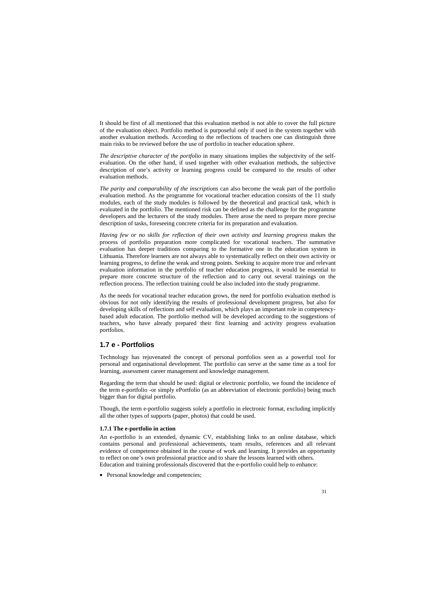It should be first of all mentioned that this evaluation method is not able to cover the full picture of the evaluation object. Portfolio method is purposeful only if used in the system together with another evaluation methods. According to the reflections of teachers one can distinguish three main risks to be reviewed before the use of portfolio in teacher education sphere.

*The descriptive character of the portfolio* in many situations implies the subjectivity of the selfevaluation. On the other hand, if used together with other evaluation methods, the subjective description of one's activity or learning progress could be compared to the results of other evaluation methods.

*The parity and comparability of the inscriptions* can also become the weak part of the portfolio evaluation method. As the programme for vocational teacher education consists of the 11 study modules, each of the study modules is followed by the theoretical and practical task, which is evaluated in the portfolio. The mentioned risk can be defined as the challenge for the programme developers and the lecturers of the study modules. There arose the need to prepare more precise description of tasks, foreseeing concrete criteria for its preparation and evaluation.

*Having few or no skills for reflection of their own activity and learning progress* makes the process of portfolio preparation more complicated for vocational teachers. The summative evaluation has deeper traditions comparing to the formative one in the education system in Lithuania. Therefore learners are not always able to systematically reflect on their own activity or learning progress, to define the weak and strong points. Seeking to acquire more true and relevant evaluation information in the portfolio of teacher education progress, it would be essential to prepare more concrete structure of the reflection and to carry out several trainings on the reflection process. The reflection training could be also included into the study programme.

As the needs for vocational teacher education grows, the need for portfolio evaluation method is obvious for not only identifying the results of professional development progress, but also for developing skills of reflections and self evaluation, which plays an important role in competencybased adult education. The portfolio method will be developed according to the suggestions of teachers, who have already prepared their first learning and activity progress evaluation portfolios.

## **1.7 e - Portfolios**

Technology has rejuvenated the concept of personal portfolios seen as a powerful tool for personal and organisational development. The portfolio can serve at the same time as a tool for learning, assessment career management and knowledge management.

Regarding the term that should be used: digital or electronic portfolio, we found the incidence of the term e-portfolio -or simply ePortfolio (as an abbreviation of electronic portfolio) being much bigger than for digital portfolio.

Though, the term e-portfolio suggests solely a portfolio in electronic format, excluding implicitly all the other types of supports (paper, photos) that could be used.

#### **1.7.1 The e-portfolio in action**

An e-portfolio is an extended, dynamic CV, establishing links to an online database, which contains personal and professional achievements, team results, references and all relevant evidence of competence obtained in the course of work and learning. It provides an opportunity to reflect on one's own professional practice and to share the lessons learned with others. Education and training professionals discovered that the e-portfolio could help to enhance:

• Personal knowledge and competencies;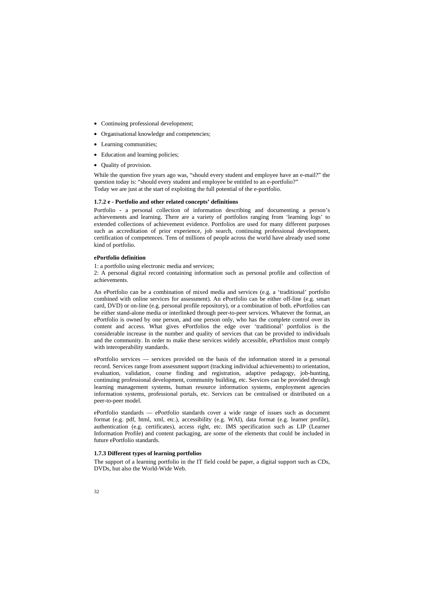- Continuing professional development;
- Organisational knowledge and competencies;
- Learning communities;
- Education and learning policies;
- Quality of provision.

While the question five years ago was, "should every student and employee have an e-mail?" the question today is: "should every student and employee be entitled to an e-portfolio?" Today we are just at the start of exploiting the full potential of the e-portfolio.

#### **1.7.2 e - Portfolio and other related concepts' definitions**

Portfolio **-** a personal collection of information describing and documenting a person's achievements and learning. There are a variety of portfolios ranging from 'learning logs' to extended collections of achievement evidence. Portfolios are used for many different purposes such as accreditation of prior experience, job search, continuing professional development, certification of competences. Tens of millions of people across the world have already used some kind of portfolio.

#### **ePortfolio definition**

1: a portfolio using electronic media and services;

2: A personal digital record containing information such as personal profile and collection of achievements.

An ePortfolio can be a combination of mixed media and services (e.g. a 'traditional' portfolio combined with online services for assessment). An ePortfolio can be either off-line (e.g. smart card, DVD) or on-line (e.g. personal profile repository), or a combination of both. ePortfolios can be either stand-alone media or interlinked through peer-to-peer services. Whatever the format, an ePortfolio is owned by one person, and one person only, who has the complete control over its content and access. What gives ePortfolios the edge over 'traditional' portfolios is the considerable increase in the number and quality of services that can be provided to individuals and the community. In order to make these services widely accessible, ePortfolios must comply with interoperability standards.

ePortfolio services — services provided on the basis of the information stored in a personal record. Services range from assessment support (tracking individual achievements) to orientation, evaluation, validation, course finding and registration, adaptive pedagogy, job-hunting, continuing professional development, community building, etc. Services can be provided through learning management systems, human resource information systems, employment agencies information systems, professional portals, etc. Services can be centralised or distributed on a peer-to-peer model.

ePortfolio standards — ePortfolio standards cover a wide range of issues such as document format (e.g. pdf, html, xml, etc.), accessibility (e.g. WAI), data format (e.g. learner profile), authentication (e.g. certificates), access right, etc. IMS specification such as LIP (Learner Information Profile) and content packaging, are some of the elements that could be included in future ePortfolio standards.

#### **1.7.3 Different types of learning portfolios**

The support of a learning portfolio in the IT field could be paper, a digital support such as CDs, DVDs, but also the World-Wide Web.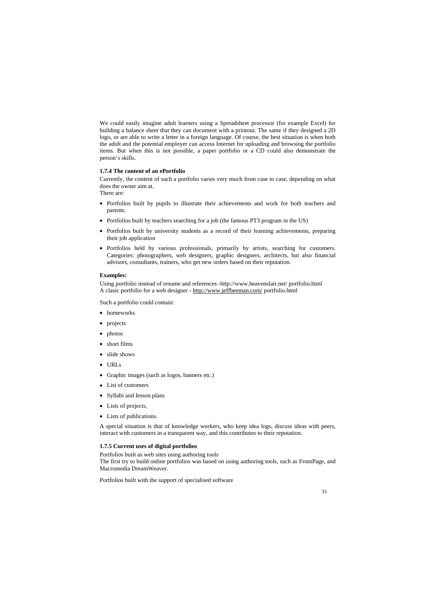We could easily imagine adult learners using a Spreadsheet processor (for example Excel) for building a balance sheet that they can document with a printout. The same if they designed a 2D logo, or are able to write a letter in a foreign language. Of course, the best situation is when both the adult and the potential employer can access Internet for uploading and browsing the portfolio items. But when this is not possible, a paper portfolio or a CD could also demonstrate the person's skills.

#### **1.7.4 The content of an ePortfolio**

Currently, the content of such a portfolio varies very much from case to case, depending on what does the owner aim at.

There are:

- Portfolios built by pupils to illustrate their achievements and work for both teachers and parents.
- Portfolios built by teachers searching for a job (the famous PT3 program in the US)
- Portfolios built by university students as a record of their learning achievements, preparing their job application
- Portfolios held by various professionals, primarily by artists, searching for customers. Categories: photographers, web designers, graphic designers, architects, but also financial advisors, consultants, trainers, who get new orders based on their reputation.

#### **Examples:**

Using portfolio instead of resume and references -http://www.heavenslair.net/ portfolio.html A clasic portfolio for a web designer - http://www.jeffbeeman.com/ portfolio.html

Such a portfolio could contain:

- homeworks
- projects
- photos
- short films
- slide shows
- URLs
- Graphic images (such as logos, banners etc.)
- List of customers
- Syllabi and lesson plans
- Lists of projects,
- Lists of publications.

A special situation is that of knowledge workers, who keep idea logs, discuss ideas with peers, interact with customers in a transparent way, and this contributes to their reputation.

#### **1.7.5 Current uses of digital portfolios**

Portfolios built as web sites using authoring tools

The first try to build online portfolios was based on using authoring tools, such as FrontPage, and Macromedia DreamWeaver.

Portfolios built with the support of specialised software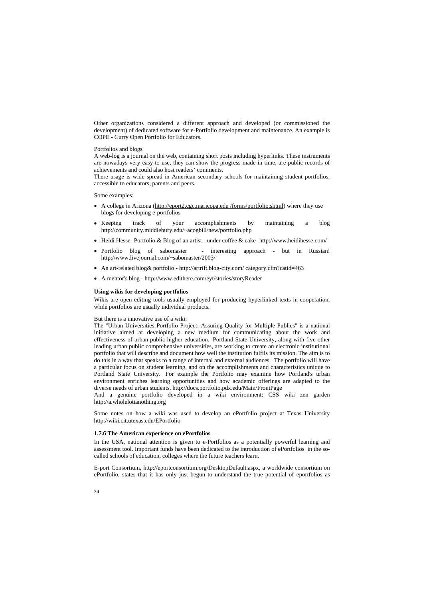Other organizations considered a different approach and developed (or commissioned the development) of dedicated software for e-Portfolio development and maintenance. An example is COPE - Curry Open Portfolio for Educators.

#### Portfolios and blogs

A web-log is a journal on the web, containing short posts including hyperlinks. These instruments are nowadays very easy-to-use, they can show the progress made in time, are public records of achievements and could also host readers' comments.

There usage is wide spread in American secondary schools for maintaining student portfolios, accessible to educators, parents and peers.

Some examples:

- A college in Arizona (http://eport2.cgc.maricopa.edu /forms/portfolio.shtml) where they use blogs for developing e-portfolios
- Keeping track of your accomplishments by maintaining a blog http://community.middlebury.edu/~acogbill/new/portfolio.php
- Heidi Hesse- Portfolio & Blog of an artist under coffee & cake- http://www.heidihesse.com/
- Portfolio blog of sabomaster interesting approach but in Russian! http://www.livejournal.com/~sabomaster/2003/
- An art-related blog & portfolio http://artrift.blog-city.com/ category.cfm?catid=463
- A mentor's blog http://www.edithere.com/eyt/stories/storyReader

#### **Using wikis for developing portfolios**

Wikis are open editing tools usually employed for producing hyperlinked texts in cooperation, while portfolios are usually individual products.

But there is a innovative use of a wiki:

The "Urban Universities Portfolio Project: Assuring Quality for Multiple Publics" is a national initiative aimed at developing a new medium for communicating about the work and effectiveness of urban public higher education. Portland State University, along with five other leading urban public comprehensive universities, are working to create an electronic institutional portfolio that will describe and document how well the institution fulfils its mission. The aim is to do this in a way that speaks to a range of internal and external audiences. The portfolio will have a particular focus on student learning, and on the accomplishments and characteristics unique to Portland State University. For example the Portfolio may examine how Portland's urban environment enriches learning opportunities and how academic offerings are adapted to the diverse needs of urban students. http://docs.portfolio.pdx.edu/Main/FrontPage

And a genuine portfolio developed in a wiki environment: CSS wiki zen garden http://a.wholelottanothing.org

Some notes on how a wiki was used to develop an ePortfolio project at Texas University http://wiki.cit.utexas.edu/EPortfolio

#### **1.7.6 The American experience on ePortfolios**

In the USA, national attention is given to e-Portfolios as a potentially powerful learning and assessment tool. Important funds have been dedicated to the introduction of ePortfolios in the socalled schools of education, colleges where the future teachers learn.

E-port Consortium**,** http://eportconsortium.org/DesktopDefault.aspx, a worldwide consortium on ePortfolio, states that it has only just begun to understand the true potential of eportfolios as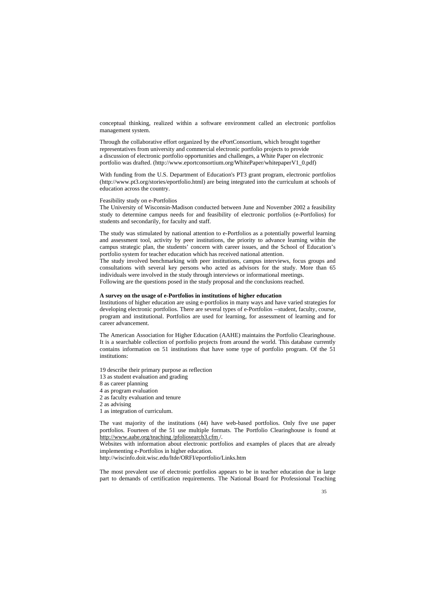conceptual thinking, realized within a software environment called an electronic portfolios management system.

Through the collaborative effort organized by the ePortConsortium, which brought together representatives from university and commercial electronic portfolio projects to provide a discussion of electronic portfolio opportunities and challenges, a White Paper on electronic portfolio was drafted. (http://www.eportconsortium.org/WhitePaper/whitepaperV1\_0.pdf)

With funding from the U.S. Department of Education's PT3 grant program, electronic portfolios (http://www.pt3.org/stories/eportfolio.html) are being integrated into the curriculum at schools of education across the country.

#### Feasibility study on e-Portfolios

The University of Wisconsin-Madison conducted between June and November 2002 a feasibility study to determine campus needs for and feasibility of electronic portfolios (e-Portfolios) for students and secondarily, for faculty and staff.

The study was stimulated by national attention to e-Portfolios as a potentially powerful learning and assessment tool, activity by peer institutions, the priority to advance learning within the campus strategic plan, the students' concern with career issues, and the School of Education's portfolio system for teacher education which has received national attention.

The study involved benchmarking with peer institutions, campus interviews, focus groups and consultations with several key persons who acted as advisors for the study. More than 65 individuals were involved in the study through interviews or informational meetings.

Following are the questions posed in the study proposal and the conclusions reached.

### **A survey on the usage of e-Portfolios in institutions of higher education**

Institutions of higher education are using e-portfolios in many ways and have varied strategies for developing electronic portfolios. There are several types of e-Portfolios --student, faculty, course, program and institutional. Portfolios are used for learning, for assessment of learning and for career advancement.

The American Association for Higher Education (AAHE) maintains the Portfolio Clearinghouse. It is a searchable collection of portfolio projects from around the world. This database currently contains information on 51 institutions that have some type of portfolio program. Of the 51 institutions:

19 describe their primary purpose as reflection 13 as student evaluation and grading 8 as career planning 4 as program evaluation 2 as faculty evaluation and tenure 2 as advising

1 as integration of curriculum.

The vast majority of the institutions (44) have web-based portfolios. Only five use paper portfolios. Fourteen of the 51 use multiple formats. The Portfolio Clearinghouse is found at http://www.aahe.org/teaching /pfoliosearch3.cfm /.

Websites with information about electronic portfolios and examples of places that are already implementing e-Portfolios in higher education.

http://wiscinfo.doit.wisc.edu/ltde/ORFI/eportfolio/Links.htm

The most prevalent use of electronic portfolios appears to be in teacher education due in large part to demands of certification requirements. The National Board for Professional Teaching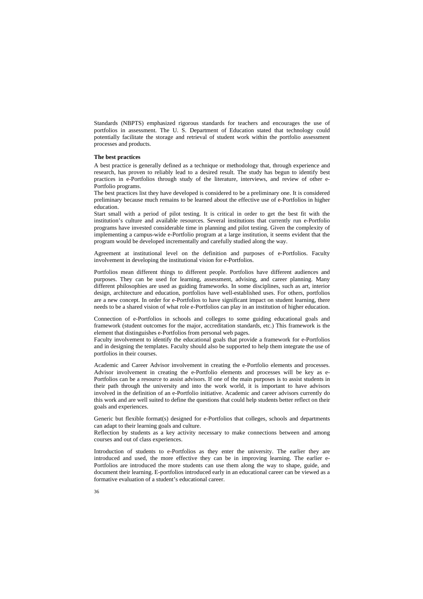Standards (NBPTS) emphasized rigorous standards for teachers and encourages the use of portfolios in assessment. The U. S. Department of Education stated that technology could potentially facilitate the storage and retrieval of student work within the portfolio assessment processes and products.

### **The best practices**

A best practice is generally defined as a technique or methodology that, through experience and research, has proven to reliably lead to a desired result. The study has begun to identify best practices in e-Portfolios through study of the literature, interviews, and review of other e-Portfolio programs.

The best practices list they have developed is considered to be a preliminary one. It is considered preliminary because much remains to be learned about the effective use of e-Portfolios in higher education.

Start small with a period of pilot testing. It is critical in order to get the best fit with the institution's culture and available resources. Several institutions that currently run e-Portfolio programs have invested considerable time in planning and pilot testing. Given the complexity of implementing a campus-wide e-Portfolio program at a large institution, it seems evident that the program would be developed incrementally and carefully studied along the way.

Agreement at institutional level on the definition and purposes of e-Portfolios. Faculty involvement in developing the institutional vision for e-Portfolios.

Portfolios mean different things to different people. Portfolios have different audiences and purposes. They can be used for learning, assessment, advising, and career planning. Many different philosophies are used as guiding frameworks. In some disciplines, such as art, interior design, architecture and education, portfolios have well-established uses. For others, portfolios are a new concept. In order for e-Portfolios to have significant impact on student learning, there needs to be a shared vision of what role e-Portfolios can play in an institution of higher education.

Connection of e-Portfolios in schools and colleges to some guiding educational goals and framework (student outcomes for the major, accreditation standards, etc.) This framework is the element that distinguishes e-Portfolios from personal web pages.

Faculty involvement to identify the educational goals that provide a framework for e-Portfolios and in designing the templates. Faculty should also be supported to help them integrate the use of portfolios in their courses.

Academic and Career Advisor involvement in creating the e-Portfolio elements and processes. Advisor involvement in creating the e-Portfolio elements and processes will be key as e-Portfolios can be a resource to assist advisors. If one of the main purposes is to assist students in their path through the university and into the work world, it is important to have advisors involved in the definition of an e-Portfolio initiative. Academic and career advisors currently do this work and are well suited to define the questions that could help students better reflect on their goals and experiences.

Generic but flexible format(s) designed for e-Portfolios that colleges, schools and departments can adapt to their learning goals and culture.

Reflection by students as a key activity necessary to make connections between and among courses and out of class experiences.

Introduction of students to e-Portfolios as they enter the university. The earlier they are introduced and used, the more effective they can be in improving learning. The earlier e-Portfolios are introduced the more students can use them along the way to shape, guide, and document their learning. E-portfolios introduced early in an educational career can be viewed as a formative evaluation of a student's educational career.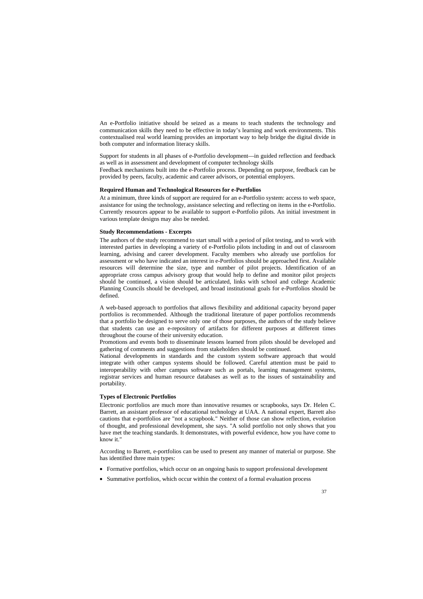An e-Portfolio initiative should be seized as a means to teach students the technology and communication skills they need to be effective in today's learning and work environments. This contextualised real world learning provides an important way to help bridge the digital divide in both computer and information literacy skills.

Support for students in all phases of e-Portfolio development—in guided reflection and feedback as well as in assessment and development of computer technology skills

Feedback mechanisms built into the e-Portfolio process. Depending on purpose, feedback can be provided by peers, faculty, academic and career advisors, or potential employers.

### **Required Human and Technological Resources for e-Portfolios**

At a minimum, three kinds of support are required for an e-Portfolio system: access to web space, assistance for using the technology, assistance selecting and reflecting on items in the e-Portfolio. Currently resources appear to be available to support e-Portfolio pilots. An initial investment in various template designs may also be needed.

### **Study Recommendations - Excerpts**

The authors of the study recommend to start small with a period of pilot testing, and to work with interested parties in developing a variety of e-Portfolio pilots including in and out of classroom learning, advising and career development. Faculty members who already use portfolios for assessment or who have indicated an interest in e-Portfolios should be approached first. Available resources will determine the size, type and number of pilot projects. Identification of an appropriate cross campus advisory group that would help to define and monitor pilot projects should be continued, a vision should be articulated, links with school and college Academic Planning Councils should be developed, and broad institutional goals for e-Portfolios should be defined.

A web-based approach to portfolios that allows flexibility and additional capacity beyond paper portfolios is recommended. Although the traditional literature of paper portfolios recommends that a portfolio be designed to serve only one of those purposes, the authors of the study believe that students can use an e-repository of artifacts for different purposes at different times throughout the course of their university education.

Promotions and events both to disseminate lessons learned from pilots should be developed and gathering of comments and suggestions from stakeholders should be continued.

National developments in standards and the custom system software approach that would integrate with other campus systems should be followed. Careful attention must be paid to interoperability with other campus software such as portals, learning management systems, registrar services and human resource databases as well as to the issues of sustainability and portability.

### **Types of Electronic Portfolios**

Electronic portfolios are much more than innovative resumes or scrapbooks, says Dr. Helen C. Barrett, an assistant professor of educational technology at UAA. A national expert, Barrett also cautions that e-portfolios are "not a scrapbook." Neither of those can show reflection, evolution of thought, and professional development, she says. "A solid portfolio not only shows that you have met the teaching standards. It demonstrates, with powerful evidence, how you have come to know it."

According to Barrett, e-portfolios can be used to present any manner of material or purpose. She has identified three main types:

- Formative portfolios, which occur on an ongoing basis to support professional development
- Summative portfolios, which occur within the context of a formal evaluation process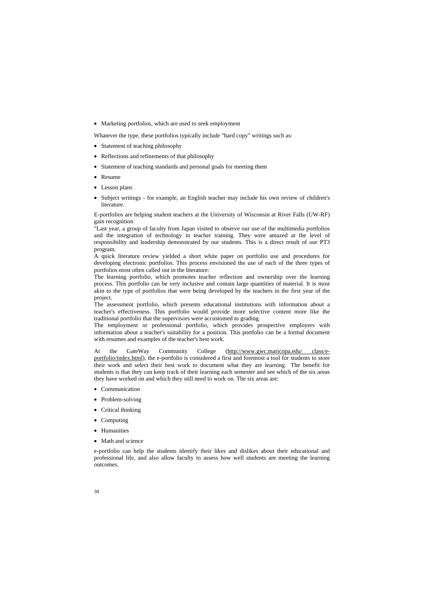• Marketing portfolios, which are used to seek employment

Whatever the type, these portfolios typically include "hard copy" writings such as:

- Statement of teaching philosophy
- Reflections and refinements of that philosophy
- Statement of teaching standards and personal goals for meeting them
- Resume
- Lesson plans
- Subject writings for example, an English teacher may include his own review of children's literature.

E-portfolios are helping student teachers at the University of Wisconsin at River Falls (UW-RF) gain recognition

"Last year, a group of faculty from Japan visited to observe our use of the multimedia portfolios and the integration of technology in teacher training. They were amazed at the level of responsibility and leadership demonstrated by our students. This is a direct result of our PT3 program.

A quick literature review yielded a short white paper on portfolio use and procedures for developing electronic portfolios. This process envisioned the use of each of the three types of portfolios most often called out in the literature:

The learning portfolio, which promotes teacher reflection and ownership over the learning process. This portfolio can be very inclusive and contain large quantities of material. It is most akin to the type of portfolios that were being developed by the teachers in the first year of the project.

The assessment portfolio, which presents educational institutions with information about a teacher's effectiveness. This portfolio would provide more selective content more like the traditional portfolio that the supervisors were accustomed to grading.

The employment or professional portfolio, which provides prospective employers with information about a teacher's suitability for a position. This portfolio can be a formal document with resumes and examples of the teacher's best work.

At the GateWay Community College (http://www.gwc.maricopa.edu/ class/eportfolio/index.html), the e-portfolio is considered a first and foremost a tool for students to store their work and select their best work to document what they are learning. The benefit for students is that they can keep track of their learning each semester and see which of the six areas they have worked on and which they still need to work on. The six areas are:

- Communication
- Problem-solving
- Critical thinking
- Computing
- Humanities
- Math and science

e-portfolio can help the students identify their likes and dislikes about their educational and professional life, and also allow faculty to assess how well students are meeting the learning outcomes.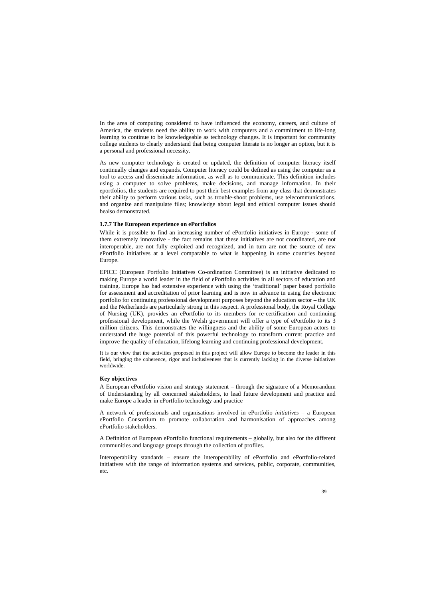In the area of computing considered to have influenced the economy, careers, and culture of America, the students need the ability to work with computers and a commitment to life-long learning to continue to be knowledgeable as technology changes. It is important for community college students to clearly understand that being computer literate is no longer an option, but it is a personal and professional necessity.

As new computer technology is created or updated, the definition of computer literacy itself continually changes and expands. Computer literacy could be defined as using the computer as a tool to access and disseminate information, as well as to communicate. This definition includes using a computer to solve problems, make decisions, and manage information. In their eportfolios, the students are required to post their best examples from any class that demonstrates their ability to perform various tasks, such as trouble-shoot problems, use telecommunications, and organize and manipulate files; knowledge about legal and ethical computer issues should bealso demonstrated.

### **1.7.7 The European experience on ePortfolios**

While it is possible to find an increasing number of ePortfolio initiatives in Europe - some of them extremely innovative - the fact remains that these initiatives are not coordinated, are not interoperable, are not fully exploited and recognized, and in turn are not the source of new ePortfolio initiatives at a level comparable to what is happening in some countries beyond Europe.

EPICC (European Portfolio Initiatives Co-ordination Committee) is an initiative dedicated to making Europe a world leader in the field of ePortfolio activities in all sectors of education and training. Europe has had extensive experience with using the 'traditional' paper based portfolio for assessment and accreditation of prior learning and is now in advance in using the electronic portfolio for continuing professional development purposes beyond the education sector – the UK and the Netherlands are particularly strong in this respect. A professional body, the Royal College of Nursing (UK), provides an ePortfolio to its members for re-certification and continuing professional development, while the Welsh government will offer a type of ePortfolio to its 3 million citizens. This demonstrates the willingness and the ability of some European actors to understand the huge potential of this powerful technology to transform current practice and improve the quality of education, lifelong learning and continuing professional development.

It is our view that the activities proposed in this project will allow Europe to become the leader in this field, bringing the coherence, rigor and inclusiveness that is currently lacking in the diverse initiatives worldwide.

### **Key objectives**

A European ePortfolio vision and strategy statement – through the signature of a Memorandum of Understanding by all concerned stakeholders, to lead future development and practice and make Europe a leader in ePortfolio technology and practice

A network of professionals and organisations involved in ePortfolio *initiatives* – a European ePortfolio Consortium to promote collaboration and harmonisation of approaches among ePortfolio stakeholders.

A Definition of European ePortfolio functional requirements – globally, but also for the different communities and language groups through the collection of profiles.

Interoperability standards – ensure the interoperability of ePortfolio and ePortfolio-related initiatives with the range of information systems and services, public, corporate, communities, etc.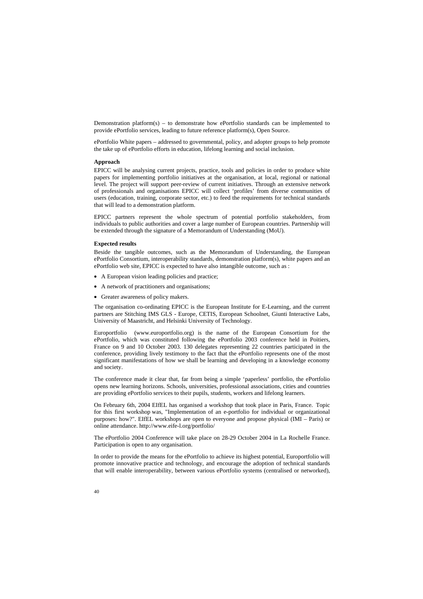Demonstration platform(s) – to demonstrate how ePortfolio standards can be implemented to provide ePortfolio services, leading to future reference platform(s), Open Source.

ePortfolio White papers – addressed to governmental, policy, and adopter groups to help promote the take up of ePortfolio efforts in education, lifelong learning and social inclusion.

### **Approach**

EPICC will be analysing current projects, practice, tools and policies in order to produce white papers for implementing portfolio initiatives at the organisation, at local, regional or national level. The project will support peer-review of current initiatives. Through an extensive network of professionals and organisations EPICC will collect 'profiles' from diverse communities of users (education, training, corporate sector, etc.) to feed the requirements for technical standards that will lead to a demonstration platform.

EPICC partners represent the whole spectrum of potential portfolio stakeholders, from individuals to public authorities and cover a large number of European countries. Partnership will be extended through the signature of a Memorandum of Understanding (MoU).

### **Expected results**

Beside the tangible outcomes, such as the Memorandum of Understanding, the European ePortfolio Consortium, interoperability standards, demonstration platform(s), white papers and an ePortfolio web site, EPICC is expected to have also intangible outcome, such as :

- A European vision leading policies and practice;
- A network of practitioners and organisations;
- Greater awareness of policy makers.

The organisation co-ordinating EPICC is the European Institute for E-Learning, and the current partners are Stitching IMS GLS - Europe, CETIS, European Schoolnet, Giunti Interactive Labs, University of Maastricht, and Helsinki University of Technology.

Europortfolio (www.europortfolio.org) is the name of the European Consortium for the ePortfolio, which was constituted following the ePortfolio 2003 conference held in Poitiers, France on 9 and 10 October 2003. 130 delegates representing 22 countries participated in the conference, providing lively testimony to the fact that the ePortfolio represents one of the most significant manifestations of how we shall be learning and developing in a knowledge economy and society.

The conference made it clear that, far from being a simple 'paperless' portfolio, the ePortfolio opens new learning horizons. Schools, universities, professional associations, cities and countries are providing ePortfolio services to their pupils, students, workers and lifelong learners.

On February 6th, 2004 EIfEL has organised a workshop that took place in Paris, France. Topic for this first workshop was, "Implementation of an e-portfolio for individual or organizational purposes: how?". EIfEL workshops are open to everyone and propose physical (IMI – Paris) or online attendance. http://www.eife-l.org/portfolio/

The ePortfolio 2004 Conference will take place on 28-29 October 2004 in La Rochelle France. Participation is open to any organisation.

In order to provide the means for the ePortfolio to achieve its highest potential, Europortfolio will promote innovative practice and technology, and encourage the adoption of technical standards that will enable interoperability, between various ePortfolio systems (centralised or networked),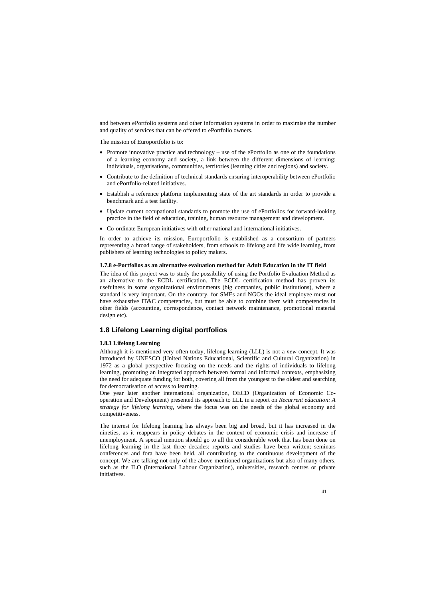and between ePortfolio systems and other information systems in order to maximise the number and quality of services that can be offered to ePortfolio owners.

The mission of Europortfolio is to:

- Promote innovative practice and technology use of the ePortfolio as one of the foundations of a learning economy and society, a link between the different dimensions of learning: individuals, organisations, communities, territories (learning cities and regions) and society.
- Contribute to the definition of technical standards ensuring interoperability between ePortfolio and ePortfolio-related initiatives.
- Establish a reference platform implementing state of the art standards in order to provide a benchmark and a test facility.
- Update current occupational standards to promote the use of ePortfolios for forward-looking practice in the field of education, training, human resource management and development.
- Co-ordinate European initiatives with other national and international initiatives.

In order to achieve its mission, Europortfolio is established as a consortium of partners representing a broad range of stakeholders, from schools to lifelong and life wide learning, from publishers of learning technologies to policy makers.

### **1.7.8 e-Portfolios as an alternative evaluation method for Adult Education in the IT field**

The idea of this project was to study the possibility of using the Portfolio Evaluation Method as an alternative to the ECDL certification. The ECDL certification method has proven its usefulness in some organizational environments (big companies, public institutions), where a standard is very important. On the contrary, for SMEs and NGOs the ideal employee must not have exhaustive IT&C competencies, but must be able to combine them with competencies in other fields (accounting, correspondence, contact network maintenance, promotional material design etc).

# **1.8 Lifelong Learning digital portfolios**

### **1.8.1 Lifelong Learning**

Although it is mentioned very often today, lifelong learning (LLL) is not a *new* concept. It was introduced by UNESCO (United Nations Educational, Scientific and Cultural Organization) in 1972 as a global perspective focusing on the needs and the rights of individuals to lifelong learning, promoting an integrated approach between formal and informal contexts, emphasizing the need for adequate funding for both, covering all from the youngest to the oldest and searching for democratisation of access to learning.

One year later another international organization, OECD (Organization of Economic Cooperation and Development) presented its approach to LLL in a report on *Recurrent education: A strategy for lifelong learning*, where the focus was on the needs of the global economy and competitiveness.

The interest for lifelong learning has always been big and broad, but it has increased in the nineties, as it reappears in policy debates in the context of economic crisis and increase of unemployment. A special mention should go to all the considerable work that has been done on lifelong learning in the last three decades: reports and studies have been written; seminars conferences and fora have been held, all contributing to the continuous development of the concept. We are talking not only of the above-mentioned organizations but also of many others, such as the ILO (International Labour Organization), universities, research centres or private initiatives.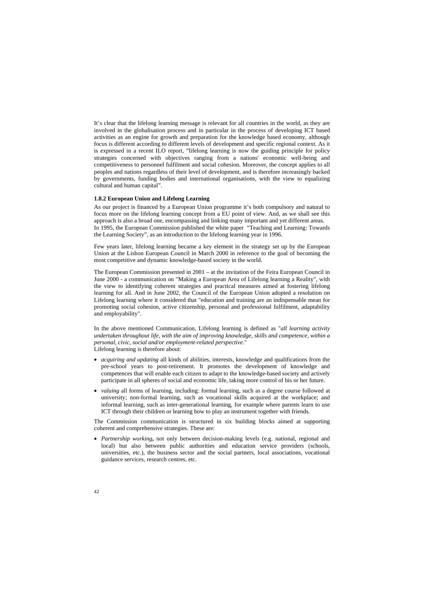It's clear that the lifelong learning message is relevant for all countries in the world, as they are involved in the globalisation process and in particular in the process of developing ICT based activities as an engine for growth and preparation for the knowledge based economy, although focus is different according to different levels of development and specific regional context. As it is expressed in a recent ILO report, "lifelong learning is now the guiding principle for policy strategies concerned with objectives ranging from a nations' economic well-being and competitiveness to personnel fulfilment and social cohesion. Moreover, the concept applies to all peoples and nations regardless of their level of development, and is therefore increasingly backed by governments, funding bodies and international organisations, with the view to equalizing cultural and human capital".

### **1.8.2 European Union and Lifelong Learning**

As our project is financed by a European Union programme it's both compulsory and natural to focus more on the lifelong learning concept from a EU point of view. And, as we shall see this approach is also a broad one, encompassing and linking many important and yet different areas. In 1995, the European Commission published the white paper "Teaching and Learning: Towards the Learning Society", as an introduction to the lifelong learning year in 1996.

Few years later, lifelong learning became a key element in the strategy set up by the European Union at the Lisbon European Council in March 2000 in reference to the goal of becoming the most competitive and dynamic knowledge-based society in the world.

The European Commission presented in 2001 – at the invitation of the Feira European Council in June 2000 - a communication on "Making a European Area of Lifelong learning a Reality", with the view to identifying coherent strategies and practical measures aimed at fostering lifelong learning for all. And in June 2002, the Council of the European Union adopted a resolution on Lifelong learning where it considered that "education and training are an indispensable mean for promoting social cohesion, active citizenship, personal and professional fulfilment, adaptability and employability".

In the above mentioned Communication, Lifelong learning is defined as "*all learning activity undertaken throughout life, with the aim of improving knowledge, skills and competence, within a personal, civic, social and/or employment-related perspective*." Lifelong learning is therefore about:

- *acquiring and updating* all kinds of abilities, interests, knowledge and qualifications from the pre-school years to post-retirement. It promotes the development of knowledge and competences that will enable each citizen to adapt to the knowledge-based society and actively participate in all spheres of social and economic life, taking more control of his or her future.
- *valuing* all forms of learning, including: formal learning, such as a degree course followed at university; non-formal learning, such as vocational skills acquired at the workplace; and informal learning, such as inter-generational learning, for example where parents learn to use ICT through their children or learning how to play an instrument together with friends.

The Commission communication is structured in six building blocks aimed at supporting coherent and comprehensive strategies. These are:

• *Partnership working***,** not only between decision-making levels (e.g. national, regional and local) but also between public authorities and education service providers (schools, universities, etc.), the business sector and the social partners, local associations, vocational guidance services, research centres, etc.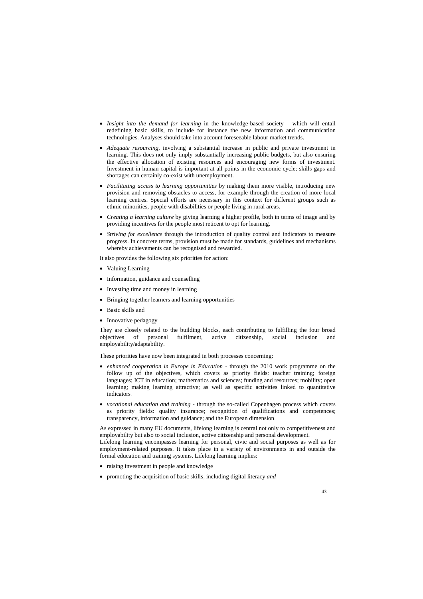- *Insight into the demand for learning* in the knowledge-based society which will entail redefining basic skills, to include for instance the new information and communication technologies. Analyses should take into account foreseeable labour market trends.
- *Adequate resourcing*, involving a substantial increase in public and private investment in learning. This does not only imply substantially increasing public budgets, but also ensuring the effective allocation of existing resources and encouraging new forms of investment. Investment in human capital is important at all points in the economic cycle; skills gaps and shortages can certainly co-exist with unemployment.
- *Facilitating access to learning opportunities* by making them more visible, introducing new provision and removing obstacles to access, for example through the creation of more local learning centres. Special efforts are necessary in this context for different groups such as ethnic minorities, people with disabilities or people living in rural areas.
- *Creating a learning culture* by giving learning a higher profile, both in terms of image and by providing incentives for the people most reticent to opt for learning.
- *Striving for excellence* through the introduction of quality control and indicators to measure progress. In concrete terms, provision must be made for standards, guidelines and mechanisms whereby achievements can be recognised and rewarded.

It also provides the following six priorities for action:

- Valuing Learning
- Information, guidance and counselling
- Investing time and money in learning
- Bringing together learners and learning opportunities
- Basic skills and
- Innovative pedagogy

They are closely related to the building blocks, each contributing to fulfilling the four broad objectives of personal fulfilment active citizenship, social inclusion and objectives of personal fulfilment, active citizenship, social inclusion and employability/adaptability.

These priorities have now been integrated in both processes concerning:

- *enhanced cooperation in Europe in Education* through the 2010 work programme on the follow up of the objectives, which covers as priority fields: teacher training; foreign languages; ICT in education; mathematics and sciences; funding and resources; mobility; open learning; making learning attractive; as well as specific activities linked to quantitative indicators.
- *vocational education and training* through the so-called Copenhagen process which covers as priority fields: quality insurance; recognition of qualifications and competences; transparency, information and guidance; and the European dimension.

As expressed in many EU documents, lifelong learning is central not only to competitiveness and employability but also to social inclusion, active citizenship and personal development.

Lifelong learning encompasses learning for personal, civic and social purposes as well as for employment-related purposes. It takes place in a variety of environments in and outside the formal education and training systems. Lifelong learning implies:

- raising investment in people and knowledge
- promoting the acquisition of basic skills, including digital literacy *and*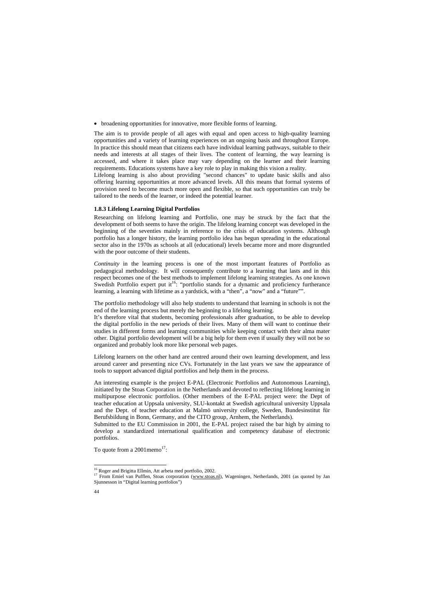• broadening opportunities for innovative, more flexible forms of learning.

The aim is to provide people of all ages with equal and open access to high-quality learning opportunities and a variety of learning experiences on an ongoing basis and throughout Europe. In practice this should mean that citizens each have individual learning pathways, suitable to their needs and interests at all stages of their lives. The content of learning, the way learning is accessed, and where it takes place may vary depending on the learner and their learning requirements. Educations systems have a key role to play in making this vision a reality.

Lifelong learning is also about providing "second chances" to update basic skills and also offering learning opportunities at more advanced levels. All this means that formal systems of provision need to become much more open and flexible, so that such opportunities can truly be tailored to the needs of the learner, or indeed the potential learner.

### **1.8.3 Lifelong Learning Digital Portfolios**

Researching on lifelong learning and Portfolio, one may be struck by the fact that the development of both seems to have the origin. The lifelong learning concept was developed in the beginning of the seventies mainly in reference to the crisis of education systems. Although portfolio has a longer history, the learning portfolio idea has begun spreading in the educational sector also in the 1970s as schools at all (educational) levels became more and more disgruntled with the poor outcome of their students.

*Continuity* in the learning process is one of the most important features of Portfolio as pedagogical methodology. It will consequently contribute to a learning that lasts and in this respect becomes one of the best methods to implement lifelong learning strategies. As one known Swedish Portfolio expert put it<sup>16</sup>: "portfolio stands for a dynamic and proficiency furtherance learning, a learning with lifetime as a yardstick, with a "then", a "now" and a "future"".

The portfolio methodology will also help students to understand that learning in schools is not the end of the learning process but merely the beginning to a lifelong learning.

It's therefore vital that students, becoming professionals after graduation, to be able to develop the digital portfolio in the new periods of their lives. Many of them will want to continue their studies in different forms and learning communities while keeping contact with their alma mater other. Digital portfolio development will be a big help for them even if usually they will not be so organized and probably look more like personal web pages.

Lifelong learners on the other hand are centred around their own learning development, and less around career and presenting nice CVs. Fortunately in the last years we saw the appearance of tools to support advanced digital portfolios and help them in the process.

An interesting example is the project E-PAL (Electronic Portfolios and Autonomous Learning), initiated by the Stoas Corporation in the Netherlands and devoted to reflecting lifelong learning in multipurpose electronic portfolios. (Other members of the E-PAL project were: the Dept of teacher education at Uppsala university, SLU-kontakt at Swedish agricultural university Uppsala and the Dept. of teacher education at Malmö university college, Sweden, Bundesinstitut für Berufsbildung in Bonn, Germany, and the CITO group, Arnhem, the Netherlands).

Submitted to the EU Commission in 2001, the E-PAL project raised the bar high by aiming to develop a standardized international qualification and competency database of electronic portfolios.

To quote from a  $2001$  memo<sup>17</sup>:

-

<sup>&</sup>lt;sup>16</sup> Roger and Brigitta Ellmin, Att arbeta med portfolio, 2002.

<sup>&</sup>lt;sup>17</sup> From Emiel van Pufflen, Stoas corporation (www.stoas.nl), Wageningen, Netherlands, 2001 (as quoted by Jan Sjunnesson in "Digital learning portfolios")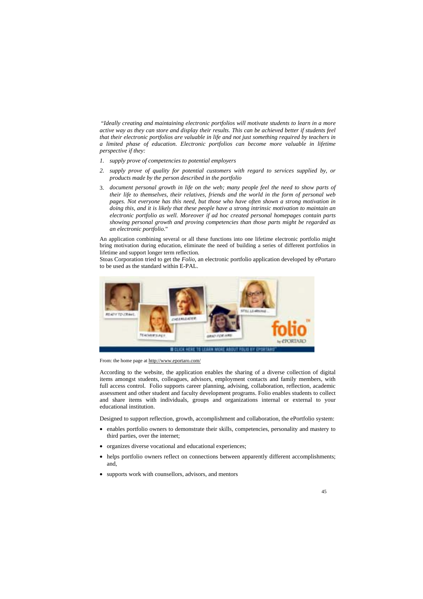"*Ideally creating and maintaining electronic portfolios will motivate students to learn in a more active way as they can store and display their results. This can be achieved better if students feel that their electronic portfolios are valuable in life and not just something required by teachers in a limited phase of education. Electronic portfolios can become more valuable in lifetime perspective if they:* 

- *1. supply prove of competencies to potential employers*
- *2. supply prove of quality for potential customers with regard to services supplied by, or products made by the person described in the portfolio*
- 3. *document personal growth in life on the web; many people feel the need to show parts of their life to themselves, their relatives, friends and the world in the form of personal web pages. Not everyone has this need, but those who have often shown a strong motivation in doing this, and it is likely that these people have a strong intrinsic motivation to maintain an electronic portfolio as well. Moreover if ad hoc created personal homepages contain parts showing personal growth and proving competencies than those parts might be regarded as an electronic portfolio*."

An application combining several or all these functions into one lifetime electronic portfolio might bring motivation during education, eliminate the need of building a series of different portfolios in lifetime and support longer term reflection.

Stoas Corporation tried to get the *Folio*, an electronic portfolio application developed by ePortaro to be used as the standard within E-PAL.



From: the home page at http://www.eportaro.com/

According to the website, the application enables the sharing of a diverse collection of digital items amongst students, colleagues, advisors, employment contacts and family members, with full access control. Folio supports career planning, advising, collaboration, reflection, academic assessment and other student and faculty development programs. Folio enables students to collect and share items with individuals, groups and organizations internal or external to your educational institution.

Designed to support reflection, growth, accomplishment and collaboration, the ePortfolio system:

- enables portfolio owners to demonstrate their skills, competencies, personality and mastery to third parties, over the internet;
- organizes diverse vocational and educational experiences;
- helps portfolio owners reflect on connections between apparently different accomplishments; and,
- supports work with counsellors, advisors, and mentors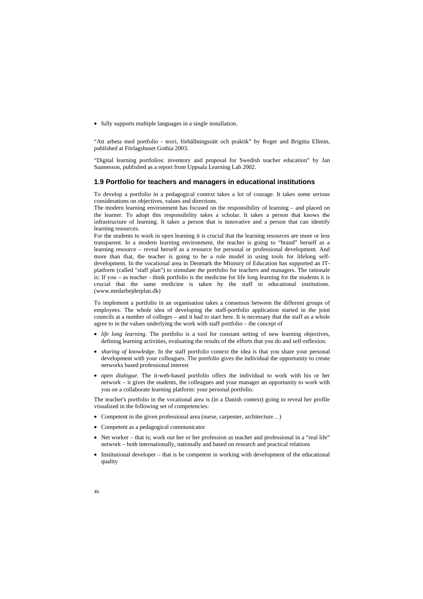• fully supports multiple languages in a single installation.

"Att arbeta med portfolio - teori, förhållningssätt och praktik" by Roger and Brigitta Ellmin, published at Förlagshuset Gothia 2003.

"Digital learning portfolios: inventory and proposal for Swedish teacher education" by Jan Sunnesson, published as a report from Uppsala Learning Lab 2002.

# **1.9 Portfolio for teachers and managers in educational institutions**

To develop a portfolio in a pedagogical context takes a lot of courage. It takes some serious considerations on objectives, values and directions.

The modern learning environment has focused on the responsibility of learning – and placed on the learner. To adopt this responsibility takes a scholar. It takes a person that knows the infrastructure of learning. It takes a person that is innovative and a person that can identify learning resources.

For the students to work in open learning it is crucial that the learning resources are more or less transparent. In a modern learning environment, the teacher is going to "brand" herself as a learning resource – reveal herself as a resource for personal or professional development. And more than that, the teacher is going to be a role model in using tools for lifelong selfdevelopment. In the vocational area in Denmark the Ministry of Education has supported an ITplatform (called "staff plan") to stimulate the portfolio for teachers and managers. The rationale is: If you – as teacher - think portfolio is the medicine for life long learning for the students it is crucial that the same medicine is taken by the staff in educational institutions. (www.medarbejderplan.dk)

To implement a portfolio in an organisation takes a consensus between the different groups of employees. The whole idea of developing the staff-portfolio application started in the joint councils at a number of colleges – and it had to start here. It is necessary that the staff as a whole agree to in the values underlying the work with staff portfolio – the concept of

- *life long learning*. The portfolio is a tool for constant setting of new learning objectives, defining learning activities, evaluating the results of the efforts that you do and self-reflexion.
- *sharing of knowledge*. In the staff portfolio context the idea is that you share your personal development with your colleagues. The portfolio gives the individual the opportunity to create networks based professional interest
- *open dialogue*. The it-web-based portfolio offers the individual to work with his or her network – it gives the students, the colleagues and your manager an opportunity to work with you on a collaborate learning platform: your personal portfolio.

The teacher's portfolio in the vocational area is (in a Danish context) going to reveal her profile visualized in the following set of competencies:

- Competent in the given professional area (nurse, carpenter, architecture...)
- Competent as a pedagogical communicator
- Net worker that is; work out her or her profession as teacher and professional in a "real life" network – both internationally, nationally and based on research and practical relations
- Institutional developer that is be competent in working with development of the educational quality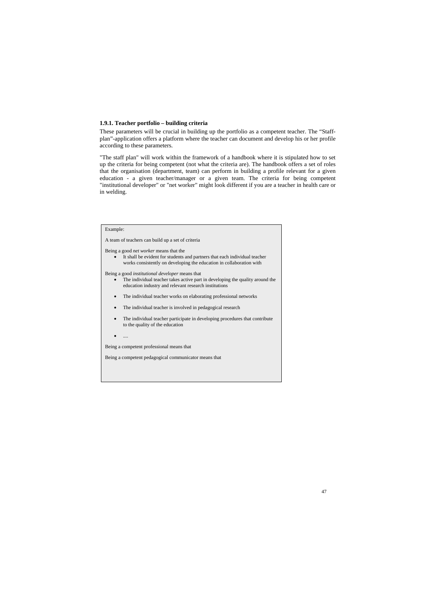### **1.9.1. Teacher portfolio – building criteria**

These parameters will be crucial in building up the portfolio as a competent teacher. The "Staffplan"-application offers a platform where the teacher can document and develop his or her profile according to these parameters.

"The staff plan" will work within the framework of a handbook where it is stipulated how to set up the criteria for being competent (not what the criteria are). The handbook offers a set of roles that the organisation (department, team) can perform in building a profile relevant for a given education - a given teacher/manager or a given team. The criteria for being competent "institutional developer" or "net worker" might look different if you are a teacher in health care or in welding.

# Example: A team of teachers can build up a set of criteria Being a good *net worker* means that the It shall be evident for students and partners that each individual teacher works consistently on developing the education in collaboration with Being a good *institutional developer* means that The individual teacher takes active part in developing the quality around the education industry and relevant research institutions The individual teacher works on elaborating professional networks The individual teacher is involved in pedagogical research • The individual teacher participate in developing procedures that contribute to the quality of the education • .... Being a competent professional means that Being a competent pedagogical communicator means that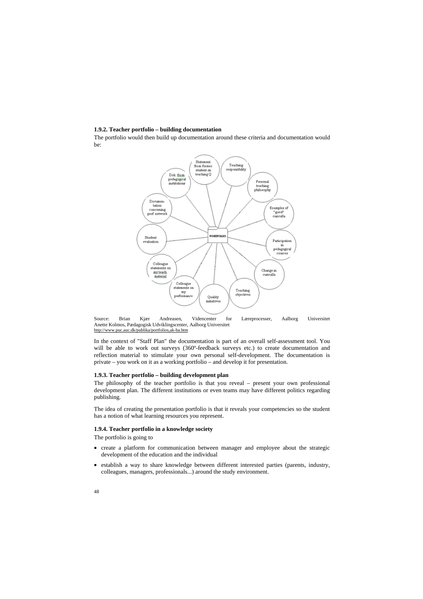### **1.9.2. Teacher portfolio – building documentation**

The portfolio would then build up documentation around these criteria and documentation would be:



Source: Brian Kjær Andreasen, Videncenter for Læreprocesser, Aalborg Universitet Anette Kolmos, Pædagogisk Udviklingscenter, Aalborg Universitet http://www.puc.auc.dk/publika/portfolios,ak-ba.htm

In the context of "Staff Plan" the documentation is part of an overall self-assessment tool. You will be able to work out surveys (360°-feedback surveys etc.) to create documentation and reflection material to stimulate your own personal self-development. The documentation is private – you work on it as a working portfolio – and develop it for presentation.

### **1.9.3. Teacher portfolio – building development plan**

The philosophy of the teacher portfolio is that you reveal – present your own professional development plan. The different institutions or even teams may have different politics regarding publishing.

The idea of creating the presentation portfolio is that it reveals your competencies so the student has a notion of what learning resources you represent.

#### **1.9.4. Teacher portfolio in a knowledge society**

The portfolio is going to

- create a platform for communication between manager and employee about the strategic development of the education and the individual
- establish a way to share knowledge between different interested parties (parents, industry, colleagues, managers, professionals...) around the study environment.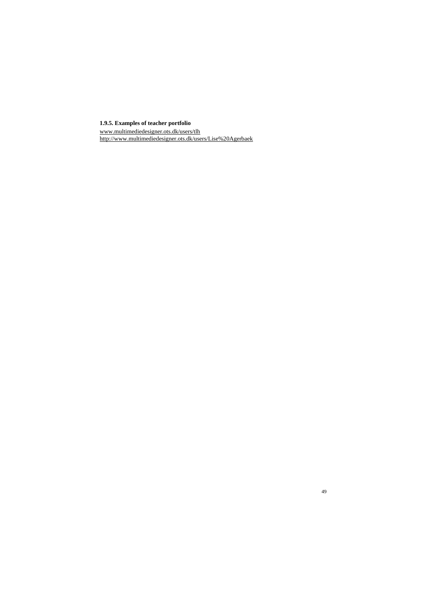# **1.9.5. Examples of teacher portfolio**

www.multimediedesigner.ots.dk/users/tlh http://www.multimediedesigner.ots.dk/users/Lise%20Agerbaek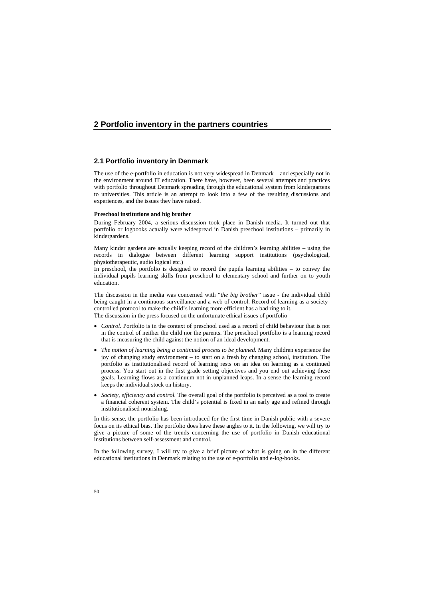# **2 Portfolio inventory in the partners countries**

# **2.1 Portfolio inventory in Denmark**

The use of the e-portfolio in education is not very widespread in Denmark – and especially not in the environment around IT education. There have, however, been several attempts and practices with portfolio throughout Denmark spreading through the educational system from kindergartens to universities. This article is an attempt to look into a few of the resulting discussions and experiences, and the issues they have raised.

### **Preschool institutions and big brother**

During February 2004, a serious discussion took place in Danish media. It turned out that portfolio or logbooks actually were widespread in Danish preschool institutions – primarily in kindergardens.

Many kinder gardens are actually keeping record of the children's learning abilities – using the records in dialogue between different learning support institutions (psychological, physiotherapeutic, audio logical etc.)

In preschool, the portfolio is designed to record the pupils learning abilities – to convey the individual pupils learning skills from preschool to elementary school and further on to youth education.

The discussion in the media was concerned with "*the big brother*" issue - the individual child being caught in a continuous surveillance and a web of control. Record of learning as a societycontrolled protocol to make the child's learning more efficient has a bad ring to it. The discussion in the press focused on the unfortunate ethical issues of portfolio

- *Control.* Portfolio is in the context of preschool used as a record of child behaviour that is not in the control of neither the child nor the parents. The preschool portfolio is a learning record that is measuring the child against the notion of an ideal development.
- *The notion of learning being a continued process to be planned.* Many children experience the joy of changing study environment – to start on a fresh by changing school, institution. The portfolio as institutionalised record of learning rests on an idea on learning as a continued process. You start out in the first grade setting objectives and you end out achieving these goals. Learning flows as a continuum not in unplanned leaps. In a sense the learning record keeps the individual stock on history.
- *Society, efficiency and control.* The overall goal of the portfolio is perceived as a tool to create a financial coherent system. The child's potential is fixed in an early age and refined through institutionalised nourishing.

In this sense, the portfolio has been introduced for the first time in Danish public with a severe focus on its ethical bias. The portfolio does have these angles to it. In the following, we will try to give a picture of some of the trends concerning the use of portfolio in Danish educational institutions between self-assessment and control.

In the following survey, I will try to give a brief picture of what is going on in the different educational institutions in Denmark relating to the use of e-portfolio and e-log-books.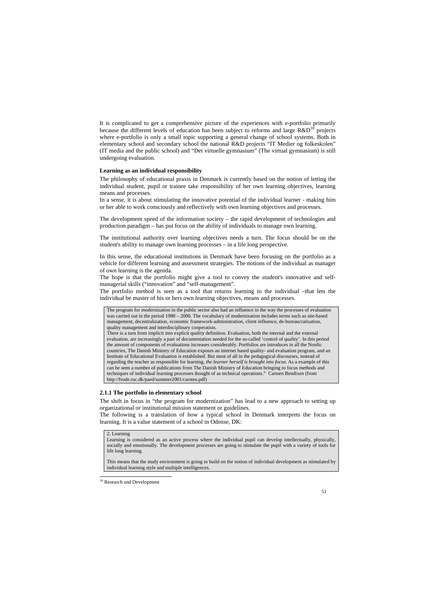It is complicated to get a comprehensive picture of the experiences with e-portfolio primarily because the different levels of education has been subject to reforms and large  $R\&D^{18}$  projects where e-portfolio is only a small topic supporting a general change of school systems. Both in elementary school and secondary school the national R&D projects "IT Medier og folkeskolen" (IT media and the public school) and "Det virtuelle gymnasium" (The virtual gymnasium) is still undergoing evaluation.

### **Learning as an individual responsibility**

The philosophy of educational praxis in Denmark is currently based on the notion of letting the individual student, pupil or trainee take responsibility of her own learning objectives, learning means and processes.

In a sense, it is about stimulating the innovative potential of the individual learner - making him or her able to work consciously and reflectively with own learning objectives and processes.

The development speed of the information society – the rapid development of technologies and production paradigm – has put focus on the ability of individuals to manage own learning.

The institutional authority over learning objectives needs a turn. The focus should be on the student's ability to manage own learning processes – in a life long perspective.

In this sense, the educational institutions in Denmark have been focusing on the portfolio as a vehicle for different learning and assessment strategies. The notions of the individual as manager of own learning is the agenda.

The hope is that the portfolio might give a tool to convey the student's innovative and selfmanagerial skills ("innovation" and "self-management".

The portfolio method is seen as a tool that returns learning to the individual –that lets the individual be master of his or hers own learning objectives, means and processes.

The program for modernization in the public sector also had an influence in the way the processes of evaluation was carried out in the period 1980 – 2000. The vocabulary of modernization includes terms such as site-based management, decentralization, economic framework-administration, client influence, de-bureaucratisation, quality management and interdisciplinary cooperation.

There is a turn from implicit into explicit quality definition. Evaluation, both the internal and the external evaluation, are increasingly a part of documentation needed for the so-called 'control of quality'. In this period the amount of components of evaluations increases considerably. Portfolios are introduces in all the Nordic countries, The Danish Ministry of Education exposes an internet based quality- and evaluation program, and an Institute of Educational Evaluation is established. But most of all in the pedagogical discourses, instead of regarding the teacher as responsible for learning, *the learner herself is brought into focus.* As a example of this can be seen a number of publications from The Danish Ministry of Education bringing to focus methods and techniques of individual learning processes thought of as technical operations." Cartsen Bendixen (from http://frode.ruc.dk/paed/summer2001/carsten.pdf)

### **2.1.1 The portfolio in elementary school**

The shift in focus in "the program for modernization" has lead to a new approach to setting up organizational or institutional mission statement or guidelines.

The following is a translation of how a typical school in Denmark interprets the focus on learning. It is a value statement of a school in Odense, DK:

#### 2. Learning

Learning is considered as an active process where the individual pupil can develop intellectually, physically, socially and emotionally. The development processes are going to stimulate the pupil with a variety of tools for life long learning.

This means that the study environment is going to build on the notion of individual development as stimulated by individual learning style and multiple intelligences.

j <sup>18</sup> Research and Development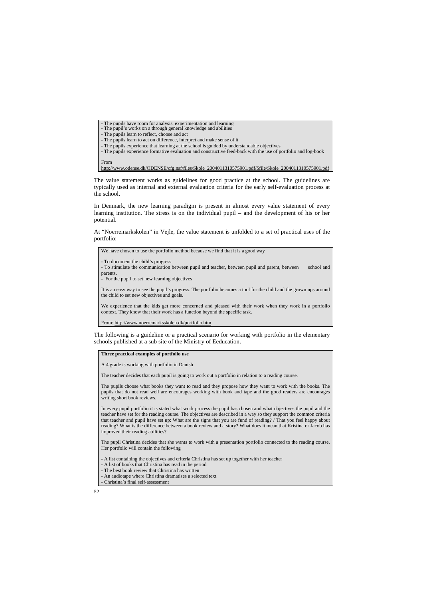- The pupils have room for analysis, experimentation and learning

- The pupil's works on a through general knowledge and abilities
- The pupils learn to reflect, choose and act
- The pupils learn to act on difference, interpret and make sense of it
- The pupils experience that learning at the school is guided by understandable objectives
- The pupils experience formative evaluation and constructive feed-back with the use of portfolio and log-book

From

http://www.odense.dk/ODENSE/cfg.nsf/files/Skole\_2004011310575901.pdf/\$file/Skole\_2004011310575901.pdf

The value statement works as guidelines for good practice at the school. The guidelines are typically used as internal and external evaluation criteria for the early self-evaluation process at the school.

In Denmark, the new learning paradigm is present in almost every value statement of every learning institution. The stress is on the individual pupil – and the development of his or her potential.

At "Noerremarkskolen" in Vejle, the value statement is unfolded to a set of practical uses of the portfolio:

We have chosen to use the portfolio method because we find that it is a good way

- To document the child's progress

- To stimulate the communication between pupil and teacher, between pupil and parent, between school and parents.

- For the pupil to set new learning objectives

It is an easy way to see the pupil's progress. The portfolio becomes a tool for the child and the grown ups around the child to set new objectives and goals.

We experience that the kids get more concerned and pleased with their work when they work in a portfolio context. They know that their work has a function beyond the specific task.

From: http://www.noerremarksskolen.dk/portfolio.htm

The following is a guideline or a practical scenario for working with portfolio in the elementary schools published at a sub site of the Ministry of Eeducation.

#### **Three practical examples of portfolio use**

A 4.grade is working with portfolio in Danish

The teacher decides that each pupil is going to work out a portfolio in relation to a reading course.

The pupils choose what books they want to read and they propose how they want to work with the books. The pupils that do not read well are encourages working with book and tape and the good readers are encourages writing short book reviews.

In every pupil portfolio it is stated what work process the pupil has chosen and what objectives the pupil and the teacher have set for the reading course. The objectives are described in a way so they support the common criteria that teacher and pupil have set up: What are the signs that you are fund of reading? / That you feel happy about reading? What is the difference between a book review and a story? What does it mean that Kristina or Jacob has improved their reading abilities?

The pupil Christina decides that she wants to work with a presentation portfolio connected to the reading course. Her portfolio will contain the following

- A list containing the objectives and criteria Christina has set up together with her teacher

- A list of books that Christina has read in the period

- The best book review that Christina has written

- An audiotape where Christina dramatises a selected text
- Christina's final self-assessment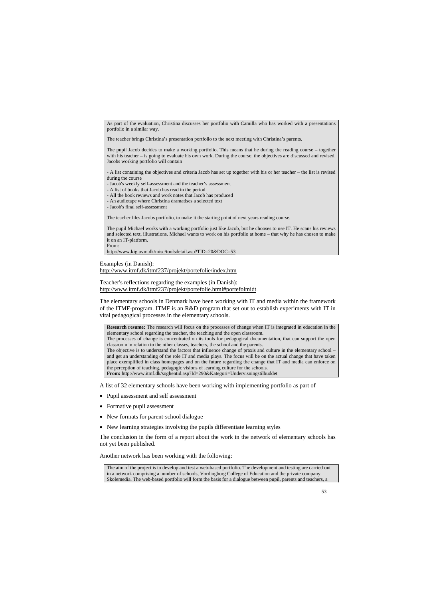As part of the evaluation, Christina discusses her portfolio with Camilla who has worked with a presentations portfolio in a similar way.

The teacher brings Christina's presentation portfolio to the next meeting with Christina's parents.

The pupil Jacob decides to make a working portfolio. This means that he during the reading course – together with his teacher – is going to evaluate his own work. During the course, the objectives are discussed and revised. Jacobs working portfolio will contain

- A list containing the objectives and criteria Jacob has set up together with his or her teacher – the list is revised during the course

- Jacob's weekly self-assessment and the teacher's assessment
- A list of books that Jacob has read in the period
- All the book reviews and work notes that Jacob has produced
- An audiotape where Christina dramatises a selected text
- Jacob's final self-assessment

The teacher files Jacobs portfolio, to make it the starting point of next years reading course.

The pupil Michael works with a working portfolio just like Jacob, but he chooses to use IT. He scans his reviews and selected text, illustrations. Michael wants to work on his portfolio at home – that why he has chosen to make it on an IT-platform. From:

http://www.kig.uvm.dk/misc/toolsdetail.asp?TID=20&DOC=53

Examples (in Danish): http://www.itmf.dk/itmf237/projekt/portefolie/index.htm

Teacher's reflections regarding the examples (in Danish): http://www.itmf.dk/itmf237/projekt/portefolie.html#portefolmidt

The elementary schools in Denmark have been working with IT and media within the framework of the ITMF-program. ITMF is an R&D program that set out to establish experiments with IT in vital pedagogical processes in the elementary schools.

**Research resume:** The research will focus on the processes of change when IT is integrated in education in the elementary school regarding the teacher, the teaching and the open classroom.

The processes of change is concentrated on its tools for pedagogical documentation, that can support the open classroom in relation to the other classes, teachers, the school and the parents.

The objective is to understand the factors that influence change of praxis and culture in the elementary school – and get an understanding of the role IT and media plays. The focus will be on the actual change that have taken place exemplified in class homepages and on the future regarding the change that IT and media can enforce on the perception of teaching, pedagogic visions of learning culture for the schools.

**From:** http://www.itmf.dk/soghentid.asp?Id=290&Kategori=Undervisningstilbuddet

A list of 32 elementary schools have been working with implementing portfolio as part of

- Pupil assessment and self assessment
- Formative pupil assessment
- New formats for parent-school dialogue
- New learning strategies involving the pupils differentiate learning styles

The conclusion in the form of a report about the work in the network of elementary schools has not yet been published.

Another network has been working with the following:

The aim of the project is to develop and test a web-based portfolio. The development and testing are carried out in a network comprising a number of schools, Vordingborg College of Education and the private company Skolemedia. The web-based portfolio will form the basis for a dialogue between pupil, parents and teachers, a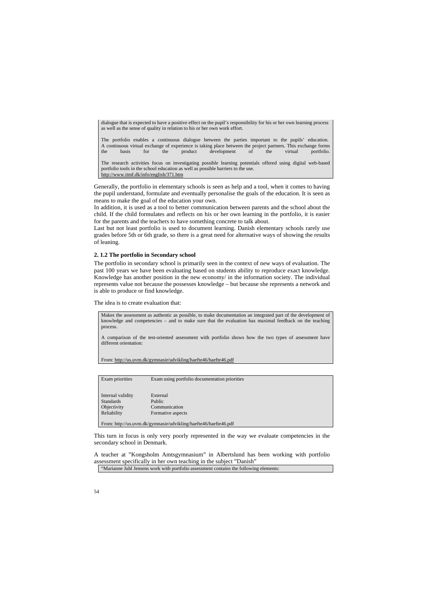dialogue that is expected to have a positive effect on the pupil's responsibility for his or her own learning process as well as the sense of quality in relation to his or her own work effort.

The portfolio enables a continuous dialogue between the parties important to the pupils' education. A continuous virtual exchange of experience is taking place between the project partners. This exchange forms the basis for the product development of the virtual portfolio. development

The research activities focus on investigating possible learning potentials offered using digital web-based portfolio tools in the school education as well as possible barriers to the use. http://www.itmf.dk/info/english/371.htm

Generally, the portfolio in elementary schools is seen as help and a tool, when it comes to having the pupil understand, formulate and eventually personalise the goals of the education. It is seen as means to make the goal of the education your own.

In addition, it is used as a tool to better communication between parents and the school about the child. If the child formulates and reflects on his or her own learning in the portfolio, it is easier for the parents and the teachers to have something concrete to talk about.

Last but not least portfolio is used to document learning. Danish elementary schools rarely use grades before 5th or 6th grade, so there is a great need for alternative ways of showing the results of leaning.

### **2. 1.2 The portfolio in Secondary school**

The portfolio in secondary school is primarily seen in the context of new ways of evaluation. The past 100 years we have been evaluating based on students ability to reproduce exact knowledge. Knowledge has another position in the new economy/ in the information society. The individual represents value not because the possesses knowledge – but because she represents a network and is able to produce or find knowledge.

The idea is to create evaluation that:

Makes the assessment as authentic as possible, to make documentation an integrated part of the development of knowledge and competencies – and to make sure that the evaluation has maximal feedback on the teaching process.

A comparison of the test-oriented assessment with portfolio shows how the two types of assessment have different orientation:

From: http://us.uvm.dk/gymnasie/udvikling/haefte46/haefte46.pdf

| Exam priorities                                                 | Exam using portfolio documentation priorities |  |  |
|-----------------------------------------------------------------|-----------------------------------------------|--|--|
|                                                                 |                                               |  |  |
|                                                                 |                                               |  |  |
|                                                                 |                                               |  |  |
| Internal validity                                               | External                                      |  |  |
| <b>Standards</b>                                                | Public                                        |  |  |
| Objectivity                                                     | Communication                                 |  |  |
| Reliability                                                     | Formative aspects                             |  |  |
|                                                                 |                                               |  |  |
| From: http://us.uvm.dk/gymnasie/udvikling/haefte46/haefte46.pdf |                                               |  |  |
|                                                                 |                                               |  |  |

This turn in focus is only very poorly represented in the way we evaluate competencies in the secondary school in Denmark.

A teacher at "Kongsholm Amtsgymnasium" in Albertslund has been working with portfolio assessment specifically in her own teaching in the subject "Danish"

"Marianne Juhl Jensens work with portfolio assessment contains the following elements: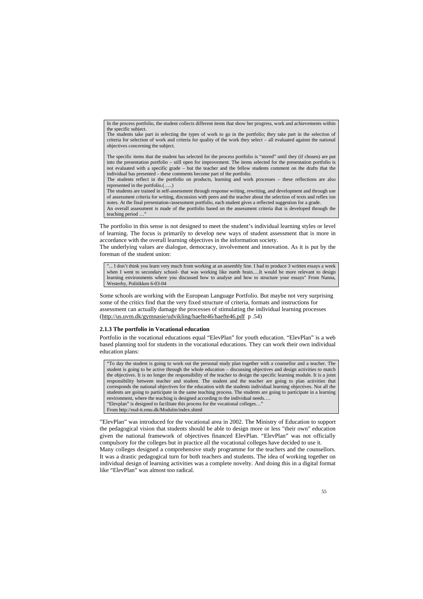In the process portfolio, the student collects different items that show her progress, work and achievements within the specific subject.

The students take part in selecting the types of work to go in the portfolio; they take part in the selection of criteria for selection of work and criteria for quality of the work they select – all evaluated against the national objectives concerning the subject.

The specific items that the student has selected for the process portfolio is "stored" until they (if chosen) are put into the presentation portfolio – still open for improvement. The items selected for the presentation portfolio is not evaluated with a specific grade – but the teacher and the fellow students comment on the drafts that the individual has presented – these comments become part of the portfolio.

The students reflect in the portfolio on products, learning and work processes – these reflections are also represented in the portfolio.(…..)

The students are trained in self-assessment through response writing, rewriting, and development and through use of assessment criteria for writing, discussion with peers and the teacher about the selection of texts and reflex ion notes. At the final presentation-/assessment portfolio, each student gives a reflected suggestion for a grade.

An overall assessment is made of the portfolio based on the assessment criteria that is developed through the teaching period ...'

The portfolio in this sense is not designed to meet the student's individual learning styles or level of learning. The focus is primarily to develop new ways of student assessment that is more in accordance with the overall learning objectives in the information society.

The underlying values are dialogue, democracy, involvement and innovation. As it is put by the foreman of the student union:

"... I don't think you learn very much from working at an assembly line. I had to produce 3 written essays a week when I went to secondary school- that was working like numb brain.....It would be more relevant to design learning environments where you discussed how to analyse and how to structure your essays" From Nanna, Westerby, Politikken 6-03-04

Some schools are working with the European Language Portfolio. But maybe not very surprising some of the critics find that the very fixed structure of criteria, formats and instructions for assessment can actually damage the processes of stimulating the individual learning processes (http://us.uvm.dk/gymnasie/udvikling/haefte46/haefte46.pdf p .54)

#### **2.1.3 The portfolio in Vocational education**

Portfolio in the vocational educations equal "ElevPlan" for youth education. "ElevPlan" is a web based planning tool for students in the vocational educations. They can work their own individual education plans:

"To day the student is going to work out the personal study plan together with a counsellor and a teacher. The student is going to be active through the whole education – discussing objectives and design activities to match the objectives. It is no longer the responsibility of the teacher to design the specific learning module. It is a joint responsibility between teacher and student. The student and the teacher are going to plan activities that corresponds the national objectives for the education with the students individual learning objectives. Not all the students are going to participate in the same teaching process. The students are going to participate in a learning environment, where the teaching is designed according to the individual needs….

"Elevplan" is designed to facilitate this process for the vocational colleges…"

From http://eud-it.emu.dk/Modulm/index.shtml

"ElevPlan" was introduced for the vocational area in 2002. The Ministry of Education to support the pedagogical vision that students should be able to design more or less "their own" education given the national framework of objectives financed ElevPlan. "ElevPlan" was not officially compulsory for the colleges but in practice all the vocational colleges have decided to use it.

Many colleges designed a comprehensive study programme for the teachers and the counsellors. It was a drastic pedagogical turn for both teachers and students. The idea of working together on individual design of learning activities was a complete novelty. And doing this in a digital format like "ElevPlan" was almost too radical.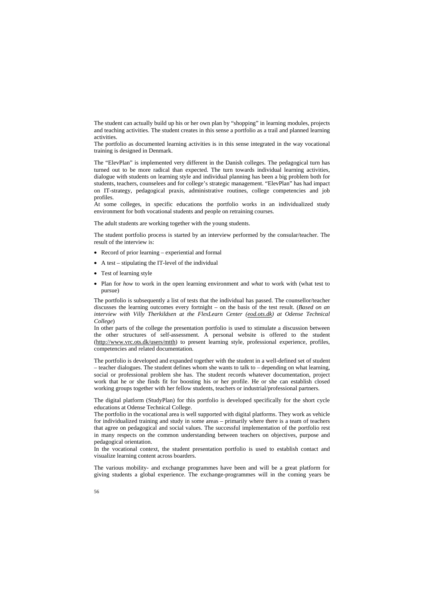The student can actually build up his or her own plan by "shopping" in learning modules, projects and teaching activities. The student creates in this sense a portfolio as a trail and planned learning activities.

The portfolio as documented learning activities is in this sense integrated in the way vocational training is designed in Denmark.

The "ElevPlan" is implemented very different in the Danish colleges. The pedagogical turn has turned out to be more radical than expected. The turn towards individual learning activities, dialogue with students on learning style and individual planning has been a big problem both for students, teachers, counselees and for college's strategic management. "ElevPlan" has had impact on IT-strategy, pedagogical praxis, administrative routines, college competencies and job profiles.

At some colleges, in specific educations the portfolio works in an individualized study environment for both vocational students and people on retraining courses.

The adult students are working together with the young students.

The student portfolio process is started by an interview performed by the consular/teacher. The result of the interview is:

- Record of prior learning experiential and formal
- A test stipulating the IT-level of the individual
- Test of learning style
- Plan for *how* to work in the open learning environment and *what* to work with (what test to pursue)

The portfolio is subsequently a list of tests that the individual has passed. The counsellor/teacher discusses the learning outcomes every fortnight – on the basis of the test result. (*Based on an interview with Villy Therkildsen at the FlexLearn Center (eod.ots.dk) at Odense Technical College*)

In other parts of the college the presentation portfolio is used to stimulate a discussion between the other structures of self-assessment. A personal website is offered to the student (http://www.vrc.ots.dk/users/mtth) to present learning style, professional experience, profiles, competencies and related documentation.

The portfolio is developed and expanded together with the student in a well-defined set of student – teacher dialogues. The student defines whom she wants to talk to – depending on what learning, social or professional problem she has. The student records whatever documentation, project work that he or she finds fit for boosting his or her profile. He or she can establish closed working groups together with her fellow students, teachers or industrial/professional partners.

The digital platform (StudyPlan) for this portfolio is developed specifically for the short cycle educations at Odense Technical College.

The portfolio in the vocational area is well supported with digital platforms. They work as vehicle for individualized training and study in some areas – primarily where there is a team of teachers that agree on pedagogical and social values. The successful implementation of the portfolio rest in many respects on the common understanding between teachers on objectives, purpose and pedagogical orientation.

In the vocational context, the student presentation portfolio is used to establish contact and visualize learning content across boarders.

The various mobility- and exchange programmes have been and will be a great platform for giving students a global experience. The exchange-programmes will in the coming years be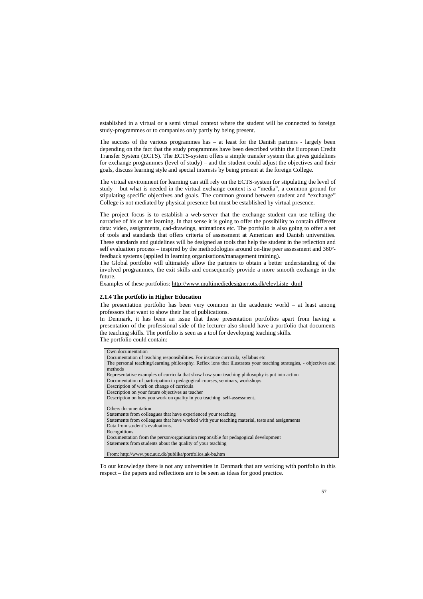established in a virtual or a semi virtual context where the student will be connected to foreign study-programmes or to companies only partly by being present.

The success of the various programmes has – at least for the Danish partners - largely been depending on the fact that the study programmes have been described within the European Credit Transfer System (ECTS). The ECTS-system offers a simple transfer system that gives guidelines for exchange programmes (level of study) – and the student could adjust the objectives and their goals, discuss learning style and special interests by being present at the foreign College.

The virtual environment for learning can still rely on the ECTS-system for stipulating the level of study – but what is needed in the virtual exchange context is a "media", a common ground for stipulating specific objectives and goals. The common ground between student and "exchange" College is not mediated by physical presence but must be established by virtual presence.

The project focus is to establish a web-server that the exchange student can use telling the narrative of his or her learning. In that sense it is going to offer the possibility to contain different data: video, assignments, cad-drawings, animations etc. The portfolio is also going to offer a set of tools and standards that offers criteria of assessment at American and Danish universities. These standards and guidelines will be designed as tools that help the student in the reflection and self evaluation process – inspired by the methodologies around on-line peer assessment and 360ºfeedback systems (applied in learning organisations/management training).

The Global portfolio will ultimately allow the partners to obtain a better understanding of the involved programmes, the exit skills and consequently provide a more smooth exchange in the future.

Examples of these portfolios: http://www.multimediedesigner.ots.dk/elevListe\_dtml

### **2.1.4 The portfolio in Higher Education**

The presentation portfolio has been very common in the academic world – at least among professors that want to show their list of publications.

In Denmark, it has been an issue that these presentation portfolios apart from having a presentation of the professional side of the lecturer also should have a portfolio that documents the teaching skills. The portfolio is seen as a tool for developing teaching skills. The portfolio could contain:

Own documentation Documentation of teaching responsibilities. For instance curricula, syllabus etc The personal teaching/learning philosophy. Reflex ions that illustrates your teaching strategies, - objectives and methods Representative examples of curricula that show how your teaching philosophy is put into action Documentation of participation in pedagogical courses, seminars, workshops Description of work on change of curricula Description on your future objectives as teacher Description on how you work on quality in you teaching self-assessment.. Others documentation Statements from colleagues that have experienced your teaching Statements from colleagues that have worked with your teaching material, tests and assignments Data from student's evaluations. Recognitions Documentation from the person/organisation responsible for pedagogical development Statements from students about the quality of your teaching From: http://www.puc.auc.dk/publika/portfolios,ak-ba.htm

To our knowledge there is not any universities in Denmark that are working with portfolio in this respect – the papers and reflections are to be seen as ideas for good practice.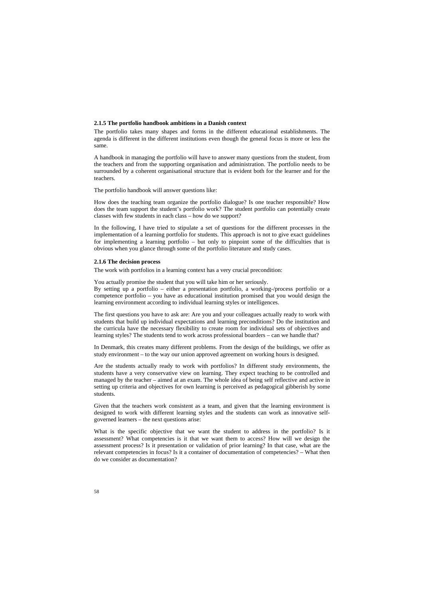### **2.1.5 The portfolio handbook ambitions in a Danish context**

The portfolio takes many shapes and forms in the different educational establishments. The agenda is different in the different institutions even though the general focus is more or less the same.

A handbook in managing the portfolio will have to answer many questions from the student, from the teachers and from the supporting organisation and administration. The portfolio needs to be surrounded by a coherent organisational structure that is evident both for the learner and for the teachers.

The portfolio handbook will answer questions like:

How does the teaching team organize the portfolio dialogue? Is one teacher responsible? How does the team support the student's portfolio work? The student portfolio can potentially create classes with few students in each class – how do we support?

In the following, I have tried to stipulate a set of questions for the different processes in the implementation of a learning portfolio for students. This approach is not to give exact guidelines for implementing a learning portfolio – but only to pinpoint some of the difficulties that is obvious when you glance through some of the portfolio literature and study cases.

### **2.1.6 The decision process**

The work with portfolios in a learning context has a very crucial precondition:

You actually promise the student that you will take him or her seriously.

By setting up a portfolio – either a presentation portfolio, a working-/process portfolio or a competence portfolio – you have as educational institution promised that you would design the learning environment according to individual learning styles or intelligences.

The first questions you have to ask are: Are you and your colleagues actually ready to work with students that build up individual expectations and learning preconditions? Do the institution and the curricula have the necessary flexibility to create room for individual sets of objectives and learning styles? The students tend to work across professional boarders – can we handle that?

In Denmark, this creates many different problems. From the design of the buildings, we offer as study environment – to the way our union approved agreement on working hours is designed.

Are the students actually ready to work with portfolios? In different study environments, the students have a very conservative view on learning. They expect teaching to be controlled and managed by the teacher – aimed at an exam. The whole idea of being self reflective and active in setting up criteria and objectives for own learning is perceived as pedagogical gibberish by some students.

Given that the teachers work consistent as a team, and given that the learning environment is designed to work with different learning styles and the students can work as innovative selfgoverned learners – the next questions arise:

What is the specific objective that we want the student to address in the portfolio? Is it assessment? What competencies is it that we want them to access? How will we design the assessment process? Is it presentation or validation of prior learning? In that case, what are the relevant competencies in focus? Is it a container of documentation of competencies? – What then do we consider as documentation?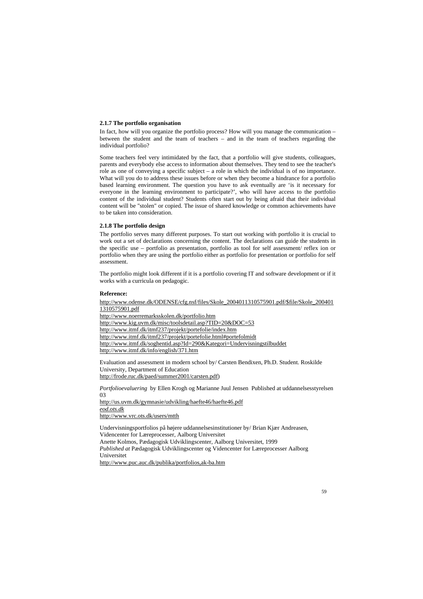### **2.1.7 The portfolio organisation**

In fact, how will you organize the portfolio process? How will you manage the communication – between the student and the team of teachers – and in the team of teachers regarding the individual portfolio?

Some teachers feel very intimidated by the fact, that a portfolio will give students, colleagues, parents and everybody else access to information about themselves. They tend to see the teacher's role as one of conveying a specific subject  $-$  a role in which the individual is of no importance. What will you do to address these issues before or when they become a hindrance for a portfolio based learning environment. The question you have to ask eventually are 'is it necessary for everyone in the learning environment to participate?', who will have access to the portfolio content of the individual student? Students often start out by being afraid that their individual content will be "stolen" or copied. The issue of shared knowledge or common achievements have to be taken into consideration.

### **2.1.8 The portfolio design**

The portfolio serves many different purposes. To start out working with portfolio it is crucial to work out a set of declarations concerning the content. The declarations can guide the students in the specific use – portfolio as presentation, portfolio as tool for self assessment/ reflex ion or portfolio when they are using the portfolio either as portfolio for presentation or portfolio for self assessment.

The portfolio might look different if it is a portfolio covering IT and software development or if it works with a curricula on pedagogic.

### **Reference:**

http://www.odense.dk/ODENSE/cfg.nsf/files/Skole\_2004011310575901.pdf/\$file/Skole\_200401 1310575901.pdf

http://www.noerremarksskolen.dk/portfolio.htm

http://www.kig.uvm.dk/misc/toolsdetail.asp?TID=20&DOC=53

http://www.itmf.dk/itmf237/projekt/portefolie/index.htm

http://www.itmf.dk/itmf237/projekt/portefolie.html#portefolmidt

http://www.itmf.dk/soghentid.asp?Id=290&Kategori=Undervisningstilbuddet

http://www.itmf.dk/info/english/371.htm

Evaluation and assessment in modern school by/ Carsten Bendixen, Ph.D. Student. Roskilde University, Department of Education http://frode.ruc.dk/paed/summer2001/carsten.pdf)

*Portfolioevaluering* by Ellen Krogh og Marianne Juul Jensen Published at uddannelsesstyrelsen 03

http://us.uvm.dk/gymnasie/udvikling/haefte46/haefte46.pdf *eod.ots.dk* http://www.vrc.ots.dk/users/mtth

Undervisningsportfolios på højere uddannelsesinstitutioner by/ Brian Kjær Andreasen, Videncenter for Læreprocesser, Aalborg Universitet Anette Kolmos, Pædagogisk Udviklingscenter, Aalborg Universitet, 1999 *Published at* Pædagogisk Udviklingscenter og Videncenter for Læreprocesser Aalborg Universitet http://www.puc.auc.dk/publika/portfolios,ak-ba.htm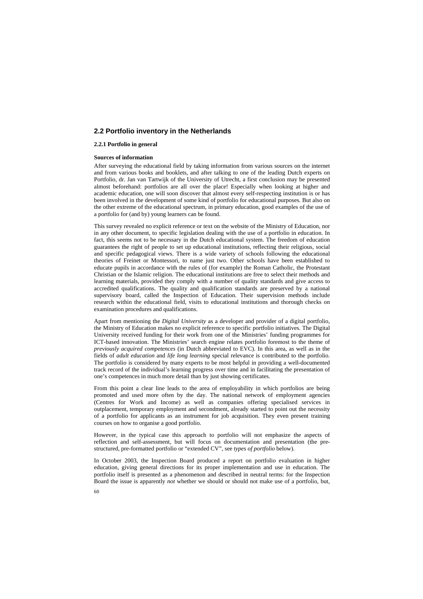# **2.2 Portfolio inventory in the Netherlands**

### **2.2.1 Portfolio in general**

### **Sources of information**

After surveying the educational field by taking information from various sources on the internet and from various books and booklets, and after talking to one of the leading Dutch experts on Portfolio, dr. Jan van Tartwijk of the University of Utrecht, a first conclusion may be presented almost beforehand: portfolios are all over the place! Especially when looking at higher and academic education, one will soon discover that almost every self-respecting institution is or has been involved in the development of some kind of portfolio for educational purposes. But also on the other extreme of the educational spectrum, in primary education, good examples of the use of a portfolio for (and by) young learners can be found.

This survey revealed no explicit reference or text on the website of the Ministry of Education, nor in any other document, to specific legislation dealing with the use of a portfolio in education. In fact, this seems not to be necessary in the Dutch educational system. The freedom of education guarantees the right of people to set up educational institutions, reflecting their religious, social and specific pedagogical views. There is a wide variety of schools following the educational theories of Freinet or Montessori, to name just two. Other schools have been established to educate pupils in accordance with the rules of (for example) the Roman Catholic, the Protestant Christian or the Islamic religion. The educational institutions are free to select their methods and learning materials, provided they comply with a number of quality standards and give access to accredited qualifications. The quality and qualification standards are preserved by a national supervisory board, called the Inspection of Education. Their supervision methods include research within the educational field, visits to educational institutions and thorough checks on examination procedures and qualifications.

Apart from mentioning the *Digital University* as a developer and provider of a digital portfolio, the Ministry of Education makes no explicit reference to specific portfolio initiatives. The Digital University received funding for their work from one of the Ministries' funding programmes for ICT-based innovation. The Ministries' search engine relates portfolio foremost to the theme of *previously acquired competences* (in Dutch abbreviated to EVC). In this area, as well as in the fields of *adult education* and *life long learning* special relevance is contributed to the portfolio. The portfolio is considered by many experts to be most helpful in providing a well-documented track record of the individual's learning progress over time and in facilitating the presentation of one's competences in much more detail than by just showing certificates.

From this point a clear line leads to the area of employability in which portfolios are being promoted and used more often by the day. The national network of employment agencies (Centres for Work and Income) as well as companies offering specialised services in outplacement, temporary employment and secondment, already started to point out the necessity of a portfolio for applicants as an instrument for job acquisition. They even present training courses on how to organise a good portfolio.

However, in the typical case this approach to portfolio will not emphasize the aspects of reflection and self-assessment, but will focus on documentation and presentation (the prestructured, pre-formatted portfolio or "extended CV", see *types of portfolio* below).

In October 2003, the Inspection Board produced a report on portfolio evaluation in higher education, giving general directions for its proper implementation and use in education. The portfolio itself is presented as a phenomenon and described in neutral terms: for the Inspection Board the issue is apparently *not* whether we should or should not make use of a portfolio, but,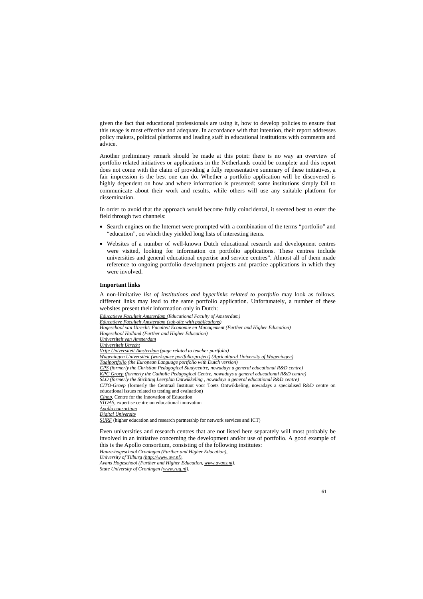given the fact that educational professionals are using it, how to develop policies to ensure that this usage is most effective and adequate. In accordance with that intention, their report addresses policy makers, political platforms and leading staff in educational institutions with comments and advice.

Another preliminary remark should be made at this point: there is no way an overview of portfolio related initiatives or applications in the Netherlands could be complete and this report does not come with the claim of providing a fully representative summary of these initiatives, a fair impression is the best one can do. Whether a portfolio application will be discovered is highly dependent on how and where information is presented: some institutions simply fail to communicate about their work and results, while others will use any suitable platform for dissemination.

In order to avoid that the approach would become fully coincidental, it seemed best to enter the field through two channels:

- Search engines on the Internet were prompted with a combination of the terms "portfolio" and "education", on which they yielded long lists of interesting items.
- Websites of a number of well-known Dutch educational research and development centres were visited, looking for information on portfolio applications. These centres include universities and general educational expertise and service centres". Almost all of them made reference to ongoing portfolio development projects and practice applications in which they were involved.

### **Important links**

A non-limitative *list of institutions and hyperlinks related to portfolio* may look as follows, different links may lead to the same portfolio application. Unfortunately, a number of these websites present their information only in Dutch:

*Educatieve Faculteit Amsterdam (Educational Faculty of Amsterdam) Educatieve Faculteit Amsterdam (sub-site with publications) Hogeschool van Utrecht: Faculteit Economie en Management (Further and Higher Education) Hogeschool Holland (Further and Higher Education) Universiteit van Amsterdam Universiteit Utrecht Vrije Universiteit Amsterdam (page related to teacher portfolio) Wageningen Universiteit (workspace portfolio-project) (Agricultural University of Wageningen) Taalportfolio (the European Language portfolio with Dutch version) CPS (formerly the Christian Pedagogical Studycentre, nowadays a general educational R&D centre) KPC Groep (formerly the Catholic Pedagogical Centre, nowadays a general educational R&D centre) SLO (formerly the Stichting Leerplan Ontwikkeling , nowadays a general educational R&D centre) CITO-Groep* (formerly the Centraal Instituut voor Toets Ontwikkeling, nowadays a specialised R&D centre on educational issues related to testing and evaluation) *Cinop*, Centre for the Innovation of Education *STOAS*, expertise centre on educational innovation *Apollo consortium Digital University SURF* (higher education and research partnership for network services and ICT) Even universities and research centres that are not listed here separately will most probably be

involved in an initiative concerning the development and/or use of portfolio. A good example of this is the Apollo consortium, consisting of the following institutes:

*Hanze-hogeschool Groningen (Further and Higher Education),* 

*University of Tilburg (http://www.uvt.nl),* 

*Avans Hogeschool (Further and Higher Education, www.avans.nl),* 

*State University of Groningen (www.rug.nl).*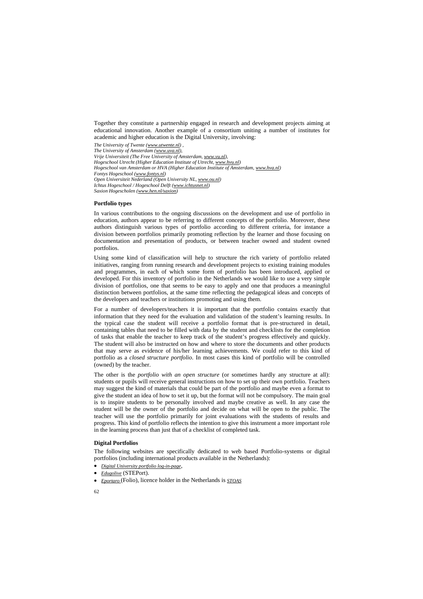Together they constitute a partnership engaged in research and development projects aiming at educational innovation. Another example of a consortium uniting a number of institutes for academic and higher education is the Digital University, involving:

*The University of Twente (www.utwente.nl) , The University of Amsterdam (www.uva.nl), Vrije Universiteit (The Free University of Amsterdam, www.vu.nl), Hogeschool Utrecht (Higher Education Institute of Utrecht, www.hvu.nl) Hogeschool van Amsterdam or HVA (Higher Education Institute of Amsterdam, www.hva.nl) Fontys Hogeschool (www.fontys.nl) Open Universiteit Nederland (Open University NL, www.ou.nl) Ichtus Hogeschool / Hogeschool Delft (www.ichtusnet.nl) Saxion Hogescholen (www.hen.nl/saxion)* 

### **Portfolio types**

In various contributions to the ongoing discussions on the development and use of portfolio in education, authors appear to be referring to different concepts of the portfolio. Moreover, these authors distinguish various types of portfolio according to different criteria, for instance a division between portfolios primarily promoting reflection by the learner and those focusing on documentation and presentation of products, or between teacher owned and student owned portfolios.

Using some kind of classification will help to structure the rich variety of portfolio related initiatives, ranging from running research and development projects to existing training modules and programmes, in each of which some form of portfolio has been introduced, applied or developed. For this inventory of portfolio in the Netherlands we would like to use a very simple division of portfolios, one that seems to be easy to apply and one that produces a meaningful distinction between portfolios, at the same time reflecting the pedagogical ideas and concepts of the developers and teachers or institutions promoting and using them.

For a number of developers/teachers it is important that the portfolio contains exactly that information that they need for the evaluation and validation of the student's learning results. In the typical case the student will receive a portfolio format that is pre-structured in detail, containing tables that need to be filled with data by the student and checklists for the completion of tasks that enable the teacher to keep track of the student's progress effectively and quickly. The student will also be instructed on how and where to store the documents and other products that may serve as evidence of his/her learning achievements. We could refer to this kind of portfolio as a *closed structure portfolio*. In most cases this kind of portfolio will be controlled (owned) by the teacher.

The other is the *portfolio with an open structure* (or sometimes hardly any structure at all): students or pupils will receive general instructions on how to set up their own portfolio. Teachers may suggest the kind of materials that could be part of the portfolio and maybe even a format to give the student an idea of how to set it up, but the format will not be compulsory. The main goal is to inspire students to be personally involved and maybe creative as well. In any case the student will be the owner of the portfolio and decide on what will be open to the public. The teacher will use the portfolio primarily for joint evaluations with the students of results and progress. This kind of portfolio reflects the intention to give this instrument a more important role in the learning process than just that of a checklist of completed task.

## **Digital Portfolios**

The following websites are specifically dedicated to web based Portfolio-systems or digital portfolios (including international products available in the Netherlands):

- *Digital University portfolio log-in-page*,
- *Edugolive* (STEPort).
- *Eportaro* (Folio), licence holder in the Netherlands is *STOAS*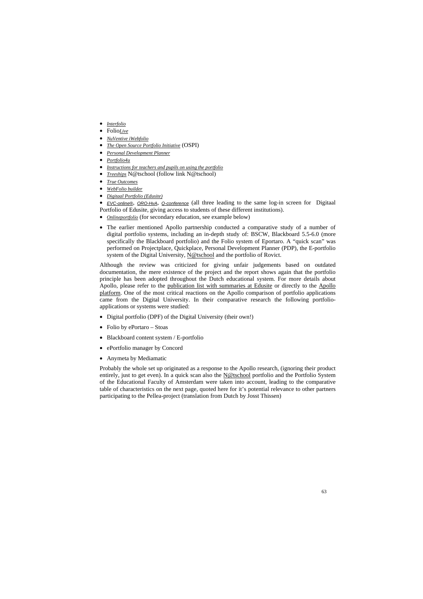- *Interfolio*
- Folio*Live*
- *NuVentive iWebfolio*
- *The Open Source Portfolio Initiative* (OSPI)
- *Personal Development Planner*
- *Portfolio4u*
- *Instructions for teachers and pupils on using the portfolio*
- *Treeships* N@tschool (follow link N@tschool)
- *True Outcomes*
- *WebFolio builder*
- *Digitaal Portfolio (Edusite)*

• EVC-online®, ORO-HvA, Q-conference (all three leading to the same log-in screen for Digitaal Portfolio of Edusite, giving access to students of these different institutions).

- *Onlineportfolio* (for secondary education, see example below)
- The earlier mentioned Apollo partnership conducted a comparative study of a number of digital portfolio systems, including an in-depth study of: BSCW, Blackboard 5.5-6.0 (more specifically the Blackboard portfolio) and the Folio system of Eportaro. A "quick scan" was performed on Projectplace, Quickplace, Personal Development Planner (PDP), the E-portfolio system of the Digital University, N@tschool and the portfolio of Rovict.

Although the review was criticized for giving unfair judgements based on outdated documentation, the mere existence of the project and the report shows again that the portfolio principle has been adopted throughout the Dutch educational system. For more details about Apollo, please refer to the publication list with summaries at Edusite or directly to the Apollo platform. One of the most critical reactions on the Apollo comparison of portfolio applications came from the Digital University. In their comparative research the following portfolioapplications or systems were studied:

- Digital portfolio (DPF) of the Digital University (their own!)
- Folio by ePortaro Stoas
- Blackboard content system / E-portfolio
- ePortfolio manager by Concord
- Anymeta by Mediamatic

Probably the whole set up originated as a response to the Apollo research, (ignoring their product entirely, just to get even). In a quick scan also the N@tschool portfolio and the Portfolio System of the Educational Faculty of Amsterdam were taken into account, leading to the comparative table of characteristics on the next page, quoted here for it's potential relevance to other partners participating to the Pellea-project (translation from Dutch by Josst Thissen)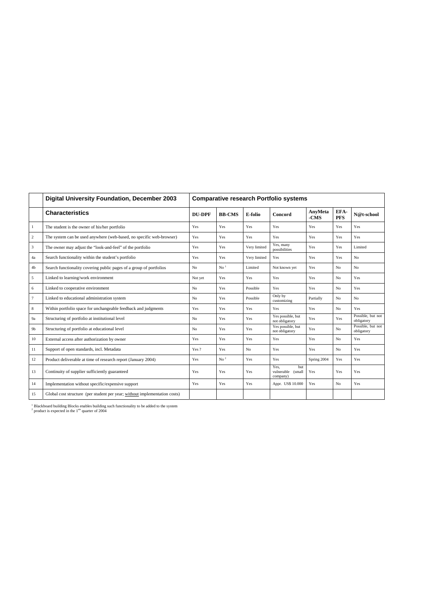| I University Foundation, December 2003                             | <b>Comparative research Portfolio systems</b> |                 |              |                                                  |                 |                    |               |
|--------------------------------------------------------------------|-----------------------------------------------|-----------------|--------------|--------------------------------------------------|-----------------|--------------------|---------------|
| ecteristics                                                        | <b>DU-DPF</b>                                 | <b>BB-CMS</b>   | E-folio      | Concord                                          | AnyMeta<br>-CMS | EFA-<br><b>PFS</b> | N@            |
| ent is the owner of his/her portfolio                              | Yes                                           | Yes             | Yes          | Yes                                              | Yes             | Yes                | Yes           |
| em can be used anywhere (web-based, no specific web-browser)       | Yes                                           | Yes             | Yes          | Yes                                              | Yes             | Yes                | Yes           |
| er may adjust the "look-and-feel" of the portfolio                 | <b>Yes</b>                                    | Yes             | Very limited | Yes, many<br>possibilities                       | <b>Yes</b>      | Yes                | Limi          |
| inctionality within the student's portfolio                        | Yes                                           | Yes             | Very limited | Yes                                              | Yes             | Yes                | No.           |
| inctionality covering public pages of a group of portfolios        | No                                            | No <sup>1</sup> | Limited      | Not known yet                                    | Yes             | No                 | No.           |
| b learning/work environment                                        | Not yet                                       | Yes             | Yes          | Yes                                              | Yes             | No                 | Yes           |
| o cooperative environment                                          | No                                            | Yes             | Possible     | Yes                                              | Yes             | No                 | Yes           |
| o educational administration system                                | No                                            | Yes             | Possible     | Only by<br>customizing                           | Partially       | No                 | No.           |
| ortfolio space for unchangeable feedback and judgments             | Yes                                           | Yes             | Yes          | Yes                                              | Yes             | No                 | Yes           |
| ng of portfolio at institutional level                             | No                                            | Yes             | Yes          | Yes possible, but<br>not obligatory              | Yes             | Yes                | Poss<br>oblis |
| ng of portfolio at educational level                               | No                                            | Yes             | Yes          | Yes possible, but<br>not obligatory              | Yes             | No                 | Poss<br>oblis |
| access after authorization by owner                                | Yes                                           | Yes             | Yes          | Yes                                              | Yes             | No                 | Yes           |
| of open standards, incl. Metadata                                  | Yes?                                          | Yes             | No           | Yes                                              | Yes             | No                 | Yes           |
| deliverable at time of research report (January 2004)              | Yes                                           | No <sup>2</sup> | Yes          | Yes                                              | Spring 2004     | Yes                | Yes           |
| ty of supplier sufficiently guaranteed                             | Yes                                           | Yes             | Yes          | Yes.<br>but<br>vulnerable<br>(small)<br>company) | Yes             | Yes                | Yes           |
| ntation without specific/expensive support                         | Yes                                           | Yes             | Yes          | Appr. US\$ 10.000                                | Yes             | No.                | Yes           |
| ost structure (per student per year; without implementation costs) |                                               |                 |              |                                                  |                 |                    |               |
|                                                                    |                                               |                 |              |                                                  |                 |                    |               |

ing Blocks enables building such functionality to be added to the system ed in the 1<sup>ste</sup> quarter of 2004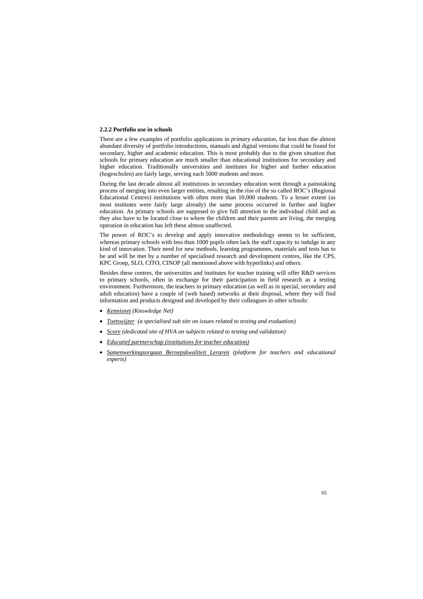### **2.2.2 Portfolio use in schools**

There are a few examples of portfolio applications in *primary education*, far less than the almost abundant diversity of portfolio introductions, manuals and digital versions that could be found for secondary, higher and academic education. This is most probably due to the given situation that schools for primary education are much smaller than educational institutions for secondary and higher education. Traditionally universities and institutes for higher and further education (hogescholen) are fairly large, serving each 5000 students and more.

During the last decade almost all institutions in secondary education went through a painstaking process of merging into even larger entities, resulting in the rise of the so called ROC's (Regional Educational Centres) institutions with often more than 10,000 students. To a lesser extent (as most institutes were fairly large already) the same process occurred in further and higher education. As primary schools are supposed to give full attention to the individual child and as they also have to be located close to where the children and their parents are living, the merging operation in education has left these almost unaffected.

The power of ROC's to develop and apply innovative methodology seems to be sufficient, whereas primary schools with less than 1000 pupils often lack the staff capacity to indulge in any kind of innovation. Their need for new methods, learning programmes, materials and tests has to be and will be met by a number of specialised research and development centres, like the CPS, KPC Groep, SLO, CITO, CINOP (all mentioned above with hyperlinks) and others.

Besides these centres, the universities and institutes for teacher training will offer R&D services to primary schools, often in exchange for their participation in field research as a testing environment. Furthermore, the teachers in primary education (as well as in special, secondary and adult education) have a couple of (web based) networks at their disposal, where they will find information and products designed and developed by their colleagues in other schools:

- *Kennisnet (Knowledge Net)*
- *Toetswijzer (a specialised sub site on issues related to testing and evaluation)*
- *Score (dedicated site of HVA on subjects related to testing and validation)*
- *Educatief partnerschap (institutions for teacher education)*
- *Samenwerkingsorgaan Beroepskwaliteit Leraren (platform for teachers and educational experts)*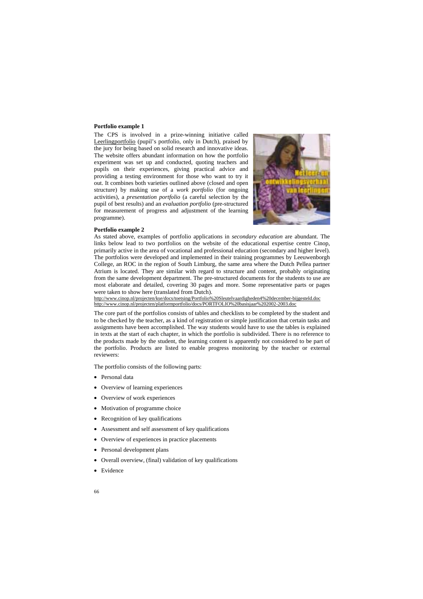### **Portfolio example 1**

The CPS is involved in a prize-winning initiative called Leerlingportfolio (pupil's portfolio, only in Dutch), praised by the jury for being based on solid research and innovative ideas. The website offers abundant information on how the portfolio experiment was set up and conducted, quoting teachers and pupils on their experiences, giving practical advice and providing a testing environment for those who want to try it out. It combines both varieties outlined above (closed and open structure) by making use of a *work portfolio* (for ongoing activities), a *presentation portfolio* (a careful selection by the pupil of best results) and an *evaluation portfolio* (pre-structured for measurement of progress and adjustment of the learning programme).



### **Portfolio example 2**

As stated above, examples of portfolio applications in *secondary education* are abundant. The links below lead to two portfolios on the website of the educational expertise centre Cinop, primarily active in the area of vocational and professional education (secondary and higher level). The portfolios were developed and implemented in their training programmes by Leeuwenborgh College, an ROC in the region of South Limburg, the same area where the Dutch Pellea partner Atrium is located. They are similar with regard to structure and content, probably originating from the same development department. The pre-structured documents for the students to use are most elaborate and detailed, covering 30 pages and more. Some representative parts or pages were taken to show here (translated from Dutch).

http://www.cinop.nl/projecten/kse/docs/toetsing/Portfolio%20Sleutelvaardigheden4%20december-bijgesteld.doc http://www.cinop.nl/projecten/platformportfolio/docs/PORTFOLIO%20basisjaar%202002-2003.doc

The core part of the portfolios consists of tables and checklists to be completed by the student and to be checked by the teacher, as a kind of registration or simple justification that certain tasks and assignments have been accomplished. The way students would have to use the tables is explained in texts at the start of each chapter, in which the portfolio is subdivided. There is no reference to the products made by the student, the learning content is apparently not considered to be part of the portfolio. Products are listed to enable progress monitoring by the teacher or external reviewers:

The portfolio consists of the following parts:

- Personal data
- Overview of learning experiences
- Overview of work experiences
- Motivation of programme choice
- Recognition of key qualifications
- Assessment and self assessment of key qualifications
- Overview of experiences in practice placements
- Personal development plans
- Overall overview, (final) validation of key qualifications
- Evidence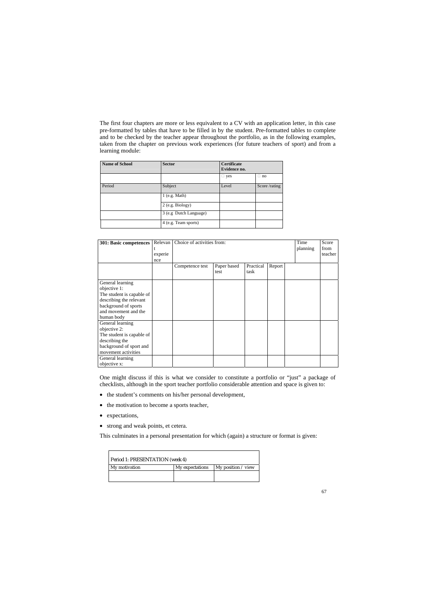The first four chapters are more or less equivalent to a CV with an application letter, in this case pre-formatted by tables that have to be filled in by the student. Pre-formatted tables to complete and to be checked by the teacher appear throughout the portfolio, as in the following examples, taken from the chapter on previous work experiences (for future teachers of sport) and from a learning module:

| <b>Name of School</b> | <b>Sector</b>          | <b>Certificate</b><br>Evidence no. |              |
|-----------------------|------------------------|------------------------------------|--------------|
|                       |                        | yes                                | no           |
| Period                | Subject                | Level                              | Score/rating |
|                       | $1$ (e.g. Math)        |                                    |              |
|                       | $2$ (e.g. Biology)     |                                    |              |
|                       | 3 (e.g Dutch Language) |                                    |              |
|                       | 4 (e.g. Team sports)   |                                    |              |

| 301: Basic competences    | Relevan<br>t.<br>experie<br>nce | Choice of activities from: |                     |                   |        | Time<br>planning | Score<br>from<br>teacher |
|---------------------------|---------------------------------|----------------------------|---------------------|-------------------|--------|------------------|--------------------------|
|                           |                                 | Competence test            | Paper based<br>test | Practical<br>task | Report |                  |                          |
|                           |                                 |                            |                     |                   |        |                  |                          |
| General learning          |                                 |                            |                     |                   |        |                  |                          |
| objective 1:              |                                 |                            |                     |                   |        |                  |                          |
| The student is capable of |                                 |                            |                     |                   |        |                  |                          |
| describing the relevant   |                                 |                            |                     |                   |        |                  |                          |
| background of sports      |                                 |                            |                     |                   |        |                  |                          |
| and movement and the      |                                 |                            |                     |                   |        |                  |                          |
| human body                |                                 |                            |                     |                   |        |                  |                          |
| General learning          |                                 |                            |                     |                   |        |                  |                          |
| objective 2:              |                                 |                            |                     |                   |        |                  |                          |
| The student is capable of |                                 |                            |                     |                   |        |                  |                          |
| describing the            |                                 |                            |                     |                   |        |                  |                          |
| background of sport and   |                                 |                            |                     |                   |        |                  |                          |
| movement activities       |                                 |                            |                     |                   |        |                  |                          |
| General learning          |                                 |                            |                     |                   |        |                  |                          |
| objective x:              |                                 |                            |                     |                   |        |                  |                          |

One might discuss if this is what we consider to constitute a portfolio or "just" a package of checklists, although in the sport teacher portfolio considerable attention and space is given to:

- the student's comments on his/her personal development,
- the motivation to become a sports teacher,
- expectations,
- strong and weak points, et cetera.

This culminates in a personal presentation for which (again) a structure or format is given:

| Period 1: PRESENTATION (week 4) |                 |                      |
|---------------------------------|-----------------|----------------------|
| My motivation                   | My expectations | $My$ position / view |
|                                 |                 |                      |
|                                 |                 |                      |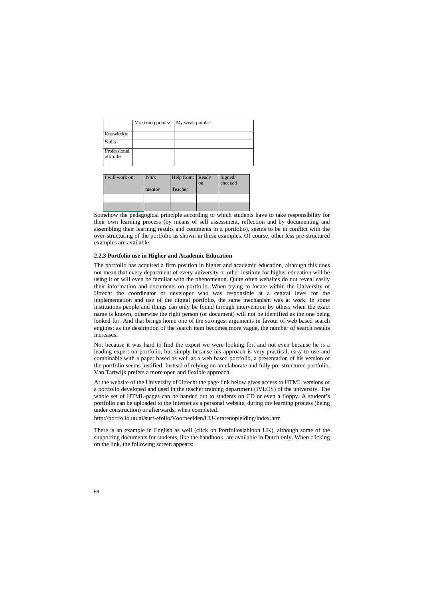|                          | My strong points: | My weak points: |
|--------------------------|-------------------|-----------------|
| Knowledge                |                   |                 |
| <b>Skills</b>            |                   |                 |
| Professional<br>attitude |                   |                 |

| will work on: | With:<br>mentor | Help from: Ready<br>Teacher | on: | Signed/<br>checked |
|---------------|-----------------|-----------------------------|-----|--------------------|
|               |                 |                             |     |                    |
|               |                 |                             |     |                    |

Somehow the pedagogical principle according to which students have to take responsibility for their own learning process (by means of self assessment, reflection and by documenting and assembling their learning results and comments in a portfolio), seems to be in conflict with the over-structuring of the portfolio as shown in these examples. Of course, other less pre-structured examples are available.

### **2.2.3 Portfolio use in Higher and Academic Education**

The portfolio has acquired a firm position in higher and academic education, although this does not mean that every department of every university or other institute for higher education will be using it or will even be familiar with the phenomenon. Quite often websites do not reveal easily their information and documents on portfolio. When trying to locate within the University of Utrecht the coordinator or developer who was responsible at a central level for the implementation and use of the digital portfolio, the same mechanism was at work. In some institutions people and things can only be found through intervention by others when the exact name is known, otherwise the right person (or document) will not be identified as the one being looked for. And that brings home one of the strongest arguments in favour of web based search engines: as the description of the search item becomes more vague, the number of search results increases.

Not because it was hard to find the expert we were looking for, and not even because he is a leading expert on portfolio, but simply because his approach is very practical, easy to use and combinable with a paper based as well as a web based portfolio, a presentation of his version of the portfolio seems justified. Instead of relying on an elaborate and fully pre-structured portfolio, Van Tartwijk prefers a more open and flexible approach.

At the website of the University of Utrecht the page link below gives access to HTML versions of a portfolio developed and used in the teacher training department (IVLOS) of the university. The whole set of HTML-pages can be handed out to students on CD or even a floppy. A student's portfolio can be uploaded to the Internet as a personal website, during the learning process (being under construction) or afterwards, when completed.

http://portfolio.uu.nl/surf-efolio/Voorbeelden/UU-lerarenopleiding/index.htm

There is an example in English as well (click on Portfoliosjabloon UK), although some of the supporting documents for students, like the handbook, are available in Dutch only. When clicking on the link, the following screen appears: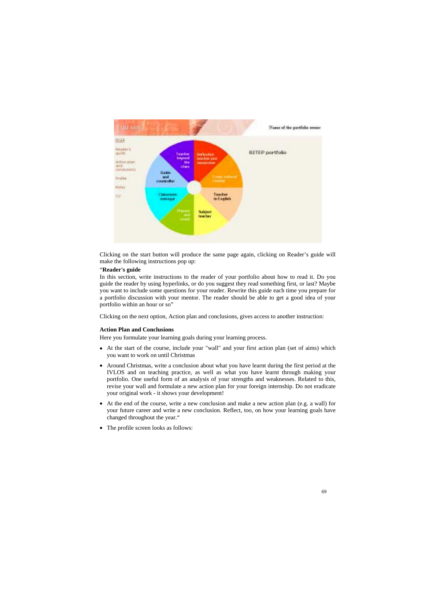

Clicking on the start button will produce the same page again, clicking on Reader's guide will make the following instructions pop up:

### "**Reader's guide**

In this section, write instructions to the reader of your portfolio about how to read it. Do you guide the reader by using hyperlinks, or do you suggest they read something first, or last? Maybe you want to include some questions for your reader. Rewrite this guide each time you prepare for a portfolio discussion with your mentor. The reader should be able to get a good idea of your portfolio within an hour or so"

Clicking on the next option, Action plan and conclusions, gives access to another instruction:

### **Action Plan and Conclusions**

Here you formulate your learning goals during your learning process.

- At the start of the course, include your "wall" and your first action plan (set of aims) which you want to work on until Christmas
- Around Christmas, write a conclusion about what you have learnt during the first period at the IVLOS and on teaching practice, as well as what you have learnt through making your portfolio. One useful form of an analysis of your strengths and weaknesses. Related to this, revise your wall and formulate a new action plan for your foreign internship. Do not eradicate your original work - it shows your development!
- At the end of the course, write a new conclusion and make a new action plan (e.g. a wall) for your future career and write a new conclusion. Reflect, too, on how your learning goals have changed throughout the year."
- The profile screen looks as follows: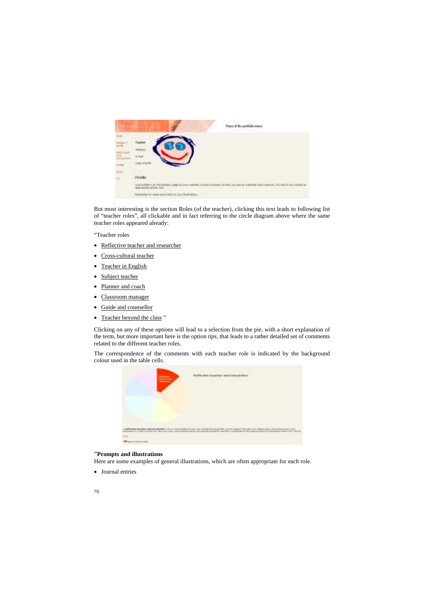| <b>COVERED</b> | Name of the particle ensure                                                                                                                    |
|----------------|------------------------------------------------------------------------------------------------------------------------------------------------|
|                |                                                                                                                                                |
|                | Profile<br>The profits in an intercollective polynty and website, a short humany of who you are so a teacher pack a person. The mail from make |
|                | Famienbat to make optio from your Rush story.                                                                                                  |

But most interesting is the section Roles (of the teacher), clicking this text leads to following list of "teacher roles", all clickable and in fact referring to the circle diagram above where the same teacher roles appeared already:

"Teacher roles

- Reflective teacher and researcher
- Cross-cultural teacher
- Teacher in English
- Subject teacher
- Planner and coach
- Classroom manager
- Guide and counsellor
- Teacher beyond the class "

Clicking on any of these options will lead to a selection from the pie, with a short explanation of the term, but more important here is the option *tips,* that leads to a rather detailed set of comments related to the different teacher roles.

The correspondence of the comments with each teacher role is indicated by the background colour used in the table cells.



### "**Prompts and illustrations**

Here are some examples of general illustrations, which are often appropriate for each role.

• Journal entries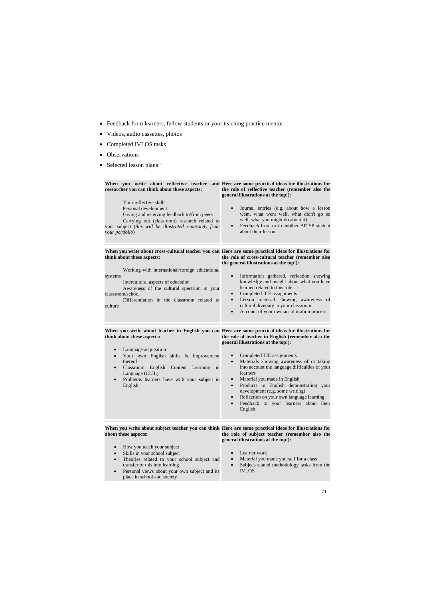- Feedback from learners, fellow students or your teaching practice mentor
- Videos, audio cassettes, photos
- Completed IVLOS tasks
- Observations
- Selected lesson plans "

| When you write about reflective teacher<br>researcher you can think about these aspects:                                                                                                                                                                                                                                                                                                                           | and Here are some practical ideas for illustrations for<br>the role of reflective teacher (remember also the<br>general illustrations at the top!):                                                                                                                                                                                                                                                                                                                                                                        |
|--------------------------------------------------------------------------------------------------------------------------------------------------------------------------------------------------------------------------------------------------------------------------------------------------------------------------------------------------------------------------------------------------------------------|----------------------------------------------------------------------------------------------------------------------------------------------------------------------------------------------------------------------------------------------------------------------------------------------------------------------------------------------------------------------------------------------------------------------------------------------------------------------------------------------------------------------------|
| Your reflective skills<br>Personal development<br>Giving and receiving feedback to/from peers<br>Carrying out (classroom) research related to<br>your subject (this will be illustrated separately from<br>your portfolio)                                                                                                                                                                                         | Journal entries (e.g. about how a lesson<br>$\bullet$<br>went, what went well, what didn't go so<br>well, what you might do about it)<br>Feedback from or to another BITEP student<br>about their lesson                                                                                                                                                                                                                                                                                                                   |
| When you write about cross-cultural teacher you can Here are some practical ideas for illustrations for<br>think about these aspects:<br>Working with international/foreign educational<br>systems<br>Intercultural aspects of education<br>Awareness of the cultural spectrum in your<br>classroom/school<br>Differentiation in the classroom related to<br>culture                                               | the role of cross-cultural teacher (remember also<br>the general illustrations at the top!):<br>Information gathered, reflection showing<br>$\bullet$<br>knowledge and insight about what you have<br>learned related to this role<br>Completed ICE assignments<br>$\bullet$<br>Lesson material showing awareness of<br>$\bullet$<br>cultural diversity in your classroom<br>Account of your own acculturation process<br>$\bullet$                                                                                        |
| When you write about teacher in English you can Here are some practical ideas for illustrations for<br>think about these aspects:<br>Language acquisition<br>$\bullet$<br>Your own English skills & improvement<br>$\bullet$<br>thereof<br>Classroom English<br>Content Learning in<br>Language (CLIL)<br>Problems learners have with your subject in<br>$\bullet$<br>English                                      | the role of teacher in English (remember also the<br>general illustrations at the top!):<br>$\bullet$<br>Completed TIE assignments<br>Materials showing awareness of or taking<br>$\bullet$<br>into account the language difficulties of your<br>learners<br>Material you made in English<br>$\bullet$<br>Products in English demonstrating your<br>$\bullet$<br>development (e.g. some writing)<br>Reflection on your own language learning<br>$\bullet$<br>Feedback to your learners about their<br>$\bullet$<br>English |
| When you write about subject teacher you can think Here are some practical ideas for illustrations for<br>about these aspects:<br>How you teach your subject<br>$\bullet$<br>Skills in your school subject<br>$\bullet$<br>Theories related to your school subject and<br>$\bullet$<br>transfer of this into learning<br>Personal views about your own subject and its<br>$\bullet$<br>place in school and society | the role of subject teacher (remember also the<br>general illustrations at the top!):<br>Learner work<br>$\bullet$<br>Material you made yourself for a class<br>$\bullet$<br>Subject-related methodology tasks from the<br><b>IVLOS</b>                                                                                                                                                                                                                                                                                    |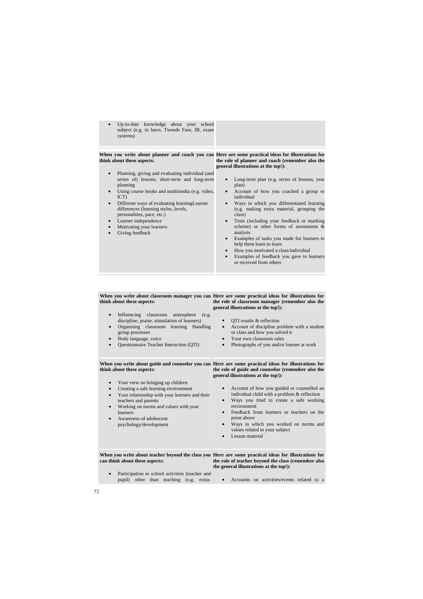• Up-to-date knowledge about your school subject (e.g. in bavo, Tweede Fase, IB, exam systems)

#### **When you write about planner and coach you can Here are some practical ideas for illustrations for think about these aspects:**

- Planning, giving and evaluating individual (and series of) lessons; short-term and long-term planning
- Using course books and multimedia (e.g. video, ICT)
- Different ways of evaluating learningLearner differences (learning styles, levels, personalities, pace, etc.)
- Learner independence
- Motivating your learners
- Giving feedback

# **the role of planner and coach (remember also the general illustrations at the top!):**

- Long-term plan (e.g. series of lessons, year plan)
- Account of how you coached a group or individual
- Ways in which you differentiated learning (e.g. making extra material, grouping the class)
- Tests (including your feedback or marking scheme) or other forms of assessment & analysis
- Examples of tasks you made for learners to help them learn to learn
- How you motivated a class/individual
- Examples of feedback you gave to learners or received from others

#### **When you write about classroom manager you can Here are some practical ideas for illustrations for think about these aspects: the role of classroom manager (remember also the general illustrations at the top!):**

- Influencing classroom atmosphere (e.g. discipline, praise, stimulation of learners)
- Organising classroom learning Handling group processes
- Body language, voice
- Questionnaire Teacher Interaction (QTI)
- OTI results & reflection
- Account of discipline problem with a student or class and how you solved it
- Your own classroom rules
- Photographs of you and/or learner at work

#### **When you write about guide and counselor you can Here are some practical ideas for illustrations for think about these aspects: the role of guide and counselor (remember also the general illustrations at the top!):**

- Your view on bringing up children
- Creating a safe learning environment
- Your relationship with your learners and their teachers and parents
- Working on norms and values with your learners
- Awareness of adolescent psychology/development
- Account of how you guided or counselled an individual child with a problem & reflection
- Ways you tried to create a safe working environment
- Feedback from learners or teachers on the point above
- Ways in which you worked on norms and values related to your subject
- Lesson material

**When you write about teacher beyond the class you Here are some practical ideas for illustrations for can think about these aspects: the role of teacher beyond the class (remember also the general illustrations at the top!):**

- Participation in school activities (teacher and pupil) other than teaching (e.g. extra-
- Accounts on activities/events related to a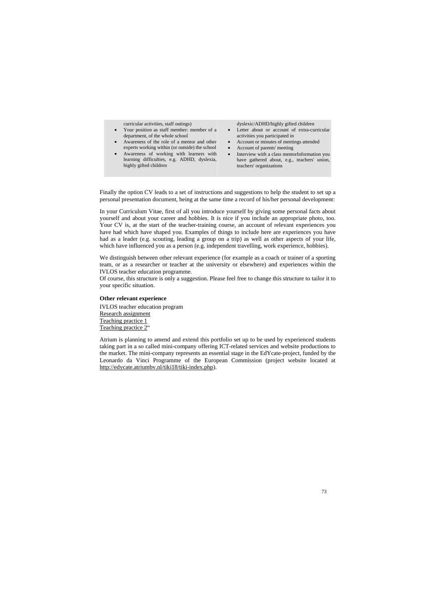curricular activities, staff outings)

- Your position as staff member: member of a department, of the whole school
- Awareness of the role of a mentor and other experts working within (or outside) the school
- Awareness of working with learners with learning difficulties, e.g. ADHD, dyslexia, highly gifted children

dyslexic/ADHD/highly gifted children

- Letter about or account of extra-curricular activities you participated in
- Account or minutes of meetings attended
- Account of parents' meeting
- Interview with a class mentorInformation you have gathered about, e.g., teachers' union, teachers' organizations

Finally the option CV leads to a set of instructions and suggestions to help the student to set up a personal presentation document, being at the same time a record of his/her personal development:

In your Curriculum Vitae, first of all you introduce yourself by giving some personal facts about yourself and about your career and hobbies. It is nice if you include an appropriate photo, too. Your CV is, at the start of the teacher-training course, an account of relevant experiences you have had which have shaped you. Examples of things to include here are experiences you have had as a leader (e.g. scouting, leading a group on a trip) as well as other aspects of your life, which have influenced you as a person (e.g. independent travelling, work experience, hobbies).

We distinguish between other relevant experience (for example as a coach or trainer of a sporting team, or as a researcher or teacher at the university or elsewhere) and experiences within the IVLOS teacher education programme.

Of course, this structure is only a suggestion. Please feel free to change this structure to tailor it to your specific situation.

#### **Other relevant experience**

IVLOS teacher education program Research assignment Teaching practice 1 Teaching practice 2"

Atrium is planning to amend and extend this portfolio set up to be used by experienced students taking part in a so called mini-company offering ICT-related services and website productions to the market. The mini-company represents an essential stage in the EdYcate-project, funded by the Leonardo da Vinci Programme of the European Commission (project website located at http://edycate.atriumbv.nl/tiki18/tiki-index.php).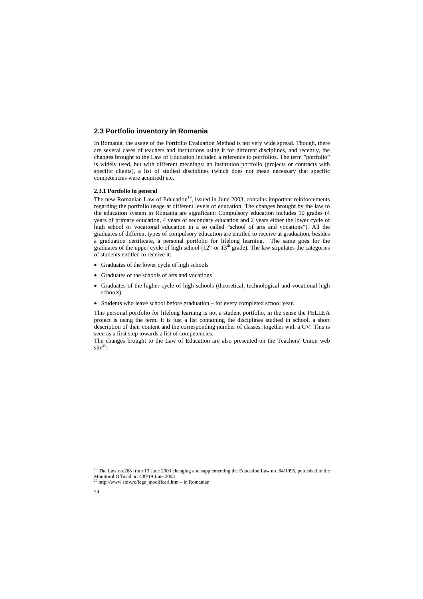# **2.3 Portfolio inventory in Romania**

In Romania, the usage of the Portfolio Evaluation Method is not very wide spread. Though, there are several cases of teachers and institutions using it for different disciplines, and recently, the changes brought to the Law of Education included a reference to portfolios. The term "portfolio" is widely used, but with different meanings: an institution portfolio (projects or contracts with specific clients), a list of studied disciplines (which does not mean necessary that specific competencies were acquired) etc.

## **2.3.1 Portfolio in general**

The new Romanian Law of Education<sup>19</sup>, issued in June 2003, contains important reinforcements regarding the portfolio usage at different levels of education. The changes brought by the law to the education system in Romania are significant: Compulsory education includes 10 grades (4 years of primary education, 4 years of secondary education and 2 years either the lower cycle of high school or vocational education in a so called "school of arts and vocations"). All the graduates of different types of compulsory education are entitled to receive at graduation, besides a graduation certificate, a personal portfolio for lifelong learning. The same goes for the graduates of the upper cycle of high school  $(12<sup>th</sup>$  or  $13<sup>th</sup>$  grade). The law stipulates the categories of students entitled to receive it:

- Graduates of the lower cycle of high schools
- Graduates of the schools of arts and vocations
- Graduates of the higher cycle of high schools (theoretical, technological and vocational high schools)
- Students who leave school before graduation for every completed school year.

This personal portfolio for lifelong learning is not a student portfolio, in the sense the PELLEA project is using the term. It is just a list containing the disciplines studied in school, a short description of their content and the corresponding number of classes, together with a CV. This is seen as a first step towards a list of competencies.

The changes brought to the Law of Education are also presented on the Teachers' Union web  $site<sup>20</sup>$ :

-

<sup>&</sup>lt;sup>19</sup> The Law no.268 from 13 June 2003 changing and supplementing the Education Law no. 84/1995, published in the Monitorul Official nr. 430/19 June 2003

 $20$  http://www.sinv.ro/lege\_modificari.htm – in Romanian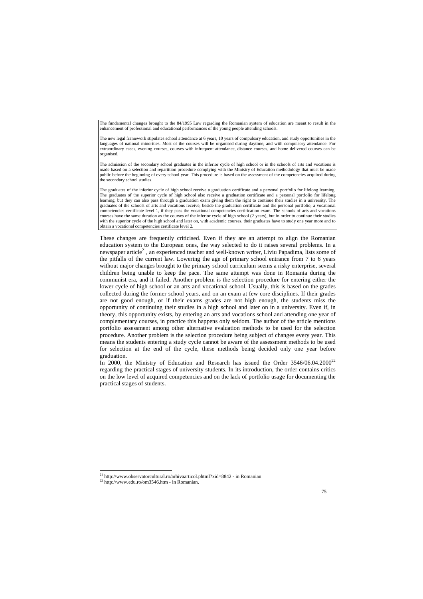The fundamental changes brought to the 84/1995 Law regarding the Romanian system of education are meant to result in the enhancement of professional and educational performances of the young people attending schools.

The new legal framework stipulates school attendance at 6 years, 10 years of compulsory education, and study opportunities in the languages of national minorities. Most of the courses will be organised during daytime, and with compulsory attendance. For extraordinary cases, evening courses, courses with infrequent attendance, distance courses, and home delivered courses can be organised.

The admission of the secondary school graduates in the inferior cycle of high school or in the schools of arts and vocations is made based on a selection and repartition procedure complying with the Ministry of Education methodology that must be made public before the beginning of every school year. This procedure is based on the assessment of the competencies acquired during the secondary school studies.

The graduates of the inferior cycle of high school receive a graduation certificate and a personal portfolio for lifelong learning. The graduates of the superior cycle of high school also receive a graduation certificate and a personal portfolio for lifelong learning, but they can also pass through a graduation exam giving them the right to continue their studies in a university. The graduates of the schools of arts and vocations receive, beside the graduation certificate and the personal portfolio, a vocational competencies certificate level 1, if they pass the vocational competencies certification exam. The schools of arts and vocations courses have the same duration as the courses of the inferior cycle of high school (2 years), but in order to continue their studies with the superior cycle of the high school and later on, with academic courses, their graduates have to study one year more and to obtain a vocational competencies certificate level 2.

These changes are frequently criticised. Even if they are an attempt to align the Romanian education system to the European ones, the way selected to do it raises several problems. In a newspaper article<sup>21</sup>, an experienced teacher and well-known writer, Liviu Papadima, lists some of the pitfalls of the current law. Lowering the age of primary school entrance from 7 to 6 years without major changes brought to the primary school curriculum seems a risky enterprise, several children being unable to keep the pace. The same attempt was done in Romania during the communist era, and it failed. Another problem is the selection procedure for entering either the lower cycle of high school or an arts and vocational school. Usually, this is based on the grades collected during the former school years, and on an exam at few core disciplines. If their grades are not good enough, or if their exams grades are not high enough, the students miss the opportunity of continuing their studies in a high school and later on in a university. Even if, in theory, this opportunity exists, by entering an arts and vocations school and attending one year of complementary courses, in practice this happens only seldom. The author of the article mentions portfolio assessment among other alternative evaluation methods to be used for the selection procedure. Another problem is the selection procedure being subject of changes every year. This means the students entering a study cycle cannot be aware of the assessment methods to be used for selection at the end of the cycle, these methods being decided only one year before graduation.

In 2000, the Ministry of Education and Research has issued the Order  $3546/06.04.2000^{22}$ regarding the practical stages of university students. In its introduction, the order contains critics on the low level of acquired competencies and on the lack of portfolio usage for documenting the practical stages of students.

 $\overline{a}$ 

<sup>&</sup>lt;sup>21</sup> http://www.observatorcultural.ro/arhivaarticol.phtml?xid=8842 - in Romanian

<sup>22</sup> http://www.edu.ro/om3546.htm - in Romanian.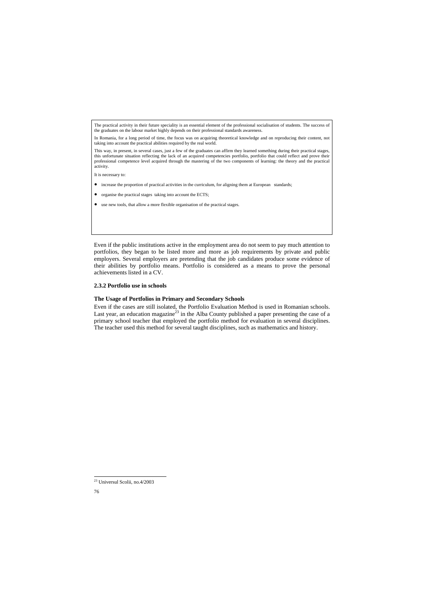The practical activity in their future speciality is an essential element of the professional socialisation of students. The success of the graduates on the labour market highly depends on their professional standards awareness.

In Romania, for a long period of time, the focus was on acquiring theoretical knowledge and on reproducing their content, not taking into account the practical abilities required by the real world.

This way, in present, in several cases, just a few of the graduates can affirm they learned something during their practical stages, this unfortunate situation reflecting the lack of an acquired competencies portfolio, portfolio that could reflect and prove their professional competence level acquired through the mastering of the two components of learning: the theory and the practical activity.

It is necessary to:

- increase the proportion of practical activities in the curriculum, for aligning them at European standards;
- organise the practical stages taking into account the ECTS;
- use new tools, that allow a more flexible organisation of the practical stages.

Even if the public institutions active in the employment area do not seem to pay much attention to portfolios, they began to be listed more and more as job requirements by private and public employers. Several employers are pretending that the job candidates produce some evidence of their abilities by portfolio means. Portfolio is considered as a means to prove the personal achievements listed in a CV.

#### **2.3.2 Portfolio use in schools**

#### **The Usage of Portfolios in Primary and Secondary Schools**

Even if the cases are still isolated, the Portfolio Evaluation Method is used in Romanian schools. Last year, an education magazine<sup>23</sup> in the Alba County published a paper presenting the case of a primary school teacher that employed the portfolio method for evaluation in several disciplines. The teacher used this method for several taught disciplines, such as mathematics and history.

<sup>-</sup>23 Universul Scolii, no.4/2003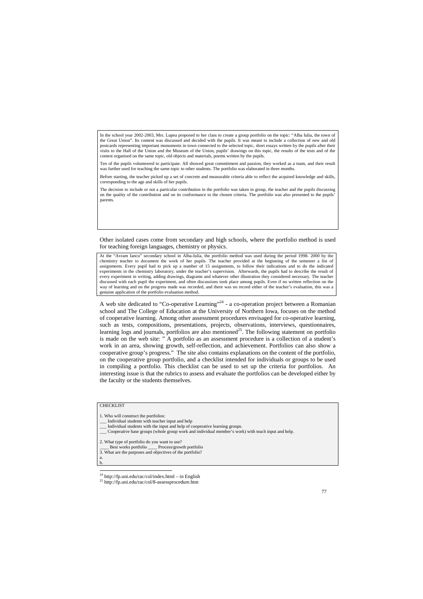In the school year 2002-2003, Mrs. Lupea proposed to her class to create a group portfolio on the topic: "Alba Iulia, the town of the Great Union". Its content was discussed and decided with the pupils. It was meant to include a collection of new and old postcards representing important monuments in town connected to the selected topic, short essays written by the pupils after their visits to the Hall of the Union and the Museum of the Union, pupils' drawings on this topic, the results of the tests and of the contest organised on the same topic, old objects and materials, poems written by the pupils.

Ten of the pupils volunteered to participate. All showed great commitment and passion, they worked as a team, and their result was further used for teaching the same topic to other students. The portfolio was elaborated in three months.

Before starting, the teacher picked up a set of concrete and measurable criteria able to reflect the acquired knowledge and skills corresponding to the age and skills of her pupils.

The decision to include or not a particular contribution in the portfolio was taken in group, the teacher and the pupils discussing on the quality of the contribution and on its conformance to the chosen criteria. The portfolio was also presented to the pupils' parents.

Other isolated cases come from secondary and high schools, where the portfolio method is used for teaching foreign languages, chemistry or physics.

At the "Avram Iancu" secondary school in Alba-Iulia, the portfolio method was used during the period 1998- 2000 by the chemistry teacher to document the work of her pupils. The teacher provided at the beginning of the semester a list of assignments. Every pupil had to pick up a number of 15 assignments, to follow their indications and to do the indicated experiments in the chemistry laboratory, under the teacher's supervision. Afterwards, the pupils had to describe the result of every experiment in writing, adding drawings, diagrams and whatever other illustration they considered necessary. The teacher discussed with each pupil the experiment, and often discussions took place among pupils. Even if no written reflection on the way of learning and on the progress made was recorded, and there was no record either of the teacher's evaluation, this was a genuine application of the portfolio evaluation method.

A web site dedicated to "Co-operative Learning"<sup>24</sup> - a co-operation project between a Romanian school and The College of Education at the University of Northern Iowa, focuses on the method of cooperative learning. Among other assessment procedures envisaged for co-operative learning, such as tests, compositions, presentations, projects, observations, interviews, questionnaires, learning logs and journals, portfolios are also mentioned<sup>25</sup>. The following statement on portfolio is made on the web site: " A portfolio as an assessment procedure is a collection of a student's work in an area, showing growth, self-reflection, and achievement. Portfolios can also show a cooperative group's progress." The site also contains explanations on the content of the portfolio, on the cooperative group portfolio, and a checklist intended for individuals or groups to be used in compiling a portfolio. This checklist can be used to set up the criteria for portfolios. An interesting issue is that the rubrics to assess and evaluate the portfolios can be developed either by the faculty or the students themselves.

#### CHECKLIST

 $\overline{a}$ 

1. Who will construct the portfolios: \_\_\_ Individual students with teacher input and help Individual students with the input and help of cooperative learning groups. \_\_\_ Cooperative base groups (whole group work and individual member's work) with teach input and help. 2. What type of portfolio do you want to use?<br>Best works portfolio \_\_\_\_Process/grow \_Process/growth portfolio 3. What are the purposes and objectives of the portfolio? a. b.

 $^{24}$  http://fp.uni.edu/rac/col/index.html – in English

<sup>25</sup> http://fp.uni.edu/rac/col/8-assessprocedure.htm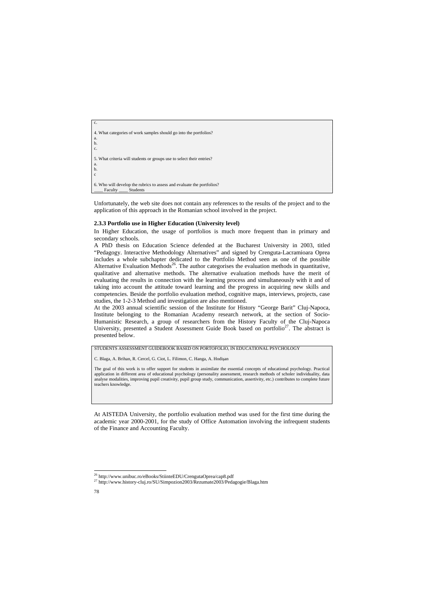```
c.
4. What categories of work samples should go into the portfolios? 
a.
b.
c.
5. What criteria will students or groups use to select their entries? 
a.
b.
c
6. Who will develop the rubrics to assess and evaluate the portfolios? 
     Faculty Students
```
Unfortunately, the web site does not contain any references to the results of the project and to the application of this approach in the Romanian school involved in the project.

### **2.3.3 Portfolio use in Higher Education (University level)**

In Higher Education, the usage of portfolios is much more frequent than in primary and secondary schools.

A PhD thesis on Education Science defended at the Bucharest University in 2003, titled "Pedagogy. Interactive Methodology Alternatives" and signed by Crenguta-Lacramioara Oprea includes a whole subchapter dedicated to the Portfolio Method seen as one of the possible Alternative Evaluation Methods<sup>26</sup>. The author categorises the evaluation methods in quantitative, qualitative and alternative methods. The alternative evaluation methods have the merit of evaluating the results in connection with the learning process and simultaneously with it and of taking into account the attitude toward learning and the progress in acquiring new skills and competencies. Beside the portfolio evaluation method, cognitive maps, interviews, projects, case studies, the 1-2-3 Method and investigation are also mentioned.

At the 2003 annual scientific session of the Institute for History "George Barit" Cluj-Napoca, Institute belonging to the Romanian Academy research network, at the section of Socio-Humanistic Research, a group of researchers from the History Faculty of the Cluj-Napoca University, presented a Student Assessment Guide Book based on portfolio<sup>27</sup>. The abstract is presented below.

STUDENTS ASSESSMENT GUIDEBOOK BASED ON PORTOFOLIO, IN EDUCATIONAL PSYCHOLOGY

C. Blaga, A. Brihan, R. Cercel, G. Ciot, L. Filimon, C. Hanga, A. Hodisan

The goal of this work is to offer support for students in assimilate the essential concepts of educational psychology. Practical application in different area of educational psychology (personality assessment, research methods of scholer individuality, data analyse modalities, improving pupil creativity, pupil group study, communication, assertivity, etc.) contributes to complete future teachers knowledge.

At AISTEDA University, the portfolio evaluation method was used for the first time during the academic year 2000-2001, for the study of Office Automation involving the infrequent students of the Finance and Accounting Faculty.

<sup>-</sup><sup>26</sup> http://www.unibuc.ro/eBooks/StiinteEDU/CrengutaOprea/cap8.pdf

<sup>&</sup>lt;sup>27</sup> http://www.history-cluj.ro/SU/Simpozion2003/Rezumate2003/Pedagogie/Blaga.htm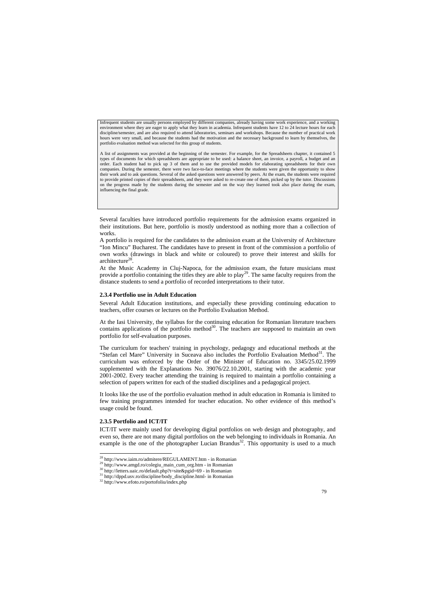Infrequent students are usually persons employed by different companies, already having some work experience, and a working environment where they are eager to apply what they learn in academia. Infrequent students have 12 to 24 lecture hours for each discipline/semester, and are also required to attend laboratories, seminars and workshops. Because the number of practical work hours were very small, and because the students had the motivation and the necessary background to learn by themselves, the portfolio evaluation method was selected for this group of students.

A list of assignments was provided at the beginning of the semester. For example, for the Spreadsheets chapter, it contained 5 types of documents for which spreadsheets are appropriate to be used: a balance sheet, an invoice, a payroll, a budget and an order. Each student had to pick up 3 of them and to use the provided models for elaborating spreadsheets for their own companies. During the semester, there were two face-to-face meetings where the students were given the opportunity to show their work and to ask questions. Several of the asked questions were answered by peers. At the exam, the students were required to provide printed copies of their spreadsheets, and they were asked to re-create one of them, picked up by the tutor. Discussions on the progress made by the students during the semester and on the way they learned took also place during the exam, influencing the final grade.

Several faculties have introduced portfolio requirements for the admission exams organized in their institutions. But here, portfolio is mostly understood as nothing more than a collection of works.

A portfolio is required for the candidates to the admission exam at the University of Architecture "Ion Mincu" Bucharest. The candidates have to present in front of the commission a portfolio of own works (drawings in black and white or coloured) to prove their interest and skills for architecture $^{28}$ .

At the Music Academy in Cluj-Napoca, for the admission exam, the future musicians must provide a portfolio containing the titles they are able to  $play<sup>29</sup>$ . The same faculty requires from the distance students to send a portfolio of recorded interpretations to their tutor.

### **2.3.4 Portfolio use in Adult Education**

Several Adult Education institutions, and especially these providing continuing education to teachers, offer courses or lectures on the Portfolio Evaluation Method.

At the Iasi University, the syllabus for the continuing education for Romanian literature teachers contains applications of the portfolio method $30$ . The teachers are supposed to maintain an own portfolio for self-evaluation purposes.

The curriculum for teachers' training in psychology, pedagogy and educational methods at the "Stefan cel Mare" University in Suceava also includes the Portfolio Evaluation Method $31$ . The curriculum was enforced by the Order of the Minister of Education no. 3345/25.02.1999 supplemented with the Explanations No. 39076/22.10.2001, starting with the academic year 2001-2002. Every teacher attending the training is required to maintain a portfolio containing a selection of papers written for each of the studied disciplines and a pedagogical project.

It looks like the use of the portfolio evaluation method in adult education in Romania is limited to few training programmes intended for teacher education. No other evidence of this method's usage could be found.

### **2.3.5 Portfolio and ICT/IT**

 $\overline{a}$ 

ICT/IT were mainly used for developing digital portfolios on web design and photography, and even so, there are not many digital portfolios on the web belonging to individuals in Romania. An example is the one of the photographer Lucian Brandus<sup>32</sup>. This opportunity is used to a much

<sup>28</sup> http://www.iaim.ro/admitere/REGULAMENT.htm - in Romanian

<sup>29</sup> http://www.amgd.ro/colegiu\_main\_cum\_org.htm - in Romanian

<sup>30</sup> http://letters.uaic.ro/default.php?t=site&pgid=69 - in Romanian

<sup>31</sup> http://dppd.usv.ro/discipline/body\_discipline.html- in Romanian

<sup>32</sup> http://www.efoto.ro/portofoliu/index.php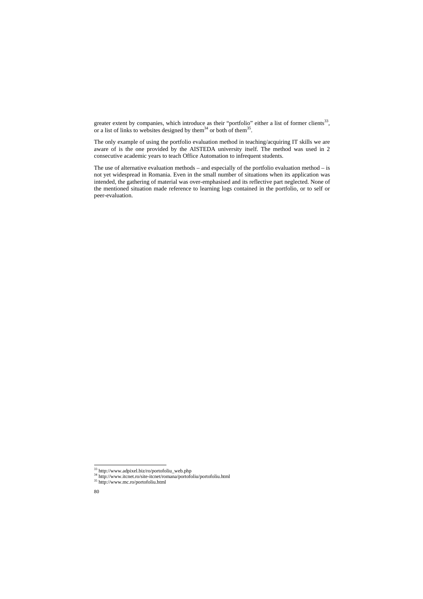greater extent by companies, which introduce as their "portfolio" either a list of former clients<sup>33</sup>, or a list of links to websites designed by them<sup>34</sup> or both of them<sup>35</sup>.

The only example of using the portfolio evaluation method in teaching/acquiring IT skills we are aware of is the one provided by the AISTEDA university itself. The method was used in 2 consecutive academic years to teach Office Automation to infrequent students.

The use of alternative evaluation methods – and especially of the portfolio evaluation method – is not yet widespread in Romania. Even in the small number of situations when its application was intended, the gathering of material was over-emphasised and its reflective part neglected. None of the mentioned situation made reference to learning logs contained in the portfolio, or to self or peer-evaluation.

-

<sup>33</sup> http://www.adpixel.biz/ro/portofoliu\_web.php

<sup>&</sup>lt;sup>34</sup> http://www.itcnet.ro/site-itcnet/romana/portofoliu/portofoliu.html

<sup>35</sup> http://www.mc.ro/portofoliu.html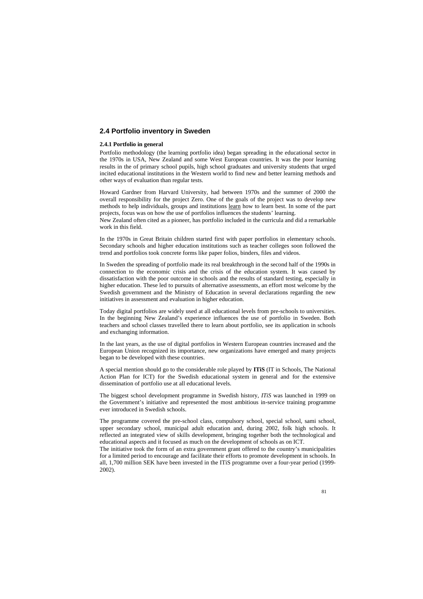# **2.4 Portfolio inventory in Sweden**

### **2.4.1 Portfolio in general**

Portfolio methodology (the learning portfolio idea) began spreading in the educational sector in the 1970s in USA, New Zealand and some West European countries. It was the poor learning results in the of primary school pupils, high school graduates and university students that urged incited educational institutions in the Western world to find new and better learning methods and other ways of evaluation than regular tests.

Howard Gardner from Harvard University, had between 1970s and the summer of 2000 the overall responsibility for the project Zero. One of the goals of the project was to develop new methods to help individuals, groups and institutions learn how to learn best. In some of the part projects, focus was on how the use of portfolios influences the students' learning.

New Zealand often cited as a pioneer, has portfolio included in the curricula and did a remarkable work in this field.

In the 1970s in Great Britain children started first with paper portfolios in elementary schools. Secondary schools and higher education institutions such as teacher colleges soon followed the trend and portfolios took concrete forms like paper folios, binders, files and videos.

In Sweden the spreading of portfolio made its real breakthrough in the second half of the 1990s in connection to the economic crisis and the crisis of the education system. It was caused by dissatisfaction with the poor outcome in schools and the results of standard testing, especially in higher education. These led to pursuits of alternative assessments, an effort most welcome by the Swedish government and the Ministry of Education in several declarations regarding the new initiatives in assessment and evaluation in higher education.

Today digital portfolios are widely used at all educational levels from pre-schools to universities. In the beginning New Zealand's experience influences the use of portfolio in Sweden. Both teachers and school classes travelled there to learn about portfolio, see its application in schools and exchanging information.

In the last years, as the use of digital portfolios in Western European countries increased and the European Union recognized its importance, new organizations have emerged and many projects began to be developed with these countries.

A special mention should go to the considerable role played by **ITiS** (IT in Schools, The National Action Plan for ICT) for the Swedish educational system in general and for the extensive dissemination of portfolio use at all educational levels.

The biggest school development programme in Swedish history, *ITiS* was launched in 1999 on the Government's initiative and represented the most ambitious in-service training programme ever introduced in Swedish schools.

The programme covered the pre-school class, compulsory school, special school, sami school, upper secondary school, municipal adult education and, during 2002, folk high schools. It reflected an integrated view of skills development, bringing together both the technological and educational aspects and it focused as much on the development of schools as on ICT.

The initiative took the form of an extra government grant offered to the country's municipalities for a limited period to encourage and facilitate their efforts to promote development in schools. In all, 1,700 million SEK have been invested in the ITiS programme over a four-year period (1999- 2002).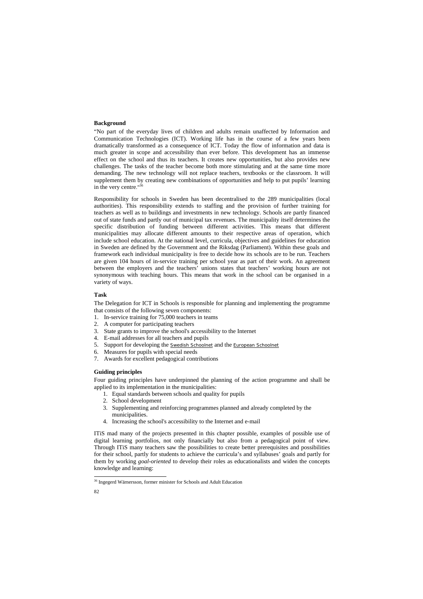### **Background**

"No part of the everyday lives of children and adults remain unaffected by Information and Communication Technologies (ICT). Working life has in the course of a few years been dramatically transformed as a consequence of ICT. Today the flow of information and data is much greater in scope and accessibility than ever before. This development has an immense effect on the school and thus its teachers. It creates new opportunities, but also provides new challenges. The tasks of the teacher become both more stimulating and at the same time more demanding. The new technology will not replace teachers, textbooks or the classroom. It will supplement them by creating new combinations of opportunities and help to put pupils' learning in the very centre."36

Responsibility for schools in Sweden has been decentralised to the 289 municipalities (local authorities). This responsibility extends to staffing and the provision of further training for teachers as well as to buildings and investments in new technology. Schools are partly financed out of state funds and partly out of municipal tax revenues. The municipality itself determines the specific distribution of funding between different activities. This means that different municipalities may allocate different amounts to their respective areas of operation, which include school education. At the national level, curricula, objectives and guidelines for education in Sweden are defined by the Government and the Riksdag (Parliament). Within these goals and framework each individual municipality is free to decide how its schools are to be run. Teachers are given 104 hours of in-service training per school year as part of their work. An agreement between the employers and the teachers' unions states that teachers' working hours are not synonymous with teaching hours. This means that work in the school can be organised in a variety of ways.

## **Task**

The Delegation for ICT in Schools is responsible for planning and implementing the programme that consists of the following seven components:

- 1. In-service training for 75,000 teachers in teams
- 2. A computer for participating teachers
- 3. State grants to improve the school's accessibility to the Internet
- 4. E-mail addresses for all teachers and pupils
- 5. Support for developing the Swedish Schoolnet and the European Schoolnet
- 6. Measures for pupils with special needs
- 7. Awards for excellent pedagogical contributions

## **Guiding principles**

Four guiding principles have underpinned the planning of the action programme and shall be applied to its implementation in the municipalities:

- 1. Equal standards between schools and quality for pupils
- 2. School development
- 3. Supplementing and reinforcing programmes planned and already completed by the municipalities.
- 4. Increasing the school's accessibility to the Internet and e-mail

ITiS mad many of the projects presented in this chapter possible, examples of possible use of digital learning portfolios, not only financially but also from a pedagogical point of view. Through ITiS many teachers saw the possibilities to create better prerequisites and possibilities for their school, partly for students to achieve the curricula's and syllabuses' goals and partly for them by working *goal-oriented* to develop their roles as educationalists and widen the concepts knowledge and learning:

-

<sup>&</sup>lt;sup>36</sup> Ingegerd Wärnersson, former minister for Schools and Adult Education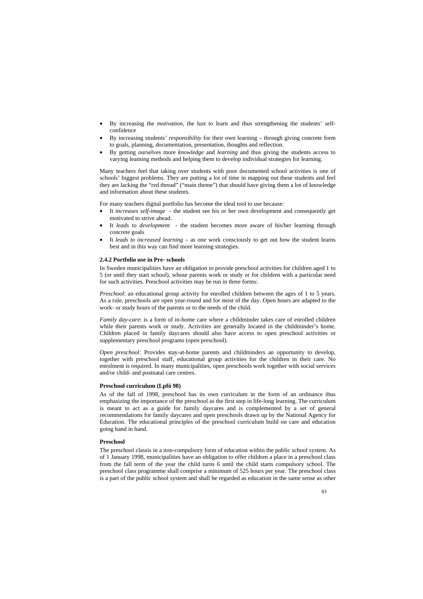- By increasing the *motivation*, the lust to learn and thus strengthening the students' selfconfidence
- By increasing students' *responsibility* for their own learning through giving concrete form to goals, planning, documentation, presentation, thoughts and reflection.
- By getting ourselves more *knowledge* and *learning* and thus giving the students access to varying learning methods and helping them to develop individual strategies for learning.

Many teachers feel that taking over students with poor documented school activities is one of schools' biggest problems. They are putting a lot of time in mapping out these students and feel they are lacking the "red thread" ("main theme") that should have giving them a lot of knowledge and information about these students.

For many teachers digital portfolio has become the ideal tool to use because:

- It *increases self-image* the student see his or her own development and consequently get motivated to strive ahead.
- It *leads to development* the student becomes more aware of his/her learning through concrete goals
- It *leads to increased learning* as one work consciously to get out how the student learns best and in this way can find more learning strategies.

### **2.4.2 Portfolio use in Pre- schools**

In Sweden municipalities have an obligation to provide preschool activities for children aged 1 to 5 (or until they start school), whose parents work or study or for children with a particular need for such activities. Preschool activities may be run in three forms:

*Preschool*: an educational group activity for enrolled children between the ages of 1 to 5 years. As a rule, preschools are open year-round and for most of the day. Open hours are adapted to the work- or study hours of the parents or to the needs of the child.

*Family day-care*: is a form of in-home care where a childminder takes care of enrolled children while their parents work or study. Activities are generally located in the childminder's home. Children placed in family daycares should also have access to open preschool activities or supplementary preschool programs (open preschool).

*Open preschool:* Provides stay-at-home parents and childminders an opportunity to develop, together with preschool staff, educational group activities for the children in their care. No enrolment is required. In many municipalities, open preschools work together with social services and/or child- and postnatal care centres.

#### **Preschool curriculum (Lpfö 98)**

As of the fall of 1998, preschool has its own curriculum in the form of an ordinance thus emphasizing the importance of the preschool as the first step in life-long learning. The curriculum is meant to act as a guide for family daycares and is complemented by a set of general recommendations for family daycares and open preschools drawn up by the National Agency for Education. The educational principles of the preschool curriculum build on care and education going hand in hand.

#### **Preschool**

The preschool classis in a non-compulsory form of education within the public school system. As of 1 January 1998, municipalities have an obligation to offer children a place in a preschool class from the fall term of the year the child turns 6 until the child starts compulsory school. The preschool class programme shall comprise a minimum of 525 hours per year. The preschool class is a part of the public school system and shall be regarded as education in the same sense as other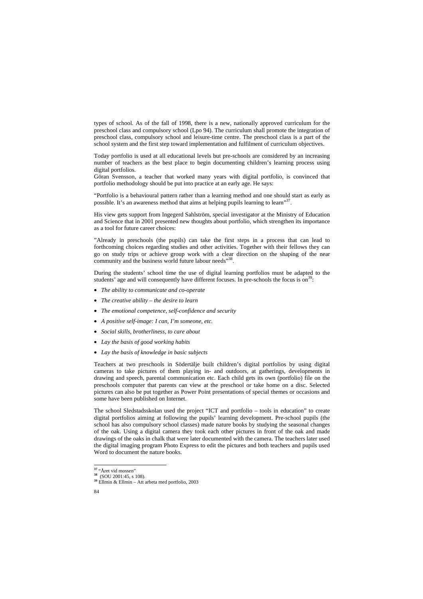types of school. As of the fall of 1998, there is a new, nationally approved curriculum for the preschool class and compulsory school (Lpo 94). The curriculum shall promote the integration of preschool class, compulsory school and leisure-time centre. The preschool class is a part of the school system and the first step toward implementation and fulfilment of curriculum objectives.

Today portfolio is used at all educational levels but pre-schools are considered by an increasing number of teachers as the best place to begin documenting children's learning process using digital portfolios.

Göran Svensson, a teacher that worked many years with digital portfolio, is convinced that portfolio methodology should be put into practice at an early age. He says:

"Portfolio is a behavioural pattern rather than a learning method and one should start as early as possible. It's an awareness method that aims at helping pupils learning to learn"37.

His view gets support from Ingegerd Sahlström, special investigator at the Ministry of Education and Science that in 2001 presented new thoughts about portfolio, which strengthen its importance as a tool for future career choices:

"Already in preschools (the pupils) can take the first steps in a process that can lead to forthcoming choices regarding studies and other activities. Together with their fellows they can go on study trips or achieve group work with a clear direction on the shaping of the near community and the business world future labour needs"<sup>38</sup>.

During the students' school time the use of digital learning portfolios must be adapted to the students' age and will consequently have different focuses. In pre-schools the focus is on<sup>39</sup>:

- *The ability to communicate and co-operate*
- *The creative ability the desire to learn*
- *The emotional competence, self-confidence and security*
- *A positive self-image: I can, I'm someone, etc.*
- *Social skills, brotherliness, to care about*
- *Lay the basis of good working habits*
- *Lay the basis of knowledge in basic subjects*

Teachers at two preschools in Södertälje built children's digital portfolios by using digital cameras to take pictures of them playing in- and outdoors, at gatherings, developments in drawing and speech, parental communication etc. Each child gets its own (portfolio) file on the preschools computer that parents can view at the preschool or take home on a disc. Selected pictures can also be put together as Power Point presentations of special themes or occasions and some have been published on Internet.

The school Sledstadsskolan used the project "ICT and portfolio – tools in education" to create digital portfolios aiming at following the pupils' learning development. Pre-school pupils (the school has also compulsory school classes) made nature books by studying the seasonal changes of the oak. Using a digital camera they took each other pictures in front of the oak and made drawings of the oaks in chalk that were later documented with the camera. The teachers later used the digital imaging program Photo Express to edit the pictures and both teachers and pupils used Word to document the nature books.

-

**<sup>37</sup>** "Året vid mossen"

**<sup>38</sup>** (SOU 2001:45, s 108).

**<sup>39</sup>** Ellmin & Ellmin – Att arbeta med portfolio, 2003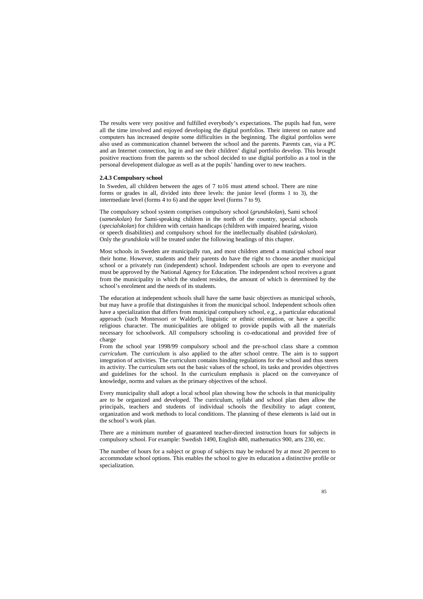The results were very positive and fulfilled everybody's expectations. The pupils had fun, were all the time involved and enjoyed developing the digital portfolios. Their interest on nature and computers has increased despite some difficulties in the beginning. The digital portfolios were also used as communication channel between the school and the parents. Parents can, via a PC and an Internet connection, log in and see their children' digital portfolio develop. This brought positive reactions from the parents so the school decided to use digital portfolio as a tool in the personal development dialogue as well as at the pupils' handing over to new teachers.

#### **2.4.3 Compulsory school**

In Sweden, all children between the ages of 7 to16 must attend school. There are nine forms or grades in all, divided into three levels: the junior level (forms 1 to 3), the intermediate level (forms 4 to 6) and the upper level (forms 7 to 9).

The compulsory school system comprises compulsory school (*grundskolan*), Sami school (*sameskolan*) for Sami-speaking children in the north of the country, special schools (*specialskolan*) for children with certain handicaps (children with impaired hearing, vision or speech disabilities) and compulsory school for the intellectually disabled (*särskolan*). Only the *grundskola* will be treated under the following headings of this chapter.

Most schools in Sweden are municipally run, and most children attend a municipal school near their home. However, students and their parents do have the right to choose another municipal school or a privately run (independent) school. Independent schools are open to everyone and must be approved by the National Agency for Education. The independent school receives a grant from the municipality in which the student resides, the amount of which is determined by the school's enrolment and the needs of its students.

The education at independent schools shall have the same basic objectives as municipal schools, but may have a profile that distinguishes it from the municipal school. Independent schools often have a specialization that differs from municipal compulsory school, e.g., a particular educational approach (such Montessori or Waldorf), linguistic or ethnic orientation, or have a specific religious character. The municipalities are obliged to provide pupils with all the materials necessary for schoolwork. All compulsory schooling is co-educational and provided free of charge

From the school year 1998/99 compulsory school and the pre-school class share a common *curriculum*. The curriculum is also applied to the after school centre. The aim is to support integration of activities. The curriculum contains binding regulations for the school and thus steers its activity. The curriculum sets out the basic values of the school, its tasks and provides objectives and guidelines for the school. In the curriculum emphasis is placed on the conveyance of knowledge, norms and values as the primary objectives of the school.

Every municipality shall adopt a local school plan showing how the schools in that municipality are to be organized and developed. The curriculum, syllabi and school plan then allow the principals, teachers and students of individual schools the flexibility to adapt content, organization and work methods to local conditions. The planning of these elements is laid out in the school's work plan.

There are a minimum number of guaranteed teacher-directed instruction hours for subjects in compulsory school. For example: Swedish 1490, English 480, mathematics 900, arts 230, etc.

The number of hours for a subject or group of subjects may be reduced by at most 20 percent to accommodate school options. This enables the school to give its education a distinctive profile or specialization.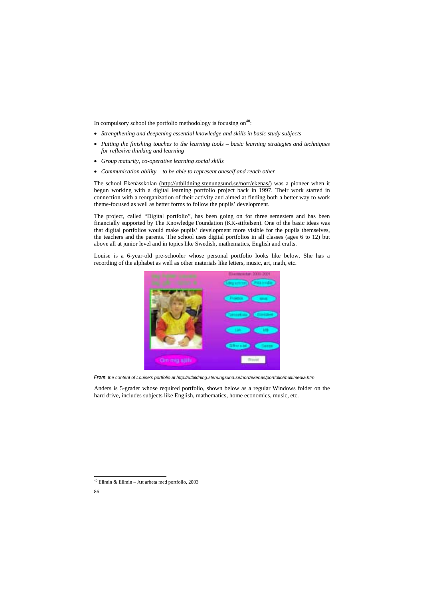In compulsory school the portfolio methodology is focusing on<sup>40</sup>:

- *Strengthening and deepening essential knowledge and skills in basic study subjects*
- *Putting the finishing touches to the learning tools basic learning strategies and techniques for reflexive thinking and learning*
- *Group maturity, co-operative learning social skills*
- *Communication ability to be able to represent oneself and reach other*

The school Ekenässkolan (http://utbildning.stenungsund.se/norr/ekenas/) was a pioneer when it begun working with a digital learning portfolio project back in 1997. Their work started in connection with a reorganization of their activity and aimed at finding both a better way to work theme-focused as well as better forms to follow the pupils' development.

The project, called "Digital portfolio", has been going on for three semesters and has been financially supported by The Knowledge Foundation (KK-stiftelsen). One of the basic ideas was that digital portfolios would make pupils' development more visible for the pupils themselves, the teachers and the parents. The school uses digital portfolios in all classes (ages 6 to 12) but above all at junior level and in topics like Swedish, mathematics, English and crafts.

Louise is a 6-year-old pre-schooler whose personal portfolio looks like below. She has a recording of the alphabet as well as other materials like letters, music, art, math, etc.



**From**: the content of Louise's portfolio at http://utbildning.stenungsund.se/norr/ekenas/portfolio/multimedia.htm

Anders is 5-grader whose required portfolio, shown below as a regular Windows folder on the hard drive, includes subjects like English, mathematics, home economics, music, etc.

-

 $40$  Ellmin & Ellmin – Att arbeta med portfolio, 2003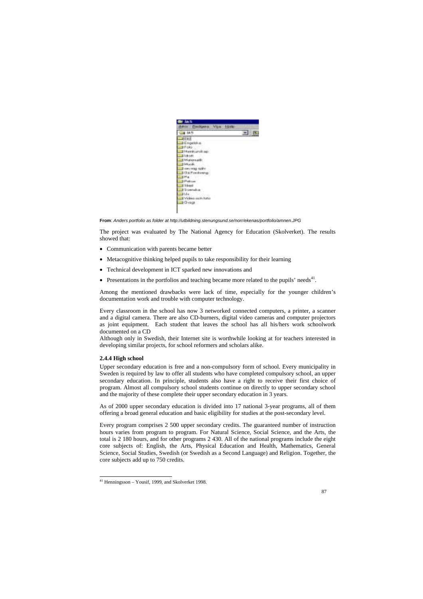

**From**: Anders portfolio as folder at http://utbildning.stenungsund.se/norr/ekenas/portfolio/amnen.JPG

The project was evaluated by The National Agency for Education (Skolverket). The results showed that:

- Communication with parents became better
- Metacognitive thinking helped pupils to take responsibility for their learning
- Technical development in ICT sparked new innovations and
- Presentations in the portfolios and teaching became more related to the pupils' needs $^{41}$ .

Among the mentioned drawbacks were lack of time, especially for the younger children's documentation work and trouble with computer technology.

Every classroom in the school has now 3 networked connected computers, a printer, a scanner and a digital camera. There are also CD-burners, digital video cameras and computer projectors as joint equipment. Each student that leaves the school has all his/hers work schoolwork documented on a CD

Although only in Swedish, their Internet site is worthwhile looking at for teachers interested in developing similar projects, for school reformers and scholars alike.

### **2.4.4 High school**

j

Upper secondary education is free and a non-compulsory form of school. Every municipality in Sweden is required by law to offer all students who have completed compulsory school, an upper secondary education. In principle, students also have a right to receive their first choice of program. Almost all compulsory school students continue on directly to upper secondary school and the majority of these complete their upper secondary education in 3 years.

As of 2000 upper secondary education is divided into 17 national 3-year programs, all of them offering a broad general education and basic eligibility for studies at the post-secondary level.

Every program comprises 2 500 upper secondary credits. The guaranteed number of instruction hours varies from program to program. For Natural Science, Social Science, and the Arts, the total is 2 180 hours, and for other programs 2 430. All of the national programs include the eight core subjects of: English, the Arts, Physical Education and Health, Mathematics, General Science, Social Studies, Swedish (or Swedish as a Second Language) and Religion. Together, the core subjects add up to 750 credits.

<sup>&</sup>lt;sup>41</sup> Henningsson – Yousif, 1999, and Skolverket 1998.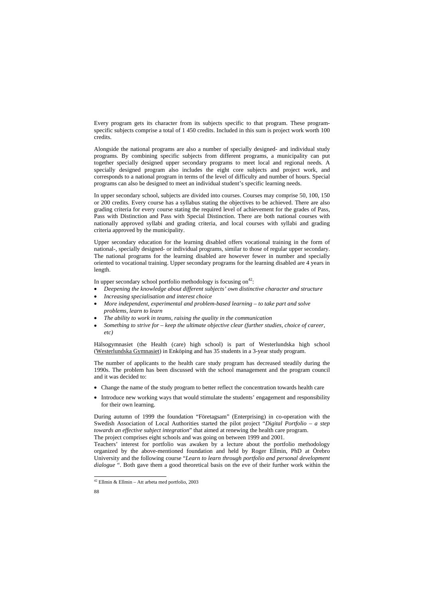Every program gets its character from its subjects specific to that program. These programspecific subjects comprise a total of 1 450 credits. Included in this sum is project work worth 100 credits.

Alongside the national programs are also a number of specially designed- and individual study programs. By combining specific subjects from different programs, a municipality can put together specially designed upper secondary programs to meet local and regional needs. A specially designed program also includes the eight core subjects and project work, and corresponds to a national program in terms of the level of difficulty and number of hours. Special programs can also be designed to meet an individual student's specific learning needs.

In upper secondary school, subjects are divided into courses. Courses may comprise 50, 100, 150 or 200 credits. Every course has a syllabus stating the objectives to be achieved. There are also grading criteria for every course stating the required level of achievement for the grades of Pass, Pass with Distinction and Pass with Special Distinction. There are both national courses with nationally approved syllabi and grading criteria, and local courses with syllabi and grading criteria approved by the municipality.

Upper secondary education for the learning disabled offers vocational training in the form of national-, specially designed- or individual programs, similar to those of regular upper secondary. The national programs for the learning disabled are however fewer in number and specially oriented to vocational training. Upper secondary programs for the learning disabled are 4 years in length.

In upper secondary school portfolio methodology is focusing on<sup>42</sup>:

- *Deepening the knowledge about different subjects' own distinctive character and structure*
- *Increasing specialisation and interest choice*
- *More independent, experimental and problem-based learning to take part and solve problems, learn to learn*
- *The ability to work in teams, raising the quality in the communication*
- *Something to strive for keep the ultimate objective clear (further studies, choice of career, etc)*

Hälsogymnasiet (the Health (care) high school) is part of Westerlundska high school (Westerlundska Gymnasiet) in Enköping and has 35 students in a 3-year study program.

The number of applicants to the health care study program has decreased steadily during the 1990s. The problem has been discussed with the school management and the program council and it was decided to:

- Change the name of the study program to better reflect the concentration towards health care
- Introduce new working ways that would stimulate the students' engagement and responsibility for their own learning.

During autumn of 1999 the foundation "Företagsam" (Enterprising) in co-operation with the Swedish Association of Local Authorities started the pilot project "*Digital Portfolio – a step towards an effective subject integration*" that aimed at renewing the health care program.

The project comprises eight schools and was going on between 1999 and 2001.

Teachers' interest for portfolio was awaken by a lecture about the portfolio methodology organized by the above-mentioned foundation and held by Roger Ellmin, PhD at Örebro University and the following course "*Learn to learn through portfolio and personal development dialogue* ". Both gave them a good theoretical basis on the eve of their further work within the

-

 $42$  Ellmin & Ellmin – Att arbeta med portfolio, 2003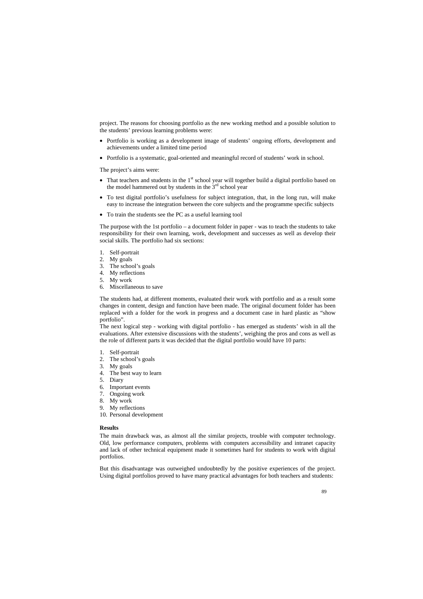project. The reasons for choosing portfolio as the new working method and a possible solution to the students' previous learning problems were:

- Portfolio is working as a development image of students' ongoing efforts, development and achievements under a limited time period
- Portfolio is a systematic, goal-oriented and meaningful record of students' work in school.

The project's aims were:

- That teachers and students in the 1<sup>st</sup> school year will together build a digital portfolio based on the model hammered out by students in the  $3<sup>rd</sup>$  school year
- To test digital portfolio's usefulness for subject integration, that, in the long run, will make easy to increase the integration between the core subjects and the programme specific subjects
- To train the students see the PC as a useful learning tool

The purpose with the 1st portfolio – a document folder in paper - was to teach the students to take responsibility for their own learning, work, development and successes as well as develop their social skills. The portfolio had six sections:

- 1. Self-portrait
- 2. My goals
- 3. The school's goals
- 4. My reflections
- 5. My work
- 6. Miscellaneous to save

The students had, at different moments, evaluated their work with portfolio and as a result some changes in content, design and function have been made. The original document folder has been replaced with a folder for the work in progress and a document case in hard plastic as "show portfolio".

The next logical step - working with digital portfolio - has emerged as students' wish in all the evaluations. After extensive discussions with the students', weighing the pros and cons as well as the role of different parts it was decided that the digital portfolio would have 10 parts:

- 1. Self-portrait
- 2. The school's goals
- 3. My goals
- 4. The best way to learn
- 5. Diary
- 6. Important events
- 7. Ongoing work
- 8. My work
- 9. My reflections
- 10. Personal development

#### **Results**

The main drawback was, as almost all the similar projects, trouble with computer technology. Old, low performance computers, problems with computers accessibility and intranet capacity and lack of other technical equipment made it sometimes hard for students to work with digital portfolios.

But this disadvantage was outweighed undoubtedly by the positive experiences of the project. Using digital portfolios proved to have many practical advantages for both teachers and students: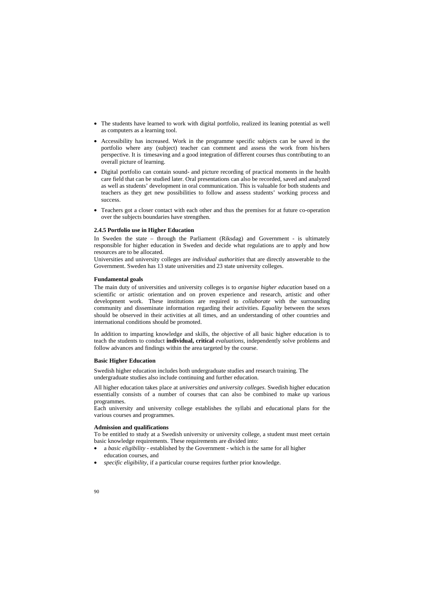- The students have learned to work with digital portfolio, realized its leaning potential as well as computers as a learning tool.
- Accessibility has increased. Work in the programme specific subjects can be saved in the portfolio where any (subject) teacher can comment and assess the work from his/hers perspective. It is timesaving and a good integration of different courses thus contributing to an overall picture of learning.
- Digital portfolio can contain sound- and picture recording of practical moments in the health care field that can be studied later. Oral presentations can also be recorded, saved and analyzed as well as students' development in oral communication. This is valuable for both students and teachers as they get new possibilities to follow and assess students' working process and success.
- Teachers got a closer contact with each other and thus the premises for at future co-operation over the subjects boundaries have strengthen.

### **2.4.5 Portfolio use in Higher Education**

In Sweden the state – through the Parliament (Riksdag) and Government - is ultimately responsible for higher education in Sweden and decide what regulations are to apply and how resources are to be allocated.

Universities and university colleges are *individual authorities* that are directly answerable to the Government. Sweden has 13 state universities and 23 state university colleges.

#### **Fundamental goals**

The main duty of universities and university colleges is to *organise higher education* based on a scientific or artistic orientation and on proven experience and research, artistic and other development work. These institutions are required to *collaborate* with the surrounding community and disseminate information regarding their activities. *Equality* between the sexes should be observed in their activities at all times, and an understanding of other countries and international conditions should be promoted.

In addition to imparting knowledge and skills, the objective of all basic higher education is to teach the students to conduct **individual, critical** *evaluations*, independently solve problems and follow advances and findings within the area targeted by the course.

#### **Basic Higher Education**

Swedish higher education includes both undergraduate studies and research training. The undergraduate studies also include continuing and further education.

All higher education takes place at *universities and university colleges*. Swedish higher education essentially consists of a number of courses that can also be combined to make up various programmes.

Each university and university college establishes the syllabi and educational plans for the various courses and programmes.

#### **Admission and qualifications**

To be entitled to study at a Swedish university or university college, a student must meet certain basic knowledge requirements. These requirements are divided into:

- a *basic eligibility* established by the Government which is the same for all higher education courses, and
- *specific eligibility*, if a particular course requires further prior knowledge.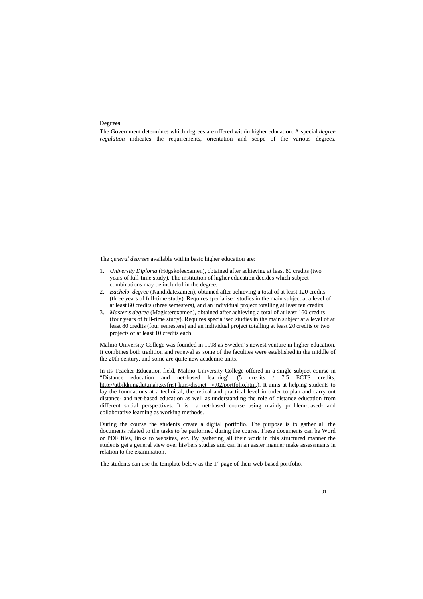#### **Degrees**

The Government determines which degrees are offered within higher education. A special *degree regulation* indicates the requirements, orientation and scope of the various degrees.

The *general degrees* available within basic higher education are:

- 1. *University Diploma* (Högskoleexamen), obtained after achieving at least 80 credits (two years of full-time study). The institution of higher education decides which subject combinations may be included in the degree.
- 2. *Bachelo degree* (Kandidatexamen), obtained after achieving a total of at least 120 credits (three years of full-time study). Requires specialised studies in the main subject at a level of at least 60 credits (three semesters), and an individual project totalling at least ten credits.
- 3. *Master's degree* (Magisterexamen), obtained after achieving a total of at least 160 credits (four years of full-time study). Requires specialised studies in the main subject at a level of at least 80 credits (four semesters) and an individual project totalling at least 20 credits or two projects of at least 10 credits each.

Malmö University College was founded in 1998 as Sweden's newest venture in higher education. It combines both tradition and renewal as some of the faculties were established in the middle of the 20th century, and some are quite new academic units.

In its Teacher Education field, Malmö University College offered in a single subject course in "Distance education and net-based learning" (5 credits / 7.5 ECTS credits, http://utbildning.lut.mah.se/frist-kurs/distnet \_vt02/portfolio.htm,). It aims at helping students to lay the foundations at a technical, theoretical and practical level in order to plan and carry out distance- and net-based education as well as understanding the role of distance education from different social perspectives. It is a net-based course using mainly problem-based- and collaborative learning as working methods.

During the course the students create a digital portfolio. The purpose is to gather all the documents related to the tasks to be performed during the course. These documents can be Word or PDF files, links to websites, etc. By gathering all their work in this structured manner the students get a general view over his/hers studies and can in an easier manner make assessments in relation to the examination.

The students can use the template below as the  $1<sup>st</sup>$  page of their web-based portfolio.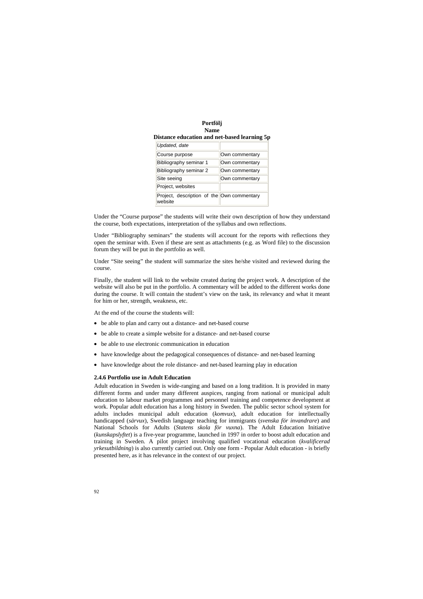| Portföli                                     |  |  |
|----------------------------------------------|--|--|
| <b>Name</b>                                  |  |  |
| Distance education and net-based learning 5p |  |  |

| Updated, date                                         |                |
|-------------------------------------------------------|----------------|
| Course purpose                                        | Own commentary |
| Bibliography seminar 1                                | Own commentary |
| Bibliography seminar 2                                | Own commentary |
| Site seeing                                           | Own commentary |
| Project, websites                                     |                |
| Project, description of the Own commentary<br>website |                |

Under the "Course purpose" the students will write their own description of how they understand the course, both expectations, interpretation of the syllabus and own reflections.

Under "Bibliography seminars" the students will account for the reports with reflections they open the seminar with. Even if these are sent as attachments (e.g. as Word file) to the discussion forum they will be put in the portfolio as well.

Under "Site seeing" the student will summarize the sites he/she visited and reviewed during the course.

Finally, the student will link to the website created during the project work. A description of the website will also be put in the portfolio. A commentary will be added to the different works done during the course. It will contain the student's view on the task, its relevancy and what it meant for him or her, strength, weakness, etc.

At the end of the course the students will:

- be able to plan and carry out a distance- and net-based course
- be able to create a simple website for a distance- and net-based course
- be able to use electronic communication in education
- have knowledge about the pedagogical consequences of distance- and net-based learning
- have knowledge about the role distance- and net-based learning play in education

### **2.4.6 Portfolio use in Adult Education**

Adult education in Sweden is wide-ranging and based on a long tradition. It is provided in many different forms and under many different auspices, ranging from national or municipal adult education to labour market programmes and personnel training and competence development at work. Popular adult education has a long history in Sweden. The public sector school system for adults includes municipal adult education (*komvux*), adult education for intellectually handicapped (*särvux*), Swedish language teaching for immigrants (*svenska för invandrare*) and National Schools for Adults (*Statens skola för vuxna*). The Adult Education Initiative (*kunskapslyftet*) is a five-year programme, launched in 1997 in order to boost adult education and training in Sweden. A pilot project involving qualified vocational education (*kvalificerad yrkesutbildning*) is also currently carried out. Only one form - Popular Adult education - is briefly presented here, as it has relevance in the context of our project.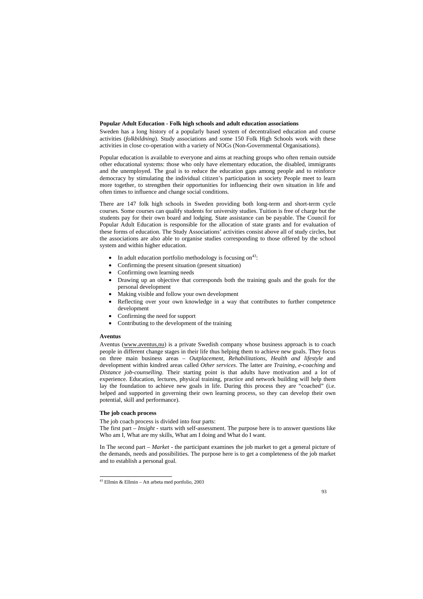### **Popular Adult Education - Folk high schools and adult education associations**

Sweden has a long history of a popularly based system of decentralised education and course activities (*folkbildning*). Study associations and some 150 Folk High Schools work with these activities in close co-operation with a variety of NOGs (Non-Governmental Organisations).

Popular education is available to everyone and aims at reaching groups who often remain outside other educational systems: those who only have elementary education, the disabled, immigrants and the unemployed. The goal is to reduce the education gaps among people and to reinforce democracy by stimulating the individual citizen's participation in society People meet to learn more together, to strengthen their opportunities for influencing their own situation in life and often times to influence and change social conditions.

There are 147 folk high schools in Sweden providing both long-term and short-term cycle courses. Some courses can qualify students for university studies. Tuition is free of charge but the students pay for their own board and lodging. State assistance can be payable. The Council for Popular Adult Education is responsible for the allocation of state grants and for evaluation of these forms of education. The Study Associations' activities consist above all of study circles, but the associations are also able to organise studies corresponding to those offered by the school system and within higher education.

- In adult education portfolio methodology is focusing on<sup>43</sup>:
- Confirming the present situation (present situation)
- Confirming own learning needs
- Drawing up an objective that corresponds both the training goals and the goals for the personal development
- Making visible and follow your own development
- Reflecting over your own knowledge in a way that contributes to further competence development
- Confirming the need for support
- Contributing to the development of the training

## **Aventus**

Aventus (www.aventus,nu) is a private Swedish company whose business approach is to coach people in different change stages in their life thus helping them to achieve new goals. They focus on three main business areas – *Outplacement*, *Rehabilitations*, *Health and lifestyle* and development within kindred areas called *Other services*. The latter are *Training*, *e-coaching* and *Distance job-counselling*. Their starting point is that adults have motivation and a lot of experience. Education, lectures, physical training, practice and network building will help them lay the foundation to achieve new goals in life. During this process they are "coached" (i.e. helped and supported in governing their own learning process, so they can develop their own potential, skill and performance).

### **The job coach process**

The job coach process is divided into four parts:

The first part – *Insight* - starts with self-assessment. The purpose here is to answer questions like Who am I, What are my skills, What am I doing and What do I want.

In The second part – *Market* - the participant examines the job market to get a general picture of the demands, needs and possibilities. The purpose here is to get a completeness of the job market and to establish a personal goal.

j  $43$  Ellmin & Ellmin – Att arbeta med portfolio, 2003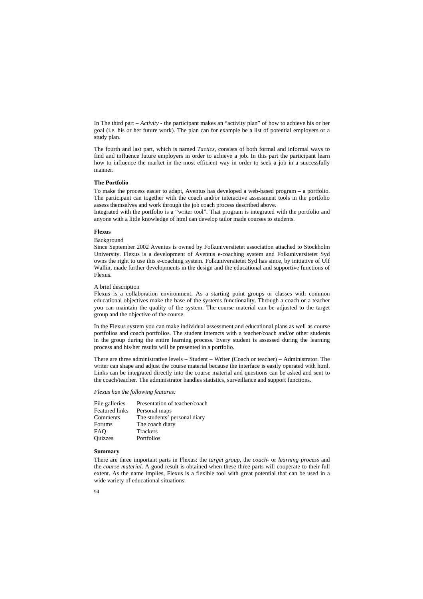In The third part – *Activity* - the participant makes an "activity plan" of how to achieve his or her goal (i.e. his or her future work). The plan can for example be a list of potential employers or a study plan.

The fourth and last part, which is named *Tactics*, consists of both formal and informal ways to find and influence future employers in order to achieve a job. In this part the participant learn how to influence the market in the most efficient way in order to seek a job in a successfully manner.

#### **The Portfolio**

To make the process easier to adapt, Aventus has developed a web-based program – a portfolio. The participant can together with the coach and/or interactive assessment tools in the portfolio assess themselves and work through the job coach process described above.

Integrated with the portfolio is a "writer tool". That program is integrated with the portfolio and anyone with a little knowledge of html can develop tailor made courses to students.

#### **Flexus**

Background

Since September 2002 Aventus is owned by Folkuniversitetet association attached to Stockholm University. Flexus is a development of Aventus e-coaching system and Folkuniversitetet Syd owns the right to use this e-coaching system. Folkuniversitetet Syd has since, by initiative of Ulf Wallin, made further developments in the design and the educational and supportive functions of Flexus.

A brief description

Flexus is a collaboration environment. As a starting point groups or classes with common educational objectives make the base of the systems functionality. Through a coach or a teacher you can maintain the quality of the system. The course material can be adjusted to the target group and the objective of the course.

In the Flexus system you can make individual assessment and educational plans as well as course portfolios and coach portfolios. The student interacts with a teacher/coach and/or other students in the group during the entire learning process. Every student is assessed during the learning process and his/her results will be presented in a portfolio.

There are three administrative levels – Student – Writer (Coach or teacher) – Administrator. The writer can shape and adjust the course material because the interface is easily operated with html. Links can be integrated directly into the course material and questions can be asked and sent to the coach/teacher. The administrator handles statistics, surveillance and support functions.

#### *Flexus has the following features:*

| File galleries        | Presentation of teacher/coach |
|-----------------------|-------------------------------|
| <b>Featured links</b> | Personal maps                 |
| Comments              | The students' personal diary  |
| Forums                | The coach diary               |
| FAO                   | Trackers                      |
| <b>Ouizzes</b>        | Portfolios                    |

#### **Summary**

There are three important parts in Flexus: the *target group*, the *coach*- or *learning process* and the *course material*. A good result is obtained when these three parts will cooperate to their full extent. As the name implies, Flexus is a flexible tool with great potential that can be used in a wide variety of educational situations.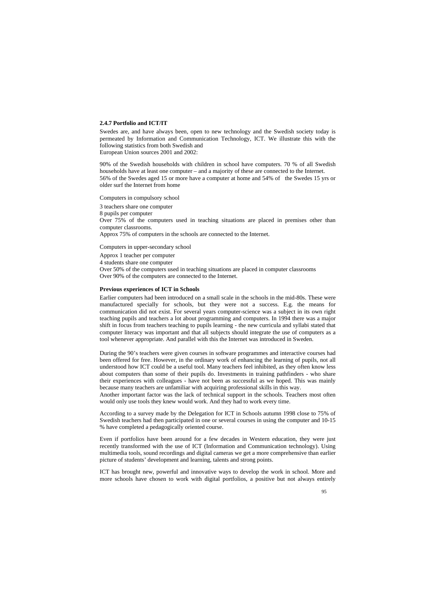### **2.4.7 Portfolio and ICT/IT**

Swedes are, and have always been, open to new technology and the Swedish society today is permeated by Information and Communication Technology, ICT. We illustrate this with the following statistics from both Swedish and European Union sources 2001 and 2002:

90% of the Swedish households with children in school have computers. 70 % of all Swedish households have at least one computer – and a majority of these are connected to the Internet. 56% of the Swedes aged 15 or more have a computer at home and 54% of the Swedes 15 yrs or older surf the Internet from home

Computers in compulsory school

3 teachers share one computer

8 pupils per computer

Over 75% of the computers used in teaching situations are placed in premises other than computer classrooms.

Approx 75% of computers in the schools are connected to the Internet.

Computers in upper-secondary school

Approx 1 teacher per computer

4 students share one computer

Over 50% of the computers used in teaching situations are placed in computer classrooms Over 90% of the computers are connected to the Internet.

#### **Previous experiences of ICT in Schools**

Earlier computers had been introduced on a small scale in the schools in the mid-80s. These were manufactured specially for schools, but they were not a success. E.g. the means for communication did not exist. For several years computer-science was a subject in its own right teaching pupils and teachers a lot about programming and computers. In 1994 there was a major shift in focus from teachers teaching to pupils learning - the new curricula and syllabi stated that computer literacy was important and that all subjects should integrate the use of computers as a tool whenever appropriate. And parallel with this the Internet was introduced in Sweden.

During the 90's teachers were given courses in software programmes and interactive courses had been offered for free. However, in the ordinary work of enhancing the learning of pupils, not all understood how ICT could be a useful tool. Many teachers feel inhibited, as they often know less about computers than some of their pupils do. Investments in training pathfinders - who share their experiences with colleagues - have not been as successful as we hoped. This was mainly because many teachers are unfamiliar with acquiring professional skills in this way.

Another important factor was the lack of technical support in the schools. Teachers most often would only use tools they knew would work. And they had to work every time.

According to a survey made by the Delegation for ICT in Schools autumn 1998 close to 75% of Swedish teachers had then participated in one or several courses in using the computer and 10-15 % have completed a pedagogically oriented course.

Even if portfolios have been around for a few decades in Western education, they were just recently transformed with the use of ICT (Information and Communication technology). Using multimedia tools, sound recordings and digital cameras we get a more comprehensive than earlier picture of students' development and learning, talents and strong points.

ICT has brought new, powerful and innovative ways to develop the work in school. More and more schools have chosen to work with digital portfolios, a positive but not always entirely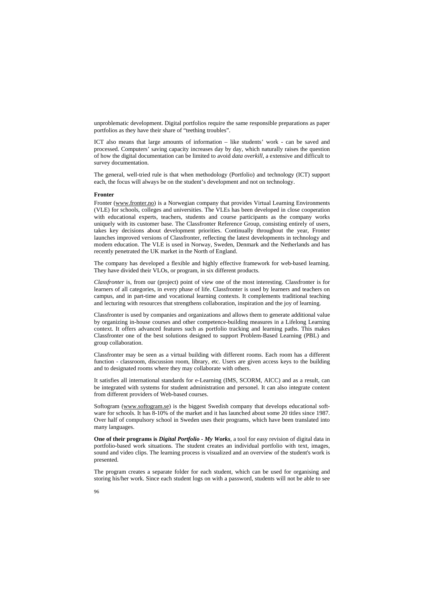unproblematic development. Digital portfolios require the same responsible preparations as paper portfolios as they have their share of "teething troubles".

ICT also means that large amounts of information – like students' work - can be saved and processed. Computers' saving capacity increases day by day, which naturally raises the question of how the digital documentation can be limited to avoid *data overkill*, a extensive and difficult to survey documentation.

The general, well-tried rule is that when methodology (Portfolio) and technology (ICT) support each, the focus will always be on the student's development and not on technology.

#### **Fronter**

Fronter (www.fronter.no) is a Norwegian company that provides Virtual Learning Environments (VLE) for schools, colleges and universities. The VLEs has been developed in close cooperation with educational experts, teachers, students and course participants as the company works uniquely with its customer base. The Classfronter Reference Group, consisting entirely of users, takes key decisions about development priorities. Continually throughout the year, Fronter launches improved versions of Classfronter, reflecting the latest developments in technology and modern education. The VLE is used in Norway, Sweden, Denmark and the Netherlands and has recently penetrated the UK market in the North of England.

The company has developed a flexible and highly effective framework for web-based learning. They have divided their VLOs, or program, in six different products.

*Classfronter* is, from our (project) point of view one of the most interesting. Classfronter is for learners of all categories, in every phase of life. Classfronter is used by learners and teachers on campus, and in part-time and vocational learning contexts. It complements traditional teaching and lecturing with resources that strengthens collaboration, inspiration and the joy of learning.

Classfronter is used by companies and organizations and allows them to generate additional value by organizing in-house courses and other competence-building measures in a Lifelong Learning context. It offers advanced features such as portfolio tracking and learning paths. This makes Classfronter one of the best solutions designed to support Problem-Based Learning (PBL) and group collaboration.

Classfronter may be seen as a virtual building with different rooms. Each room has a different function - classroom, discussion room, library, etc. Users are given access keys to the building and to designated rooms where they may collaborate with others.

It satisfies all international standards for e-Learning (IMS, SCORM, AICC) and as a result, can be integrated with systems for student administration and personel. It can also integrate content from different providers of Web-based courses.

Softogram (www.softogram.se) is the biggest Swedish company that develops educational software for schools. It has 8-10% of the market and it has launched about some 20 titles since 1987. Over half of compulsory school in Sweden uses their programs, which have been translated into many languages.

**One of their programs is** *Digital Portfolio - My Works*, a tool for easy revision of digital data in portfolio-based work situations. The student creates an individual portfolio with text, images, sound and video clips. The learning process is visualized and an overview of the student's work is presented.

The program creates a separate folder for each student, which can be used for organising and storing his/her work. Since each student logs on with a password, students will not be able to see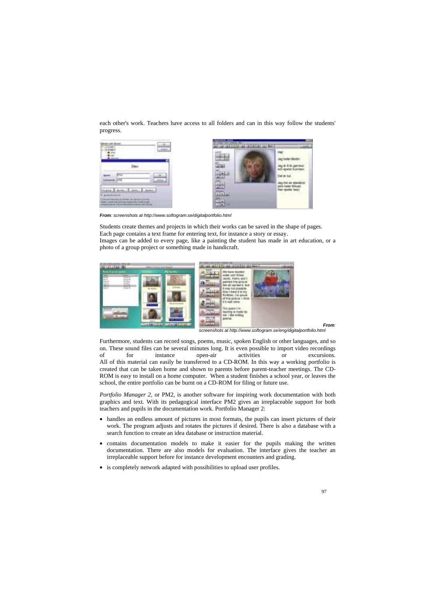each other's work. Teachers have access to all folders and can in this way follow the students' progress.



**From**: screenshots at http://www.softogram.se/digitalportfolio.html

Students create themes and projects in which their works can be saved in the shape of pages. Each page contains a text frame for entering text, for instance a story or essay. Images can be added to every page, like a painting the student has made in art education, or a

photo of a group project or something made in handicraft.



**From**:

screenshots at http://www.softogram.se/eng/digitalportfolio.html

Furthermore, students can record songs, poems, music, spoken English or other languages, and so on. These sound files can be several minutes long. It is even possible to import video recordings of for instance open-air activities or excursions. All of this material can easily be transferred to a CD-ROM. In this way a working portfolio is created that can be taken home and shown to parents before parent-teacher meetings. The CD-ROM is easy to install on a home computer. When a student finishes a school year, or leaves the school, the entire portfolio can be burnt on a CD-ROM for filing or future use.

*Portfolio Manager 2*, or PM2, is another software for inspiring work documentation with both graphics and text. With its pedagogical interface PM2 gives an irreplaceable support for both teachers and pupils in the documentation work. Portfolio Manager 2:

- handles an endless amount of pictures in most formats, the pupils can insert pictures of their work. The program adjusts and rotates the pictures if desired. There is also a database with a search function to create an idea database or instruction material.
- contains documentation models to make it easier for the pupils making the written documentation. There are also models for evaluation. The interface gives the teacher an irreplaceable support before for instance development encounters and grading.
- is completely network adapted with possibilities to upload user profiles.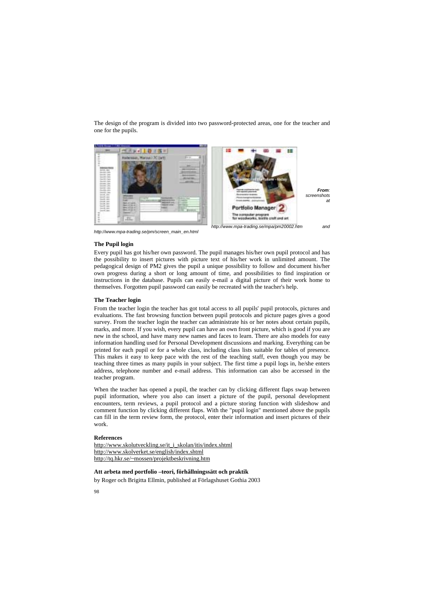The design of the program is divided into two password-protected areas, one for the teacher and one for the pupils.



http://www.mpa-trading.se/pm/screen\_main\_en.html



http://www.mpa-trading.se/mpa/pm20002.htm and

## **The Pupil login**

Every pupil has got his/her own password. The pupil manages his/her own pupil protocol and has the possibility to insert pictures with picture text of his/her work in unlimited amount. The pedagogical design of PM2 gives the pupil a unique possibility to follow and document his/her own progress during a short or long amount of time, and possibilities to find inspiration or instructions in the database. Pupils can easily e-mail a digital picture of their work home to themselves. Forgotten pupil password can easily be recreated with the teacher's help.

## **The Teacher login**

From the teacher login the teacher has got total access to all pupils' pupil protocols, pictures and evaluations. The fast browsing function between pupil protocols and picture pages gives a good survey. From the teacher login the teacher can administrate his or her notes about certain pupils, marks, and more. If you wish, every pupil can have an own front picture, which is good if you are new in the school, and have many new names and faces to learn. There are also models for easy information handling used for Personal Development discussions and marking. Everything can be printed for each pupil or for a whole class, including class lists suitable for tables of presence. This makes it easy to keep pace with the rest of the teaching staff, even though you may be teaching three times as many pupils in your subject. The first time a pupil logs in, he/she enters address, telephone number and e-mail address. This information can also be accessed in the teacher program.

When the teacher has opened a pupil, the teacher can by clicking different flaps swap between pupil information, where you also can insert a picture of the pupil, personal development encounters, term reviews, a pupil protocol and a picture storing function with slideshow and comment function by clicking different flaps. With the "pupil login" mentioned above the pupils can fill in the term review form, the protocol, enter their information and insert pictures of their work.

## **References**

http://www.skolutveckling.se/it\_i\_skolan/itis/index.shtml http://www.skolverket.se/english/index.shtml http://tq.hkr.se/~mossen/projektbeskrivning.htm

## **Att arbeta med portfolio –teori, förhållningssätt och praktik**

by Roger och Brigitta Ellmin, published at Förlagshuset Gothia 2003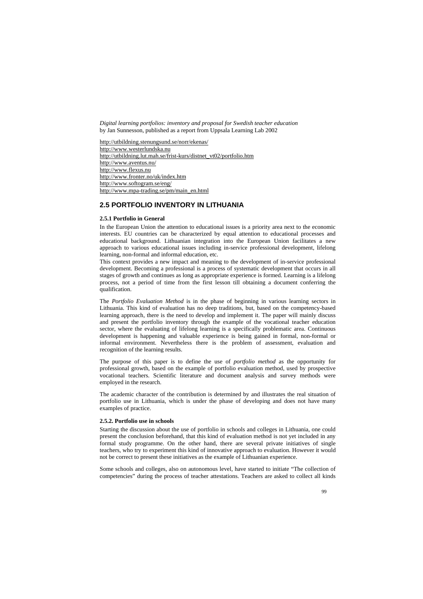*Digital learning portfolios: inventory and proposal for Swedish teacher education*  by Jan Sunnesson, published as a report from Uppsala Learning Lab 2002

http://utbildning.stenungsund.se/norr/ekenas/ http://www.westerlundska.nu http://utbildning.lut.mah.se/frist-kurs/distnet\_vt02/portfolio.htm http://www.aventus.nu/ http://www.flexus.nu http://www.fronter.no/uk/index.htm http://www.softogram.se/eng/ http://www.mpa-trading.se/pm/main\_en.html

# **2.5 PORTFOLIO INVENTORY IN LITHUANIA**

## **2.5.1 Portfolio in General**

In the European Union the attention to educational issues is a priority area next to the economic interests. EU countries can be characterized by equal attention to educational processes and educational background. Lithuanian integration into the European Union facilitates a new approach to various educational issues including in-service professional development, lifelong learning, non-formal and informal education, etc.

This context provides a new impact and meaning to the development of in-service professional development. Becoming a professional is a process of systematic development that occurs in all stages of growth and continues as long as appropriate experience is formed. Learning is a lifelong process, not a period of time from the first lesson till obtaining a document conferring the qualification.

The *Portfolio Evaluation Method* is in the phase of beginning in various learning sectors in Lithuania. This kind of evaluation has no deep traditions, but, based on the competency-based learning approach, there is the need to develop and implement it. The paper will mainly discuss and present the portfolio inventory through the example of the vocational teacher education sector, where the evaluating of lifelong learning is a specifically problematic area. Continuous development is happening and valuable experience is being gained in formal, non-formal or informal environment. Nevertheless there is the problem of assessment, evaluation and recognition of the learning results.

The purpose of this paper is to define the use of *portfolio method* as the opportunity for professional growth, based on the example of portfolio evaluation method, used by prospective vocational teachers. Scientific literature and document analysis and survey methods were employed in the research.

The academic character of the contribution is determined by and illustrates the real situation of portfolio use in Lithuania, which is under the phase of developing and does not have many examples of practice.

## **2.5.2. Portfolio use in schools**

Starting the discussion about the use of portfolio in schools and colleges in Lithuania, one could present the conclusion beforehand, that this kind of evaluation method is not yet included in any formal study programme. On the other hand, there are several private initiatives of single teachers, who try to experiment this kind of innovative approach to evaluation. However it would not be correct to present these initiatives as the example of Lithuanian experience.

Some schools and colleges, also on autonomous level, have started to initiate "The collection of competencies" during the process of teacher attestations. Teachers are asked to collect all kinds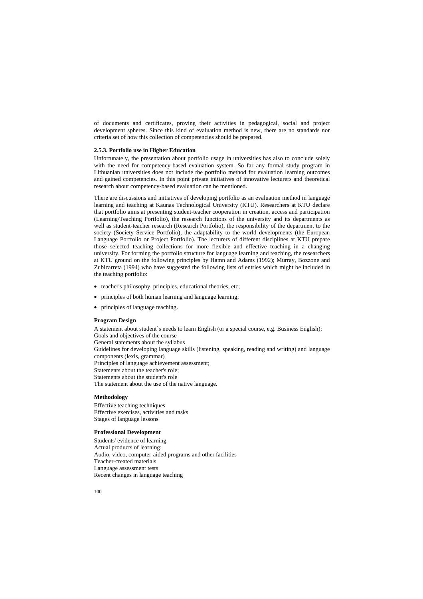of documents and certificates, proving their activities in pedagogical, social and project development spheres. Since this kind of evaluation method is new, there are no standards nor criteria set of how this collection of competencies should be prepared.

### **2.5.3. Portfolio use in Higher Education**

Unfortunately, the presentation about portfolio usage in universities has also to conclude solely with the need for competency-based evaluation system. So far any formal study program in Lithuanian universities does not include the portfolio method for evaluation learning outcomes and gained competencies. In this point private initiatives of innovative lecturers and theoretical research about competency-based evaluation can be mentioned.

There are discussions and initiatives of developing portfolio as an evaluation method in language learning and teaching at Kaunas Technological University (KTU). Researchers at KTU declare that portfolio aims at presenting student-teacher cooperation in creation, access and participation (Learning/Teaching Portfolio), the research functions of the university and its departments as well as student-teacher research (Research Portfolio), the responsibility of the department to the society (Society Service Portfolio), the adaptability to the world developments (the European Language Portfolio or Project Portfolio). The lecturers of different disciplines at KTU prepare those selected teaching collections for more flexible and effective teaching in a changing university. For forming the portfolio structure for language learning and teaching, the researchers at KTU ground on the following principles by Hamn and Adams (1992); Murray, Bozzone and Zubizarreta (1994) who have suggested the following lists of entries which might be included in the teaching portfolio:

- teacher's philosophy, principles, educational theories, etc;
- principles of both human learning and language learning;
- principles of language teaching.

### **Program Design**

A statement about student`s needs to learn English (or a special course, e.g. Business English); Goals and objectives of the course General statements about the syllabus Guidelines for developing language skills (listening, speaking, reading and writing) and language components (lexis, grammar) Principles of language achievement assessment; Statements about the teacher's role; Statements about the student's role The statement about the use of the native language.

## **Methodology**

Effective teaching techniques Effective exercises, activities and tasks Stages of language lessons

### **Professional Development**

Students' evidence of learning Actual products of learning; Audio, video, computer-aided programs and other facilities Teacher-created materials Language assessment tests Recent changes in language teaching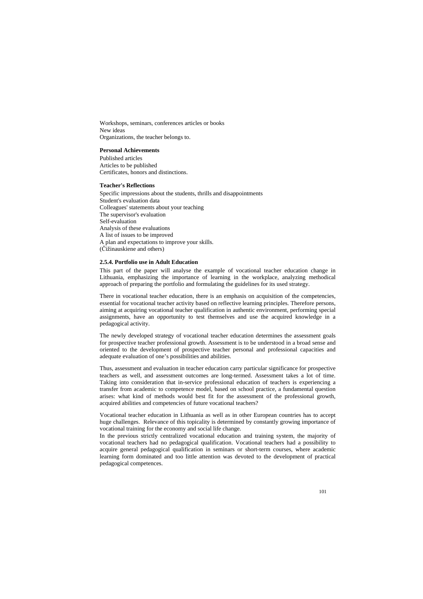Workshops, seminars, conferences articles or books New ideas Organizations, the teacher belongs to.

#### **Personal Achievements**

Published articles Articles to be published Certificates, honors and distinctions.

#### **Teacher's Reflections**

Specific impressions about the students, thrills and disappointments Student's evaluation data Colleagues' statements about your teaching The supervisor's evaluation Self-evaluation Analysis of these evaluations A list of issues to be improved A plan and expectations to improve your skills.  $(\check{C}$ ižinauskiene and others)

### **2.5.4. Portfolio use in Adult Education**

This part of the paper will analyse the example of vocational teacher education change in Lithuania, emphasizing the importance of learning in the workplace, analyzing methodical approach of preparing the portfolio and formulating the guidelines for its used strategy.

There in vocational teacher education, there is an emphasis on acquisition of the competencies, essential for vocational teacher activity based on reflective learning principles. Therefore persons, aiming at acquiring vocational teacher qualification in authentic environment, performing special assignments, have an opportunity to test themselves and use the acquired knowledge in a pedagogical activity.

The newly developed strategy of vocational teacher education determines the assessment goals for prospective teacher professional growth. Assessment is to be understood in a broad sense and oriented to the development of prospective teacher personal and professional capacities and adequate evaluation of one's possibilities and abilities.

Thus, assessment and evaluation in teacher education carry particular significance for prospective teachers as well, and assessment outcomes are long-termed. Assessment takes a lot of time. Taking into consideration that in-service professional education of teachers is experiencing a transfer from academic to competence model, based on school practice, a fundamental question arises: what kind of methods would best fit for the assessment of the professional growth, acquired abilities and competencies of future vocational teachers?

Vocational teacher education in Lithuania as well as in other European countries has to accept huge challenges. Relevance of this topicality is determined by constantly growing importance of vocational training for the economy and social life change.

In the previous strictly centralized vocational education and training system, the majority of vocational teachers had no pedagogical qualification. Vocational teachers had a possibility to acquire general pedagogical qualification in seminars or short-term courses, where academic learning form dominated and too little attention was devoted to the development of practical pedagogical competences.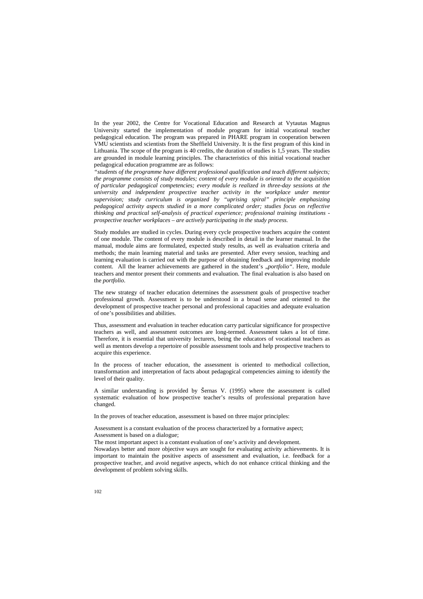In the year 2002, the Centre for Vocational Education and Research at Vytautas Magnus University started the implementation of module program for initial vocational teacher pedagogical education. The program was prepared in PHARE program in cooperation between VMU scientists and scientists from the Sheffield University. It is the first program of this kind in Lithuania. The scope of the program is 40 credits, the duration of studies is 1,5 years. The studies are grounded in module learning principles. The characteristics of this initial vocational teacher pedagogical education programme are as follows:

*"students of the programme have different professional qualification and teach different subjects; the programme consists of study modules; content of every module is oriented to the acquisition of particular pedagogical competencies; every module is realized in three-day sessions at the university and independent prospective teacher activity in the workplace under mentor supervision; study curriculum is organized by "uprising spiral" principle emphasizing pedagogical activity aspects studied in a more complicated order; studies focus on reflective thinking and practical self-analysis of practical experience; professional training institutions prospective teacher workplaces – are actively participating in the study process.* 

Study modules are studied in cycles. During every cycle prospective teachers acquire the content of one module. The content of every module is described in detail in the learner manual. In the manual, module aims are formulated, expected study results, as well as evaluation criteria and methods; the main learning material and tasks are presented. After every session, teaching and learning evaluation is carried out with the purpose of obtaining feedback and improving module content. All the learner achievements are gathered in the student's *"portfolio"*. Here, module teachers and mentor present their comments and evaluation. The final evaluation is also based on the *portfolio*.

The new strategy of teacher education determines the assessment goals of prospective teacher professional growth. Assessment is to be understood in a broad sense and oriented to the development of prospective teacher personal and professional capacities and adequate evaluation of one's possibilities and abilities.

Thus, assessment and evaluation in teacher education carry particular significance for prospective teachers as well, and assessment outcomes are long-termed. Assessment takes a lot of time. Therefore, it is essential that university lecturers, being the educators of vocational teachers as well as mentors develop a repertoire of possible assessment tools and help prospective teachers to acquire this experience.

In the process of teacher education, the assessment is oriented to methodical collection, transformation and interpretation of facts about pedagogical competencies aiming to identify the level of their quality.

A similar understanding is provided by Šernas V. (1995) where the assessment is called systematic evaluation of how prospective teacher's results of professional preparation have changed.

In the proves of teacher education, assessment is based on three major principles:

Assessment is a constant evaluation of the process characterized by a formative aspect; Assessment is based on a dialogue;

The most important aspect is a constant evaluation of one's activity and development.

Nowadays better and more objective ways are sought for evaluating activity achievements. It is important to maintain the positive aspects of assessment and evaluation, i.e. feedback for a prospective teacher, and avoid negative aspects, which do not enhance critical thinking and the development of problem solving skills.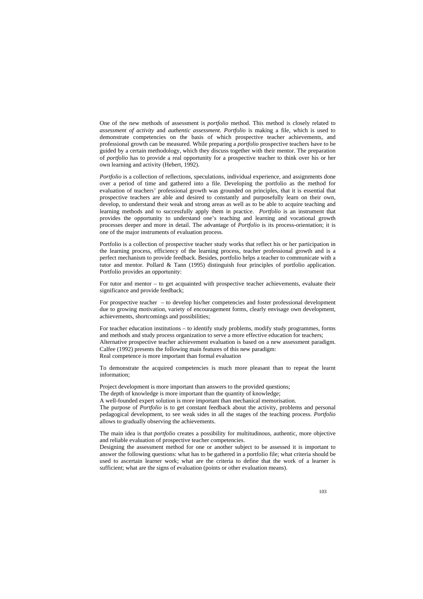One of the new methods of assessment is *portfolio* method. This method is closely related to *assessment of activity* and *authentic assessment. Portfolio* is making a file, which is used to demonstrate competencies on the basis of which prospective teacher achievements, and professional growth can be measured. While preparing a *portfolio* prospective teachers have to be guided by a certain methodology, which they discuss together with their mentor. The preparation of *portfolio* has to provide a real opportunity for a prospective teacher to think over his or her own learning and activity (Hebert, 1992).

*Portfolio* is a collection of reflections, speculations, individual experience, and assignments done over a period of time and gathered into a file. Developing the portfolio as the method for evaluation of teachers' professional growth was grounded on principles, that it is essential that prospective teachers are able and desired to constantly and purposefully learn on their own, develop, to understand their weak and strong areas as well as to be able to acquire teaching and learning methods and to successfully apply them in practice. *Portfolio* is an instrument that provides the opportunity to understand one's teaching and learning and vocational growth processes deeper and more in detail. The advantage of *Portfolio* is its process-orientation; it is one of the major instruments of evaluation process.

Portfolio is a collection of prospective teacher study works that reflect his or her participation in the learning process, efficiency of the learning process, teacher professional growth and is a perfect mechanism to provide feedback. Besides, portfolio helps a teacher to communicate with a tutor and mentor. Pollard & Tann (1995) distinguish four principles of portfolio application. Portfolio provides an opportunity:

For tutor and mentor – to get acquainted with prospective teacher achievements, evaluate their significance and provide feedback;

For prospective teacher – to develop his/her competencies and foster professional development due to growing motivation, variety of encouragement forms, clearly envisage own development, achievements, shortcomings and possibilities;

For teacher education institutions – to identify study problems, modify study programmes, forms and methods and study process organization to serve a more effective education for teachers; Alternative prospective teacher achievement evaluation is based on a new assessment paradigm. Calfee (1992) presents the following main features of this new paradigm: Real competence is more important than formal evaluation

To demonstrate the acquired competencies is much more pleasant than to repeat the learnt information;

Project development is more important than answers to the provided questions;

The depth of knowledge is more important than the quantity of knowledge;

A well-founded expert solution is more important than mechanical memorisation.

The purpose of *Portfolio* is to get constant feedback about the activity, problems and personal pedagogical development, to see weak sides in all the stages of the teaching process. *Portfolio* allows to gradually observing the achievements.

The main idea is that *portfolio* creates a possibility for multitudinous, authentic, more objective and reliable evaluation of prospective teacher competencies.

Designing the assessment method for one or another subject to be assessed it is important to answer the following questions: what has to be gathered in a portfolio file; what criteria should be used to ascertain learner work; what are the criteria to define that the work of a learner is sufficient; what are the signs of evaluation (points or other evaluation means).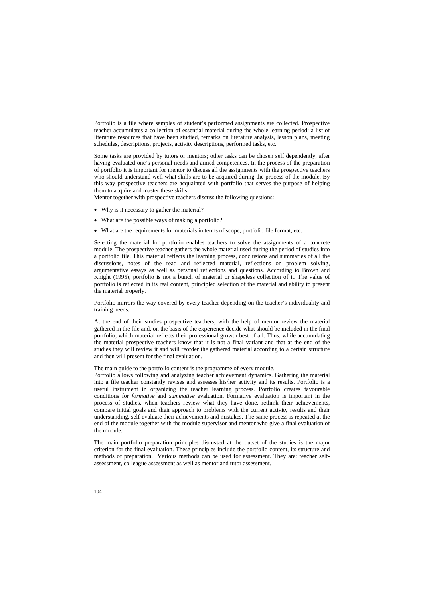Portfolio is a file where samples of student's performed assignments are collected. Prospective teacher accumulates a collection of essential material during the whole learning period: a list of literature resources that have been studied, remarks on literature analysis, lesson plans, meeting schedules, descriptions, projects, activity descriptions, performed tasks, etc.

Some tasks are provided by tutors or mentors; other tasks can be chosen self dependently, after having evaluated one's personal needs and aimed competences. In the process of the preparation of portfolio it is important for mentor to discuss all the assignments with the prospective teachers who should understand well what skills are to be acquired during the process of the module. By this way prospective teachers are acquainted with portfolio that serves the purpose of helping them to acquire and master these skills.

Mentor together with prospective teachers discuss the following questions:

- Why is it necessary to gather the material?
- What are the possible ways of making a portfolio?
- What are the requirements for materials in terms of scope, portfolio file format, etc.

Selecting the material for portfolio enables teachers to solve the assignments of a concrete module. The prospective teacher gathers the whole material used during the period of studies into a portfolio file. This material reflects the learning process, conclusions and summaries of all the discussions, notes of the read and reflected material, reflections on problem solving, argumentative essays as well as personal reflections and questions. According to Brown and Knight (1995), portfolio is not a bunch of material or shapeless collection of it. The value of portfolio is reflected in its real content, principled selection of the material and ability to present the material properly.

Portfolio mirrors the way covered by every teacher depending on the teacher's individuality and training needs.

At the end of their studies prospective teachers, with the help of mentor review the material gathered in the file and, on the basis of the experience decide what should be included in the final portfolio, which material reflects their professional growth best of all. Thus, while accumulating the material prospective teachers know that it is not a final variant and that at the end of the studies they will review it and will reorder the gathered material according to a certain structure and then will present for the final evaluation.

The main guide to the portfolio content is the programme of every module.

Portfolio allows following and analyzing teacher achievement dynamics. Gathering the material into a file teacher constantly revises and assesses his/her activity and its results. Portfolio is a useful instrument in organizing the teacher learning process. Portfolio creates favourable conditions for *formative* and *summative* evaluation. Formative evaluation is important in the process of studies, when teachers review what they have done, rethink their achievements, compare initial goals and their approach to problems with the current activity results and their understanding, self-evaluate their achievements and mistakes. The same process is repeated at the end of the module together with the module supervisor and mentor who give a final evaluation of the module.

The main portfolio preparation principles discussed at the outset of the studies is the major criterion for the final evaluation. These principles include the portfolio content, its structure and methods of preparation. Various methods can be used for assessment. They are: teacher selfassessment, colleague assessment as well as mentor and tutor assessment.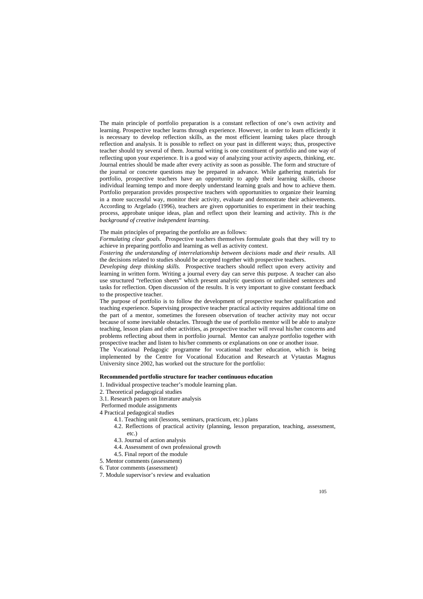The main principle of portfolio preparation is a constant reflection of one's own activity and learning. Prospective teacher learns through experience. However, in order to learn efficiently it is necessary to develop reflection skills, as the most efficient learning takes place through reflection and analysis. It is possible to reflect on your past in different ways; thus, prospective teacher should try several of them. Journal writing is one constituent of portfolio and one way of reflecting upon your experience. It is a good way of analyzing your activity aspects, thinking, etc. Journal entries should be made after every activity as soon as possible. The form and structure of the journal or concrete questions may be prepared in advance. While gathering materials for portfolio, prospective teachers have an opportunity to apply their learning skills, choose individual learning tempo and more deeply understand learning goals and how to achieve them. Portfolio preparation provides prospective teachers with opportunities to organize their learning in a more successful way, monitor their activity, evaluate and demonstrate their achievements. According to Argelado (1996), teachers are given opportunities to experiment in their teaching process, approbate unique ideas, plan and reflect upon their learning and activity. *This is the background of creative independent learning.* 

The main principles of preparing the portfolio are as follows:

*Formulating clear goals.* Prospective teachers themselves formulate goals that they will try to achieve in preparing portfolio and learning as well as activity context.

*Fostering the understanding of interrelationship between decisions made and their results.* All the decisions related to studies should be accepted together with prospective teachers.

*Developing deep thinking skills.* Prospective teachers should reflect upon every activity and learning in written form. Writing a journal every day can serve this purpose. A teacher can also use structured "reflection sheets" which present analytic questions or unfinished sentences and tasks for reflection. Open discussion of the results. It is very important to give constant feedback to the prospective teacher.

The purpose of portfolio is to follow the development of prospective teacher qualification and teaching experience. Supervising prospective teacher practical activity requires additional time on the part of a mentor, sometimes the foreseen observation of teacher activity may not occur because of some inevitable obstacles. Through the use of portfolio mentor will be able to analyze teaching, lesson plans and other activities, as prospective teacher will reveal his/her concerns and problems reflecting about them in portfolio journal. Mentor can analyze portfolio together with prospective teacher and listen to his/her comments or explanations on one or another issue.

The Vocational Pedagogic programme for vocational teacher education, which is being implemented by the Centre for Vocational Education and Research at Vytautas Magnus University since 2002, has worked out the structure for the portfolio:

#### **Recommended portfolio structure for teacher continuous education**

1. Individual prospective teacher's module learning plan.

- 2. Theoretical pedagogical studies
- 3.1. Research papers on literature analysis

Performed module assignments

4 Practical pedagogical studies

- 4.1. Teaching unit (lessons, seminars, practicum, etc.) plans
- 4.2. Reflections of practical activity (planning, lesson preparation, teaching, assessment, etc.)
- 4.3. Journal of action analysis
- 4.4. Assessment of own professional growth
- 4.5. Final report of the module
- 5. Mentor comments (assessment)
- 6. Tutor comments (assessment)
- 7. Module supervisor's review and evaluation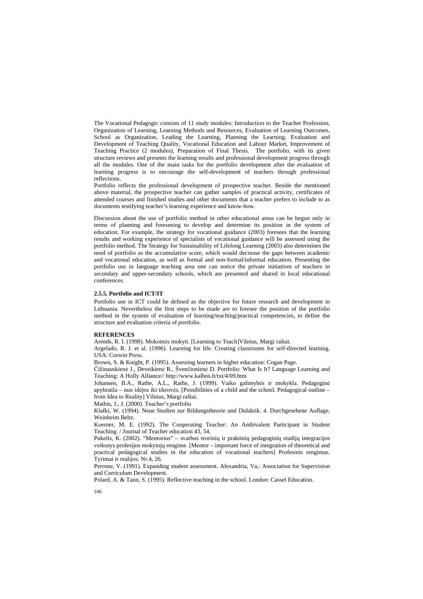The Vocational Pedagogic consists of 11 study modules: Introduction to the Teacher Profession, Organization of Learning, Learning Methods and Resources, Evaluation of Learning Outcomes, School as Organization, Leading the Learning, Planning the Learning, Evaluation and Development of Teaching Quality, Vocational Education and Labour Market, Improvement of Teaching Practice (2 modules), Preparation of Final Thesis. The portfolio, with its given structure reviews and presents the learning results and professional development progress through all the modules. One of the main tasks for the portfolio development after the evaluation of learning progress is to encourage the self-development of teachers through professional reflections.

Portfolio reflects the professional development of prospective teacher. Beside the mentioned above material, the prospective teacher can gather samples of practical activity, certificates of attended courses and finished studies and other documents that a teacher prefers to include to as documents testifying teacher's learning experience and know-how.

Discussion about the use of portfolio method in other educational areas can be begun only in terms of planning and foreseeing to develop and determine its position in the system of education. For example, the strategy for vocational guidance (2003) foresees that the learning results and working experience of specialists of vocational guidance will be assessed using the portfolio method. The Strategy for Sustainability of Lifelong Learning (2003) also determines the need of portfolio as the accumulative score, which would decrease the gaps between academic and vocational education, as well as formal and non-formal/informal education. Presenting the portfolio use in language teaching area one can notice the private initiatives of teachers in secondary and upper-secondary schools, which are presented and shared in local educational conferences.

#### **2.5.5. Portfolio and ICT/IT**

Portfolio use in ICT could be defined as the objective for future research and development in Lithuania. Nevertheless the first steps to be made are to foresee the position of the portfolio method in the system of evaluation of learning/teaching/practical competencies, to define the structure and evaluation criteria of portfolio.

#### **REFERENCES**

Arends, R. I. (1998). Mokomės mokyti. [Learning to Teach]Vilnius, Margi raštai.

Argelado, R. J. et al. (1996). Learning for life. Creating classrooms for self-directed learning. USA: Corwin Press.

Brown, S. & Knight, P. (1995). Assessing learners in higher education: Cogan Page.

Čižinauskienė J., Deveikienė R., Švenčionienė D. Portfolio: What Is It? Language Learning and Teaching: A Holly Alliance// http://www.kalbos.lt/txt/4/09.htm

Johansen, B.A., Rathe, A.L., Rathe, J. (1999). Vaiko galimybės ir mokykla. Pedagoginė apybraiža – nuo idėjos iki tikrovės. [Possibilities of a child and the school. Pedagogical outline – from Idea to Reality] Vilnius, Margi raštai.

Mathis, J., J. (2000). Teacher's portfolio

Klafki, W. (1994). Neue Studien zur Bildungstheorie und Didaktik. 4. Durchgesehene Auflage, Weinheim Beltz.

Koerner, M. E. (1992). The Cooperating Teacher: An Ambivalent Participant in Student Teaching. / Journal of Teacher education 43, 54.

Pukelis, K. (2002). "Mentorius" – svarbus teorinių ir praktinių pedagoginių studijų integracijos veiksnys profesijos mokytojų rengime. [Mentor – important force of integration of theoretical and practical pedagogical studies in the education of vocational teachers] Profesinis rengimas. Tyrimai ir realijos. Nr.4, 26.

Perrone, V. (1991). Expanding student assessment. Alexandria, Va,: Association for Supervision and Curriculum Development.

Polard, A. & Tann, S. (1995). Reflective teaching in the school. London: Cassel Education.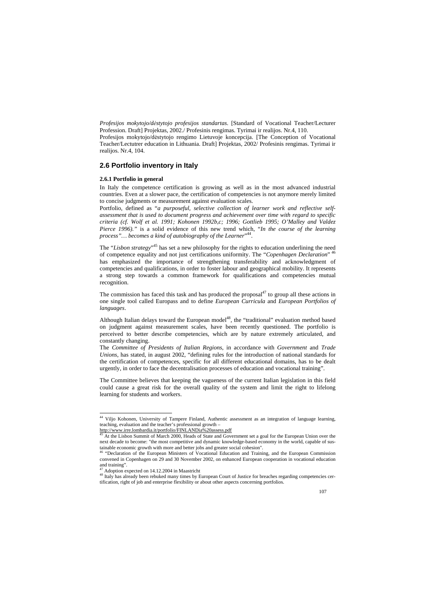*Profesijos mokytojo/d!stytojo profesijos standartas*. [Standard of Vocational Teacher/Lecturer Profession. Draft] Projektas, 2002./ Profesinis rengimas. Tyrimai ir realijos. Nr.4, 110.

Profesijos mokytojo/d%stytojo rengimo Lietuvoje koncepcija. [The Conception of Vocational Teacher/Lectutrer education in Lithuania. Draft] Projektas, 2002/ Profesinis rengimas. Tyrimai ir realijos. Nr.4, 104.

## **2.6 Portfolio inventory in Italy**

#### **2.6.1 Portfolio in general**

In Italy the competence certification is growing as well as in the most advanced industrial countries. Even at a slower pace, the certification of competencies is not anymore merely limited to concise judgments or measurement against evaluation scales.

Portfolio, defined as "*a purposeful, selective collection of learner work and reflective selfassessment that is used to document progress and achievement over time with regard to specific criteria (cf. Wolf et al. 1991; Kohonen 1992b,c; 1996; Gottlieb 1995; O'Malley and Valdez Pierce 1996)."* is a solid evidence of this new trend which, "*In the course of the learning process"… becomes a kind of autobiography of the Learner*" 44.

The "*Lisbon strategy*" 45 has set a new philosophy for the rights to education underlining the need of competence equality and not just certifications uniformity. The "*Copenhagen Declaration*" 46 has emphasized the importance of strengthening transferability and acknowledgment of competencies and qualifications, in order to foster labour and geographical mobility. It represents a strong step towards a common framework for qualifications and competencies mutual recognition.

The commission has faced this task and has produced the proposal $47$  to group all these actions in one single tool called Europass and to define *European Curricula* and *European Portfolios of languages*.

Although Italian delays toward the European model<sup>48</sup>, the "traditional" evaluation method based on judgment against measurement scales, have been recently questioned. The portfolio is perceived to better describe competencies, which are by nature extremely articulated, and constantly changing.

The *Committee of Presidents of Italian Regions*, in accordance with *Government* and *Trade Unions*, has stated, in august 2002, "defining rules for the introduction of national standards for the certification of competences, specific for all different educational domains, has to be dealt urgently, in order to face the decentralisation processes of education and vocational training".

The Committee believes that keeping the vagueness of the current Italian legislation in this field could cause a great risk for the overall quality of the system and limit the right to lifelong learning for students and workers.

http://www.irre.lombardia.it/portfolio/FINLANDia%20assess.pdf

 $\overline{a}$ 

<sup>&</sup>lt;sup>44</sup> Viljo Kohonen, University of Tampere Finland, Authentic assessment as an integration of language learning, teaching, evaluation and the teacher's professional growth –

At the Lisbon Summit of March 2000, Heads of State and Government set a goal for the European Union over the next decade to become: "the most competitive and dynamic knowledge-based economy in the world, capable of sustainable economic growth with more and better jobs and greater social cohesion".

<sup>46 &</sup>quot;Declaration of the European Ministers of Vocational Education and Training, and the European Commission convened in Copenhagen on 29 and 30 November 2002, on enhanced European cooperation in vocational education and training".

Adoption expected on 14.12.2004 in Maastricht

<sup>48</sup> Italy has already been rebuked many times by European Court of Justice for breaches regarding competencies cer-<br><sup>48</sup> Italy has already been rebuked many times by European Court of Justice for breaches regarding competen tification, right of job and enterprise flexibility or about other aspects concerning portfolios.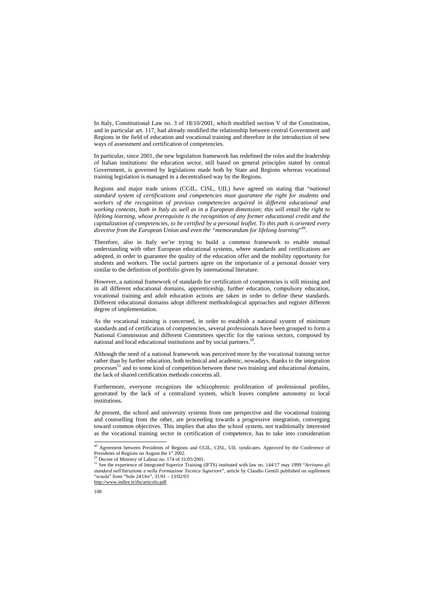In Italy, Constitutional Law no. 3 of 18/10/2001, which modified section V of the Constitution, and in particular art. 117, had already modified the relationship between central Government and Regions in the field of education and vocational training and therefore in the introduction of new ways of assessment and certification of competencies.

In particular, since 2001, the new legislation framework has redefined the roles and the leadership of Italian institutions: the education sector, still based on general principles stated by central Government, is governed by legislations made both by State and Regions whereas vocational training legislation is managed in a decentralised way by the Regions.

Regions and major trade unions (CGIL, CISL, UIL) have agreed on stating that "*national standard system of certifications and competencies must guarantee the right for students and workers of the recognition of previous competencies acquired in different educational and working contexts, both in Italy as well as in a European dimension; this will entail the right to lifelong learning, whose prerequisite is the recognition of any former educational credit and the capitalization of competencies, to be certified by a personal leaflet. To this path is oriented every directive from the European Union and even the "memorandum for lifelong learning*" 49.

Therefore, also in Italy we're trying to build a common framework to enable mutual understanding with other European educational systems, where standards and certifications are adopted, in order to guarantee the quality of the education offer and the mobility opportunity for students and workers. The social partners agree on the importance of a personal dossier very similar to the definition of portfolio given by international literature.

However, a national framework of standards for certification of competencies is still missing and in all different educational domains, apprenticeship, further education, compulsory education, vocational training and adult education actions are taken in order to define these standards. Different educational domains adopt different methodological approaches and register different degree of implementation.

As the vocational training is concerned, in order to establish a national system of minimum standards and of certification of competencies, several professionals have been grouped to form a National Commission and different Committees specific for the various sectors, composed by national and local educational institutions and by social partners.<sup>50</sup>.

Although the need of a national framework was perceived more by the vocational training sector rather than by further education, both technical and academic, nowadays, thanks to the integration processes $51$  and to some kind of competition between these two training and educational domains, the lack of shared certification methods concerns all.

Furthermore, everyone recognizes the schizophrenic proliferation of professional profiles, generated by the lack of a centralized system, which leaves complete autonomy to local institutions.

At present, the school and university systems from one perspective and the vocational training and counselling from the other, are proceeding towards a progressive integration, converging toward common objectives. This implies that also the school system, not traditionally interested as the vocational training sector in certification of competence, has to take into consideration

-

<sup>&</sup>lt;sup>49</sup> Agreement between Presidents of Regions and CGIL, CISL, UIL syndicates. Approved by the Conference of Presidents of Regions on August the 1<sup>st</sup> 2002.<br><sup>50</sup> Decree of Ministry of Labour no. 174 of 31/05/2001.

<sup>51</sup> See the experience of Integrated Superior Training (IFTS) instituted with law no. 144/17 may 1999 "*Arrivano gli standard nell'Istruzione e nella Formazione Tecnica Superiore*", article by Claudio Gentili published on supllement "scuola" from "Sole 24 Ore", 31/01 – 13/02/03

http://www.indire.it/ifts/articolo.pdf.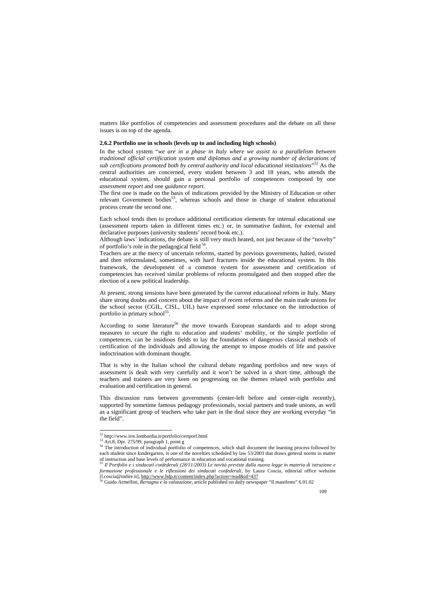matters like portfolios of competencies and assessment procedures and the debate on all these issues is on top of the agenda.

#### **2.6.2 Portfolio use in schools (levels up to and including high schools)**

In the school system "*we are in a phase in Italy where we assist to a parallelism between traditional official certification system and diplomas and a growing number of declarations of sub certifications promoted both by central authority and local educational institutions*" 52 As the central authorities are concerned, every student between 3 and 18 years, who attends the educational system, should gain a personal portfolio of competences composed by one *assessment report* and one *guidance report*.

The first one is made on the basis of indications provided by the Ministry of Education or other relevant Government bodies<sup>53</sup>, whereas schools and those in charge of student educational process create the second one.

Each school tends then to produce additional certification elements for internal educational use (assessment reports taken in different times etc.) or, in summative fashion, for external and declarative purposes (university students' record book etc.).

Although laws' indications, the debate is still very much heated, not just because of the "novelty" of portfolio's role in the pedagogical field 54.

Teachers are at the mercy of uncertain reforms, started by previous governments, halted, twisted and then reformulated, sometimes, with hard fractures inside the educational system. In this framework, the development of a common system for assessment and certification of competencies has received similar problems of reforms promulgated and then stopped after the election of a new political leadership.

At present, strong tensions have been generated by the current educational reform in Italy. Many share strong doubts and concern about the impact of recent reforms and the main trade unions for the school sector (CGIL, CISL, UIL) have expressed some reluctance on the introduction of portfolio in primary school $55$ .

According to some literature<sup>56</sup> the move towards European standards and to adopt strong measures to secure the right to education and students' mobility, or the simple portfolio of competences, can be insidious fields to lay the foundations of dangerous classical methods of certification of the individuals and allowing the attempt to impose models of life and passive indoctrination with dominant thought.

That is why in the Italian school the cultural debate regarding portfolios and new ways of assessment is dealt with very carefully and it won't be solved in a short time, although the teachers and trainers are very keen on progressing on the themes related with portfolio and evaluation and certification in general.

This discussion runs between governments (center-left before and center-right recently), supported by sometime famous pedagogy professionals, social partners and trade unions, as well as a significant group of teachers who take part in the deal since they are working everyday "in the field".

j

<sup>52</sup> http://www.irre.lombardia.it/portfolio/certporf.html

<sup>53</sup> Art.8, Dpr. 275/99, paragraph 1, point g

<sup>&</sup>lt;sup>54</sup> The introduction of individual portfolio of competences, which shall document the learning process followed by each student since kindergarten, is one of the novelties scheduled by law 53/2003 that draws general norms in matter of instruction and base levels of performance in education and vocational training.

<sup>55</sup> *Il Portfolio e i sindacati confederali (28/11/2003) Le novità previste dalla nuova legge in materia di istruzione e formazione professionale e le riflessioni dei sindacati confederali*, by Laura Coscia, editorial office webzine [l.coscia@indire.it], http://www.bdp.it/content/index.php?action=read&id=437

<sup>56</sup> Guido Armellini, *Bertagna e la valutazione*, article published on daily newspaper "Il manifesto" 6.01.02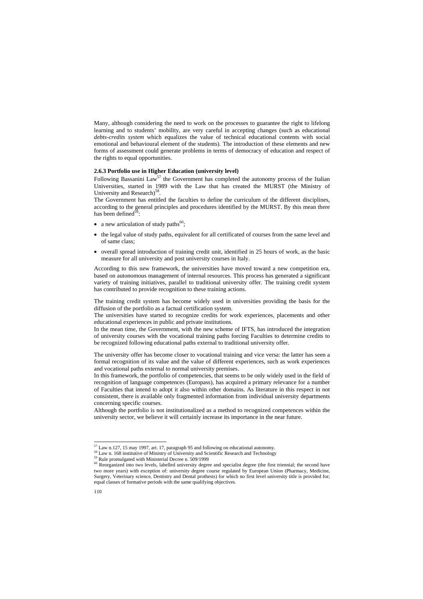Many, although considering the need to work on the processes to guarantee the right to lifelong learning and to students' mobility, are very careful in accepting changes (such as educational *debts-credits system* which equalizes the value of technical educational contents with social emotional and behavioural element of the students). The introduction of these elements and new forms of assessment could generate problems in terms of democracy of education and respect of the rights to equal opportunities.

## **2.6.3 Portfolio use in Higher Education (university level)**

Following Bassanini Law<sup>57</sup> the Government has completed the autonomy process of the Italian Universities, started in 1989 with the Law that has created the MURST (the Ministry of University and Research $5^8$ .

The Government has entitled the faculties to define the curriculum of the different disciplines, according to the general principles and procedures identified by the MURST. By this mean there has been defined $\overline{5}^9$ :

- a new articulation of study paths $^{60}$ ;
- the legal value of study paths, equivalent for all certificated of courses from the same level and of same class;
- overall spread introduction of training credit unit, identified in 25 hours of work, as the basic measure for all university and post university courses in Italy.

According to this new framework, the universities have moved toward a new competition era, based on autonomous management of internal resources. This process has generated a significant variety of training initiatives, parallel to traditional university offer. The training credit system has contributed to provide recognition to these training actions.

The training credit system has become widely used in universities providing the basis for the diffusion of the portfolio as a factual certification system.

The universities have started to recognize credits for work experiences, placements and other educational experiences in public and private institutions.

In the mean time, the Government, with the new scheme of IFTS, has introduced the integration of university courses with the vocational training paths forcing Faculties to determine credits to be recognized following educational paths external to traditional university offer.

The university offer has become closer to vocational training and vice versa: the latter has seen a formal recognition of its value and the value of different experiences, such as work experiences and vocational paths external to normal university premises.

In this framework, the portfolio of competencies, that seems to be only widely used in the field of recognition of language competences (Europass), has acquired a primary relevance for a number of Faculties that intend to adopt it also within other domains. As literature in this respect in not consistent, there is available only fragmented information from individual university departments concerning specific courses.

Although the portfolio is not institutionalized as a method to recognized competences within the university sector, we believe it will certainly increase its importance in the near future.

<sup>-</sup> $57$  Law n.127, 15 may 1997, art. 17, paragraph 95 and following on educational autonomy.

<sup>58</sup> Law n. 168 institutive of Ministry of University and Scientific Research and Technology

<sup>59</sup> Rule promulgated with Ministerial Decree n. 509/1999

<sup>&</sup>lt;sup>60</sup> Reorganized into two levels, labelled university degree and specialist degree (the first triennial; the second have two more years) with exception of: university degree course regulated by European Union (Pharmacy, Medicine, Surgery, Veterinary science, Dentistry and Dental prothesis) for which no first level university title is provided for; equal classes of formative periods with the same qualifying objectives.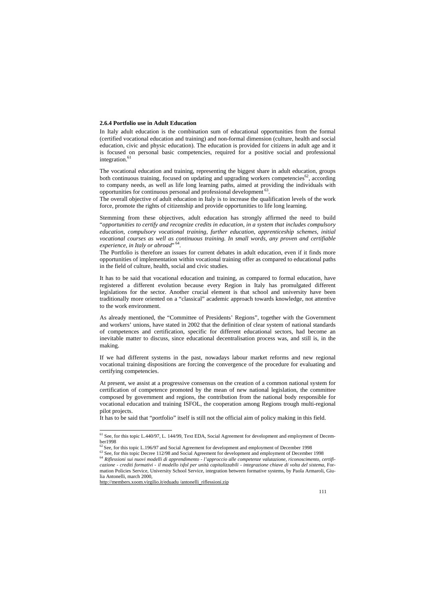#### **2.6.4 Portfolio use in Adult Education**

In Italy adult education is the combination sum of educational opportunities from the formal (certified vocational education and training) and non-formal dimension (culture, health and social education, civic and physic education). The education is provided for citizens in adult age and it is focused on personal basic competencies, required for a positive social and professional integration.<sup>61</sup>

The vocational education and training, representing the biggest share in adult education, groups both continuous training, focused on updating and upgrading workers competencies<sup>62</sup>, according to company needs, as well as life long learning paths, aimed at providing the individuals with opportunities for continuous personal and professional development 63.

The overall objective of adult education in Italy is to increase the qualification levels of the work force, promote the rights of citizenship and provide opportunities to life long learning.

Stemming from these objectives, adult education has strongly affirmed the need to build "*opportunities to certify and recognize credits in education, in a system that includes compulsory education, compulsory vocational training, further education, apprenticeship schemes, initial vocational courses as well as continuous training. In small words, any proven and certifiable*  experience, in Italy or abroad<sup>", 64</sup>.

The Portfolio is therefore an issues for current debates in adult education, even if it finds more opportunities of implementation within vocational training offer as compared to educational paths in the field of culture, health, social and civic studies.

It has to be said that vocational education and training, as compared to formal education, have registered a different evolution because every Region in Italy has promulgated different legislations for the sector. Another crucial element is that school and university have been traditionally more oriented on a "classical" academic approach towards knowledge, not attentive to the work environment.

As already mentioned, the "Committee of Presidents' Regions", together with the Government and workers' unions, have stated in 2002 that the definition of clear system of national standards of competences and certification, specific for different educational sectors, had become an inevitable matter to discuss, since educational decentralisation process was, and still is, in the making.

If we had different systems in the past, nowadays labour market reforms and new regional vocational training dispositions are forcing the convergence of the procedure for evaluating and certifying competencies.

At present, we assist at a progressive consensus on the creation of a common national system for certification of competence promoted by the mean of new national legislation, the committee composed by government and regions, the contribution from the national body responsible for vocational education and training ISFOL, the cooperation among Regions trough multi-regional pilot projects.

It has to be said that "portfolio" itself is still not the official aim of policy making in this field.

*cazione - crediti formativi - il modello isfol per unità capitalizzabili - integrazione chiave di volta del sistema*, Formation Policies Service, University School Service, integration between formative systems, by Paola Armaroli, Giulia Antonelli, march 2000,

http://members.xoom.virgilio.it/eduadu /antonelli\_riflessioni.zip

j

<sup>&</sup>lt;sup>61</sup> See, for this topic L.440/97, L. 144/99, Text EDA, Social Agreement for development and employment of December1998<br>
<sup>62</sup> See, for this topic L.196/97 and Social Agreement for development and employment of December 1998

<sup>&</sup>lt;sup>63</sup> See, for this topic Decree 112/98 and Social Agreement for development and employment of December 1998 <sup>64</sup> *Riflessioni sui nuovi modelli di apprendimento - l'approccio alle competenze valutazione, riconoscimento, certifi-*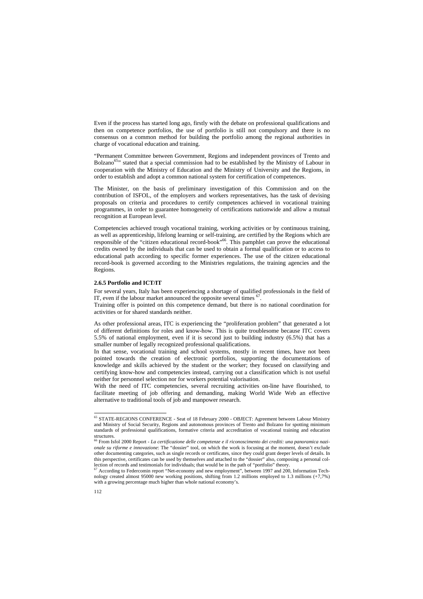Even if the process has started long ago, firstly with the debate on professional qualifications and then on competence portfolios, the use of portfolio is still not compulsory and there is no consensus on a common method for building the portfolio among the regional authorities in charge of vocational education and training.

"Permanent Committee between Government, Regions and independent provinces of Trento and Bolzano<sup>65</sup>" stated that a special commission had to be established by the Ministry of Labour in cooperation with the Ministry of Education and the Ministry of University and the Regions, in order to establish and adopt a common national system for certification of competences.

The Minister, on the basis of preliminary investigation of this Commission and on the contribution of ISFOL, of the employers and workers representatives, has the task of devising proposals on criteria and procedures to certify competences achieved in vocational training programmes, in order to guarantee homogeneity of certifications nationwide and allow a mutual recognition at European level.

Competencies achieved trough vocational training, working activities or by continuous training, as well as apprenticeship, lifelong learning or self-training, are certified by the Regions which are responsible of the "citizen educational record-book"<sup>66</sup>. This pamphlet can prove the educational credits owned by the individuals that can be used to obtain a formal qualification or to access to educational path according to specific former experiences. The use of the citizen educational record-book is governed according to the Ministries regulations, the training agencies and the Regions.

#### **2.6.5 Portfolio and ICT/IT**

For several years, Italy has been experiencing a shortage of qualified professionals in the field of IT, even if the labour market announced the opposite several times  $67$ .

Training offer is pointed on this competence demand, but there is no national coordination for activities or for shared standards neither.

As other professional areas, ITC is experiencing the "proliferation problem" that generated a lot of different definitions for roles and know-how. This is quite troublesome because ITC covers 5.5% of national employment, even if it is second just to building industry (6.5%) that has a smaller number of legally recognized professional qualifications.

In that sense, vocational training and school systems, mostly in recent times, have not been pointed towards the creation of electronic portfolios, supporting the documentations of knowledge and skills achieved by the student or the worker; they focused on classifying and certifying know-how and competencies instead, carrying out a classification which is not useful neither for personnel selection nor for workers potential valorisation.

With the need of ITC competencies, several recruiting activities on-line have flourished, to facilitate meeting of job offering and demanding, making World Wide Web an effective alternative to traditional tools of job and manpower research.

-

<sup>&</sup>lt;sup>65</sup> STATE-REGIONS CONFERENCE - Seat of 18 February 2000 - OBJECT: Agreement between Labour Ministry and Ministry of Social Security, Regions and autonomous provinces of Trento and Bolzano for spotting minimum standards of professional qualifications, formative criteria and accreditation of vocational training and education structures.

<sup>66</sup> From Isfol 2000 Report - *La certificazione delle competenze e il riconoscimento dei crediti: una panoramica nazionale su riforme e innovazione*: The "dossier" tool, on which the work is focusing at the moment, doesn't exclude other documenting categories, such as single records or certificates, since they could grant deeper levels of details. In this perspective, certificates can be used by themselves and attached to the "dossier" also, composing a personal collection of records and testimonials for individuals; that would be in the path of "portfolio" theory.

 $67$  According to Federcomin report "Net-economy and new employment", between 1997 and 200, Information Technology created almost 95000 new working positions, shifting from 1.2 millions employed to 1.3 millions (+7,7%) with a growing percentage much higher than whole national economy's.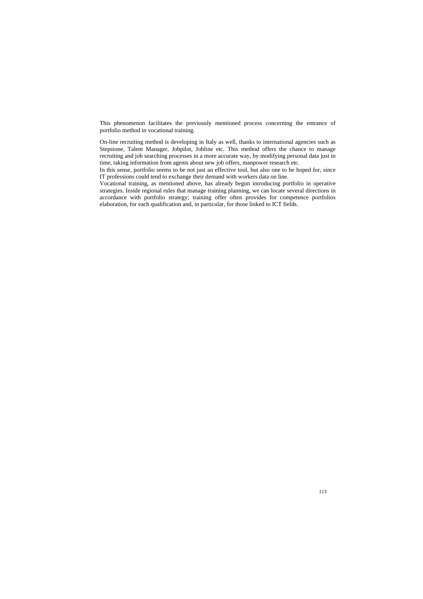This phenomenon facilitates the previously mentioned process concerning the entrance of portfolio method in vocational training.

On-line recruiting method is developing in Italy as well, thanks to international agencies such as Stepstone, Talent Manager, Jobpilot, Jobline etc. This method offers the chance to manage recruiting and job searching processes in a more accurate way, by modifying personal data just in time, taking information from agents about new job offers, manpower research etc.

In this sense, portfolio seems to be not just an effective tool, but also one to be hoped for, since IT professions could tend to exchange their demand with workers data on line.

Vocational training, as mentioned above, has already begun introducing portfolio in operative strategies. Inside regional rules that manage training planning, we can locate several directions in accordance with portfolio strategy; training offer often provides for competence portfolios elaboration, for each qualification and, in particular, for those linked to ICT fields.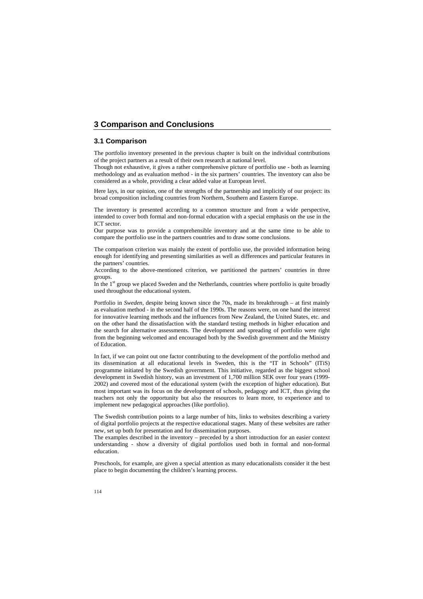# **3 Comparison and Conclusions**

## **3.1 Comparison**

The portfolio inventory presented in the previous chapter is built on the individual contributions of the project partners as a result of their own research at national level.

Though not exhaustive, it gives a rather comprehensive picture of portfolio use - both as learning methodology and as evaluation method - in the six partners' countries. The inventory can also be considered as a whole, providing a clear added value at European level.

Here lays, in our opinion, one of the strengths of the partnership and implicitly of our project: its broad composition including countries from Northern, Southern and Eastern Europe.

The inventory is presented according to a common structure and from a wide perspective, intended to cover both formal and non-formal education with a special emphasis on the use in the ICT sector.

Our purpose was to provide a comprehensible inventory and at the same time to be able to compare the portfolio use in the partners countries and to draw some conclusions.

The comparison criterion was mainly the extent of portfolio use, the provided information being enough for identifying and presenting similarities as well as differences and particular features in the partners' countries.

According to the above-mentioned criterion, we partitioned the partners' countries in three groups.

In the  $1<sup>st</sup>$  group we placed Sweden and the Netherlands, countries where portfolio is quite broadly used throughout the educational system.

Portfolio in *Sweden*, despite being known since the 70s, made its breakthrough – at first mainly as evaluation method - in the second half of the 1990s. The reasons were, on one hand the interest for innovative learning methods and the influences from New Zealand, the United States, etc. and on the other hand the dissatisfaction with the standard testing methods in higher education and the search for alternative assessments. The development and spreading of portfolio were right from the beginning welcomed and encouraged both by the Swedish government and the Ministry of Education.

In fact, if we can point out one factor contributing to the development of the portfolio method and its dissemination at all educational levels in Sweden, this is the "IT in Schools" (ITiS) programme initiated by the Swedish government. This initiative, regarded as the biggest school development in Swedish history, was an investment of 1,700 million SEK over four years (1999- 2002) and covered most of the educational system (with the exception of higher education). But most important was its focus on the development of schools, pedagogy and ICT, thus giving the teachers not only the opportunity but also the resources to learn more, to experience and to implement new pedagogical approaches (like portfolio).

The Swedish contribution points to a large number of hits, links to websites describing a variety of digital portfolio projects at the respective educational stages. Many of these websites are rather new, set up both for presentation and for dissemination purposes.

The examples described in the inventory – preceded by a short introduction for an easier context understanding - show a diversity of digital portfolios used both in formal and non-formal education.

Preschools, for example, are given a special attention as many educationalists consider it the best place to begin documenting the children's learning process.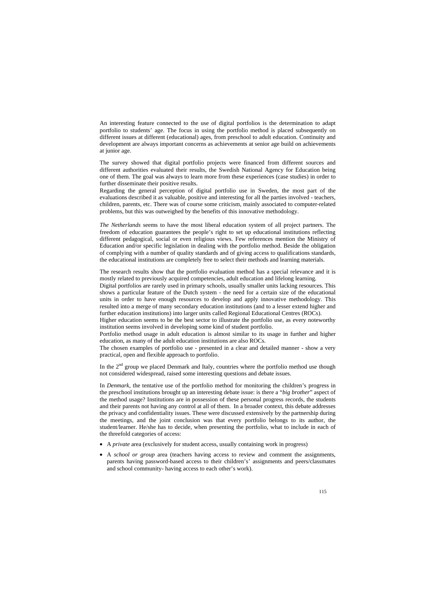An interesting feature connected to the use of digital portfolios is the determination to adapt portfolio to students' age. The focus in using the portfolio method is placed subsequently on different issues at different (educational) ages, from preschool to adult education. Continuity and development are always important concerns as achievements at senior age build on achievements at junior age.

The survey showed that digital portfolio projects were financed from different sources and different authorities evaluated their results, the Swedish National Agency for Education being one of them. The goal was always to learn more from these experiences (case studies) in order to further disseminate their positive results.

Regarding the general perception of digital portfolio use in Sweden, the most part of the evaluations described it as valuable, positive and interesting for all the parties involved - teachers, children, parents, etc. There was of course some criticism, mainly associated to computer-related problems, but this was outweighed by the benefits of this innovative methodology.

*The Netherlands* seems to have the most liberal education system of all project partners. The freedom of education guarantees the people's right to set up educational institutions reflecting different pedagogical, social or even religious views. Few references mention the Ministry of Education and/or specific legislation in dealing with the portfolio method. Beside the obligation of complying with a number of quality standards and of giving access to qualifications standards, the educational institutions are completely free to select their methods and learning materials.

The research results show that the portfolio evaluation method has a special relevance and it is mostly related to previously acquired competencies, adult education and lifelong learning.

Digital portfolios are rarely used in primary schools, usually smaller units lacking resources. This shows a particular feature of the Dutch system - the need for a certain size of the educational units in order to have enough resources to develop and apply innovative methodology. This resulted into a merge of many secondary education institutions (and to a lesser extend higher and further education institutions) into larger units called Regional Educational Centres (ROCs).

Higher education seems to be the best sector to illustrate the portfolio use, as every noteworthy institution seems involved in developing some kind of student portfolio.

Portfolio method usage in adult education is almost similar to its usage in further and higher education, as many of the adult education institutions are also ROCs.

The chosen examples of portfolio use - presented in a clear and detailed manner - show a very practical, open and flexible approach to portfolio.

In the  $2<sup>nd</sup>$  group we placed Denmark and Italy, countries where the portfolio method use though not considered widespread, raised some interesting questions and debate issues.

In *Denmark*, the tentative use of the portfolio method for monitoring the children's progress in the preschool institutions brought up an interesting debate issue: is there a "*big brother*" aspect of the method usage? Institutions are in possession of these personal progress records, the students and their parents not having any control at all of them. In a broader context, this debate addresses the privacy and confidentiality issues. These were discussed extensively by the partnership during the meetings, and the joint conclusion was that every portfolio belongs to its author, the student/learner. He/she has to decide, when presenting the portfolio, what to include in each of the threefold categories of access:

- A *private* area (exclusively for student access, usually containing work in progress)
- A *school or group* area (teachers having access to review and comment the assignments, parents having password-based access to their children's' assignments and peers/classmates and school community- having access to each other's work).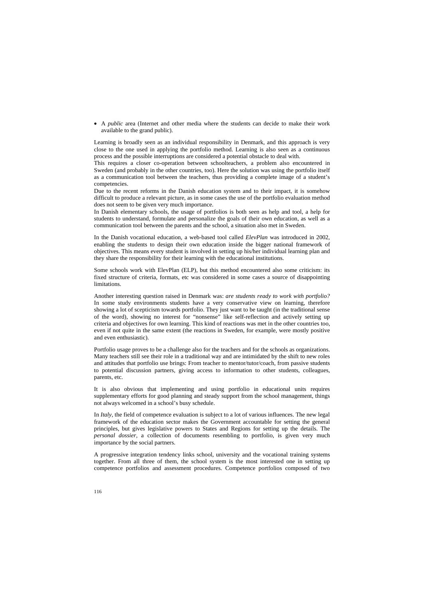• A *public* area (Internet and other media where the students can decide to make their work available to the grand public).

Learning is broadly seen as an individual responsibility in Denmark, and this approach is very close to the one used in applying the portfolio method. Learning is also seen as a continuous process and the possible interruptions are considered a potential obstacle to deal with.

This requires a closer co-operation between schoolteachers, a problem also encountered in Sweden (and probably in the other countries, too). Here the solution was using the portfolio itself as a communication tool between the teachers, thus providing a complete image of a student's competencies.

Due to the recent reforms in the Danish education system and to their impact, it is somehow difficult to produce a relevant picture, as in some cases the use of the portfolio evaluation method does not seem to be given very much importance.

In Danish elementary schools, the usage of portfolios is both seen as help and tool, a help for students to understand, formulate and personalize the goals of their own education, as well as a communication tool between the parents and the school, a situation also met in Sweden.

In the Danish vocational education, a web-based tool called *ElevPlan* was introduced in 2002, enabling the students to design their own education inside the bigger national framework of objectives. This means every student is involved in setting up his/her individual learning plan and they share the responsibility for their learning with the educational institutions.

Some schools work with ElevPlan (ELP), but this method encountered also some criticism: its fixed structure of criteria, formats, etc was considered in some cases a source of disappointing limitations.

Another interesting question raised in Denmark was: *are students ready to work with portfolio?* In some study environments students have a very conservative view on learning, therefore showing a lot of scepticism towards portfolio. They just want to be taught (in the traditional sense of the word), showing no interest for "nonsense" like self-reflection and actively setting up criteria and objectives for own learning. This kind of reactions was met in the other countries too, even if not quite in the same extent (the reactions in Sweden, for example, were mostly positive and even enthusiastic).

Portfolio usage proves to be a challenge also for the teachers and for the schools as organizations. Many teachers still see their role in a traditional way and are intimidated by the shift to new roles and attitudes that portfolio use brings: From teacher to mentor/tutor/coach, from passive students to potential discussion partners, giving access to information to other students, colleagues, parents, etc.

It is also obvious that implementing and using portfolio in educational units requires supplementary efforts for good planning and steady support from the school management, things not always welcomed in a school's busy schedule.

In *Italy*, the field of competence evaluation is subject to a lot of various influences. The new legal framework of the education sector makes the Government accountable for setting the general principles, but gives legislative powers to States and Regions for setting up the details. The *personal dossier,* a collection of documents resembling to portfolio, is given very much importance by the social partners.

A progressive integration tendency links school, university and the vocational training systems together. From all three of them, the school system is the most interested one in setting up competence portfolios and assessment procedures. Competence portfolios composed of two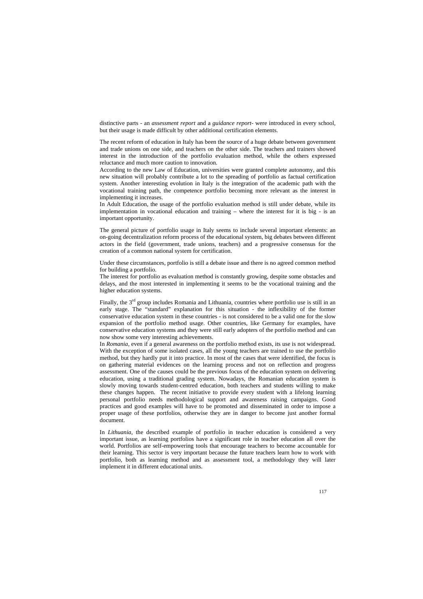distinctive parts - an *assessment report* and a *guidance report*- were introduced in every school, but their usage is made difficult by other additional certification elements.

The recent reform of education in Italy has been the source of a huge debate between government and trade unions on one side, and teachers on the other side. The teachers and trainers showed interest in the introduction of the portfolio evaluation method, while the others expressed reluctance and much more caution to innovation.

According to the new Law of Education, universities were granted complete autonomy, and this new situation will probably contribute a lot to the spreading of portfolio as factual certification system. Another interesting evolution in Italy is the integration of the academic path with the vocational training path, the competence portfolio becoming more relevant as the interest in implementing it increases.

In Adult Education, the usage of the portfolio evaluation method is still under debate, while its implementation in vocational education and training – where the interest for it is big - is an important opportunity.

The general picture of portfolio usage in Italy seems to include several important elements: an on-going decentralization reform process of the educational system, big debates between different actors in the field (government, trade unions, teachers) and a progressive consensus for the creation of a common national system for certification.

Under these circumstances, portfolio is still a debate issue and there is no agreed common method for building a portfolio.

The interest for portfolio as evaluation method is constantly growing, despite some obstacles and delays, and the most interested in implementing it seems to be the vocational training and the higher education systems.

Finally, the 3<sup>rd</sup> group includes Romania and Lithuania, countries where portfolio use is still in an early stage. The "standard" explanation for this situation - the inflexibility of the former conservative education system in these countries - is not considered to be a valid one for the slow expansion of the portfolio method usage. Other countries, like Germany for examples, have conservative education systems and they were still early adopters of the portfolio method and can now show some very interesting achievements.

In *Romania*, even if a general awareness on the portfolio method exists, its use is not widespread. With the exception of some isolated cases, all the young teachers are trained to use the portfolio method, but they hardly put it into practice. In most of the cases that were identified, the focus is on gathering material evidences on the learning process and not on reflection and progress assessment. One of the causes could be the previous focus of the education system on delivering education, using a traditional grading system. Nowadays, the Romanian education system is slowly moving towards student-centred education, both teachers and students willing to make these changes happen. The recent initiative to provide every student with a lifelong learning personal portfolio needs methodological support and awareness raising campaigns. Good practices and good examples will have to be promoted and disseminated in order to impose a proper usage of these portfolios, otherwise they are in danger to become just another formal document.

In *Lithuania*, the described example of portfolio in teacher education is considered a very important issue, as learning portfolios have a significant role in teacher education all over the world. Portfolios are self-empowering tools that encourage teachers to become accountable for their learning. This sector is very important because the future teachers learn how to work with portfolio, both as learning method and as assessment tool, a methodology they will later implement it in different educational units.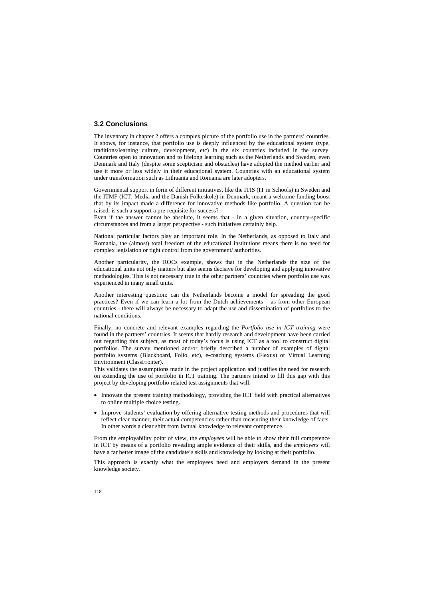## **3.2 Conclusions**

The inventory in chapter 2 offers a complex picture of the portfolio use in the partners' countries. It shows, for instance, that portfolio use is deeply influenced by the educational system (type, traditions/learning culture, development, etc) in the six countries included in the survey. Countries open to innovation and to lifelong learning such as the Netherlands and Sweden, even Denmark and Italy (despite some scepticism and obstacles) have adopted the method earlier and use it more or less widely in their educational system. Countries with an educational system under transformation such as Lithuania and Romania are later adopters.

Governmental support in form of different initiatives, like the ITIS (IT in Schools) in Sweden and the ITMF (ICT, Media and the Danish Folkeskole) in Denmark, meant a welcome funding boost that by its impact made a difference for innovative methods like portfolio. A question can be raised: is such a support a pre-requisite for success?

Even if the answer cannot be absolute, it seems that - in a given situation, country-specific circumstances and from a larger perspective - such initiatives certainly help.

National particular factors play an important role. In the Netherlands, as opposed to Italy and Romania, the (almost) total freedom of the educational institutions means there is no need for complex legislation or tight control from the government/ authorities.

Another particularity, the ROCs example, shows that in the Netherlands the size of the educational units not only matters but also seems decisive for developing and applying innovative methodologies. This is not necessary true in the other partners' countries where portfolio use was experienced in many small units.

Another interesting question: can the Netherlands become a model for spreading the good practices? Even if we can learn a lot from the Dutch achievements – as from other European countries - there will always be necessary to adapt the use and dissemination of portfolios to the national conditions.

Finally, no concrete and relevant examples regarding the *Portfolio use in ICT training* were found in the partners' countries. It seems that hardly research and development have been carried out regarding this subject, as most of today's focus is using ICT as a tool to construct digital portfolios. The survey mentioned and/or briefly described a number of examples of digital portfolio systems (Blackboard, Folio, etc), e-coaching systems (Flexus) or Virtual Learning Environment (ClassFronter).

This validates the assumptions made in the project application and justifies the need for research on extending the use of portfolio in ICT training. The partners intend to fill this gap with this project by developing portfolio related test assignments that will:

- Innovate the present training methodology, providing the ICT field with practical alternatives to online multiple choice testing.
- Improve students' evaluation by offering alternative testing methods and procedures that will reflect clear manner, their actual competencies rather than measuring their knowledge of facts. In other words a clear shift from factual knowledge to relevant competence.

From the employability point of view, the *employees* will be able to show their full competence in ICT by means of a portfolio revealing ample evidence of their skills, and the *employers* will have a far better image of the candidate's skills and knowledge by looking at their portfolio.

This approach is exactly what the employees need and employers demand in the present knowledge society.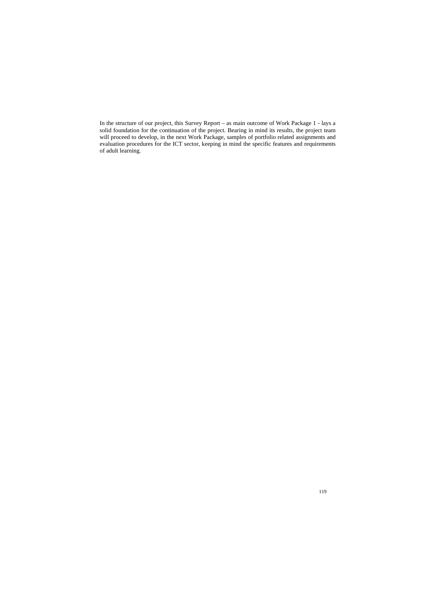In the structure of our project, this Survey Report – as main outcome of Work Package 1 - lays a solid foundation for the continuation of the project. Bearing in mind its results, the project team will proceed to develop, in the next Work Package, samples of portfolio related assignments and evaluation procedures for the ICT sector, keeping in mind the specific features and requirements of adult learning.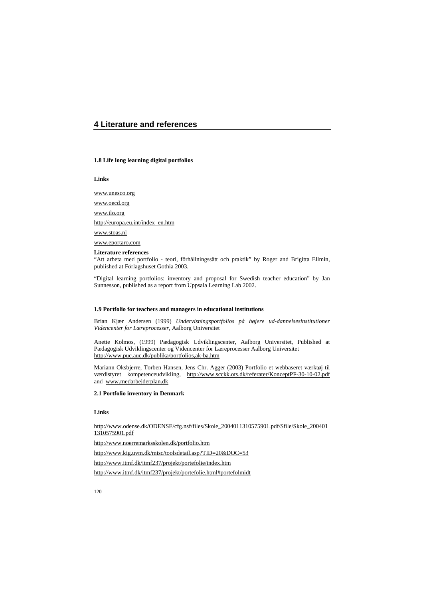## **4 Literature and references**

### **1.8 Life long learning digital portfolios**

## **Links**

www.unesco.org www.oecd.org www.ilo.org http://europa.eu.int/index\_en.htm www.stoas.nl www.eportaro.com

#### **Literature references**

"Att arbeta med portfolio - teori, förhållningssätt och praktik" by Roger and Brigitta Ellmin, published at Förlagshuset Gothia 2003.

"Digital learning portfolios: inventory and proposal for Swedish teacher education" by Jan Sunnesson, published as a report from Uppsala Learning Lab 2002.

#### **1.9 Portfolio for teachers and managers in educational institutions**

Brian Kjær Andersen (1999) *Undervisningsportfolios på højere ud-dannelsesinstitutioner Videncenter for Læreprocesser,* Aalborg Universitet

Anette Kolmos, (1999) Pædagogisk Udviklingscenter, Aalborg Universitet, Published at Pædagogisk Udviklingscenter og Videncenter for Læreprocesser Aalborg Universitet http://www.puc.auc.dk/publika/portfolios,ak-ba.htm

Mariann Oksbjerre, Torben Hansen, Jens Chr. Agger (2003) Portfolio et webbaseret værktøj til værdistyret kompetenceudvikling*,* http://www.scckk.ots.dk/referater/KonceptPF-30-10-02.pdf and www.medarbejderplan.dk

#### **2.1 Portfolio inventory in Denmark**

#### **Links**

http://www.odense.dk/ODENSE/cfg.nsf/files/Skole\_2004011310575901.pdf/\$file/Skole\_200401 1310575901.pdf

http://www.noerremarksskolen.dk/portfolio.htm

http://www.kig.uvm.dk/misc/toolsdetail.asp?TID=20&DOC=53

http://www.itmf.dk/itmf237/projekt/portefolie/index.htm

http://www.itmf.dk/itmf237/projekt/portefolie.html#portefolmidt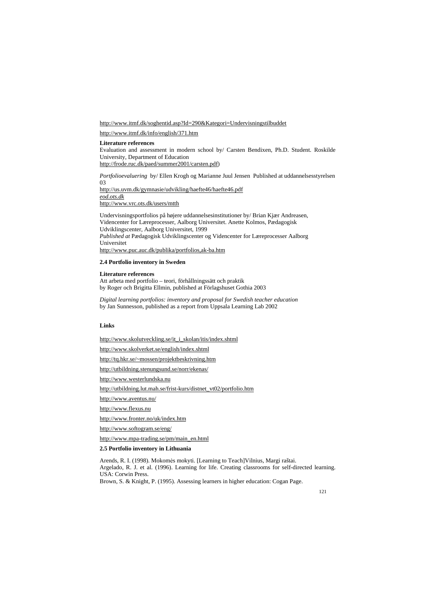## http://www.itmf.dk/soghentid.asp?Id=290&Kategori=Undervisningstilbuddet

http://www.itmf.dk/info/english/371.htm

#### **Literature references**

Evaluation and assessment in modern school by/ Carsten Bendixen, Ph.D. Student. Roskilde University, Department of Education http://frode.ruc.dk/paed/summer2001/carsten.pdf)

*Portfolioevaluering* by/ Ellen Krogh og Marianne Juul Jensen Published at uddannelsesstyrelsen 03 http://us.uvm.dk/gymnasie/udvikling/haefte46/haefte46.pdf *eod.ots.dk* http://www.vrc.ots.dk/users/mtth

Undervisningsportfolios på højere uddannelsesinstitutioner by/ Brian Kjær Andreasen, Videncenter for Læreprocesser, Aalborg Universitet. Anette Kolmos, Pædagogisk Udviklingscenter, Aalborg Universitet, 1999 *Published at* Pædagogisk Udviklingscenter og Videncenter for Læreprocesser Aalborg Universitet http://www.puc.auc.dk/publika/portfolios,ak-ba.htm

## **2.4 Portfolio inventory in Sweden**

## **Literature references**

Att arbeta med portfolio – teori, förhållningssätt och praktik by Roger och Brigitta Ellmin, published at Förlagshuset Gothia 2003

*Digital learning portfolios: inventory and proposal for Swedish teacher education*  by Jan Sunnesson, published as a report from Uppsala Learning Lab 2002

## **Links**

http://www.skolutveckling.se/it\_i\_skolan/itis/index.shtml

http://www.skolverket.se/english/index.shtml

http://tq.hkr.se/~mossen/projektbeskrivning.htm

http://utbildning.stenungsund.se/norr/ekenas/

http://www.westerlundska.nu

http://utbildning.lut.mah.se/frist-kurs/distnet\_vt02/portfolio.htm

http://www.aventus.nu/

http://www.flexus.nu

http://www.fronter.no/uk/index.htm

http://www.softogram.se/eng/

http://www.mpa-trading.se/pm/main\_en.html

## **2.5 Portfolio inventory in Lithuania**

Arends, R. I. (1998). Mokomės mokyti. [Learning to Teach]Vilnius, Margi raštai. Argelado, R. J. et al. (1996). Learning for life. Creating classrooms for self-directed learning. USA: Corwin Press.

Brown, S. & Knight, P. (1995). Assessing learners in higher education: Cogan Page.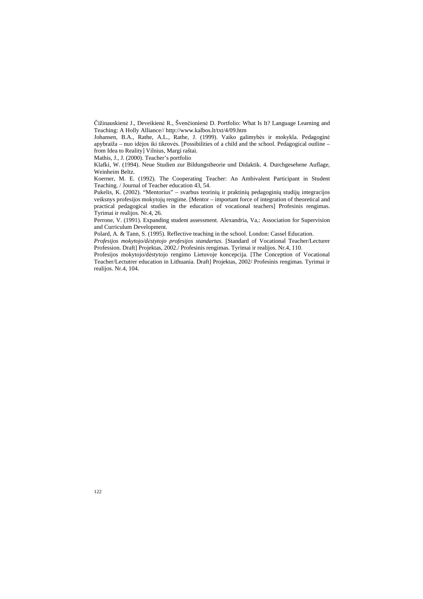Čižinauskienė J., Deveikienė R., Švenčionienė D. Portfolio: What Is It? Language Learning and Teaching: A Holly Alliance// http://www.kalbos.lt/txt/4/09.htm

Johansen, B.A., Rathe, A.L., Rathe, J. (1999). Vaiko galimybės ir mokykla. Pedagoginė apybraiža – nuo idėjos iki tikrovės. [Possibilities of a child and the school. Pedagogical outline – from Idea to Reality] Vilnius, Margi raštai.

Mathis, J., J. (2000). Teacher's portfolio

Klafki, W. (1994). Neue Studien zur Bildungstheorie und Didaktik. 4. Durchgesehene Auflage, Weinheim Beltz.

Koerner, M. E. (1992). The Cooperating Teacher: An Ambivalent Participant in Student Teaching. / Journal of Teacher education 43, 54.

Pukelis, K. (2002). "Mentorius" – svarbus teorinių ir praktinių pedagoginių studijų integracijos veiksnys profesijos mokytoju rengime. [Mentor – important force of integration of theoretical and practical pedagogical studies in the education of vocational teachers] Profesinis rengimas. Tyrimai ir realijos. Nr.4, 26.

Perrone, V. (1991). Expanding student assessment. Alexandria, Va,: Association for Supervision and Curriculum Development.

Polard, A. & Tann, S. (1995). Reflective teaching in the school. London: Cassel Education.

*Profesijos mokytojo/d!stytojo profesijos standartas*. [Standard of Vocational Teacher/Lecturer Profession. Draft] Projektas, 2002./ Profesinis rengimas. Tyrimai ir realijos. Nr.4, 110.

Profesijos mokytojo/dėstytojo rengimo Lietuvoje koncepcija. [The Conception of Vocational Teacher/Lectutrer education in Lithuania. Draft] Projektas, 2002/ Profesinis rengimas. Tyrimai ir realijos. Nr.4, 104.